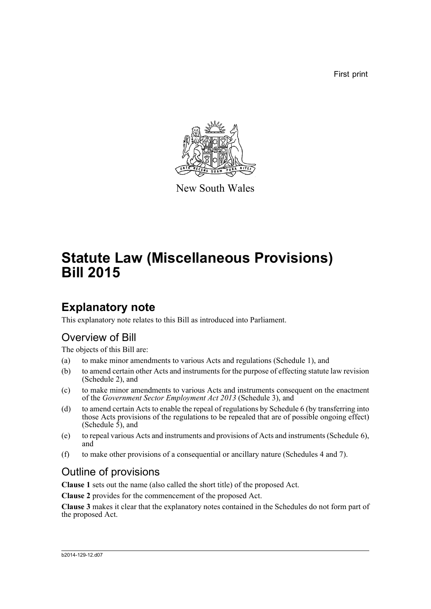First print



New South Wales

# **Statute Law (Miscellaneous Provisions) Bill 2015**

# **Explanatory note**

This explanatory note relates to this Bill as introduced into Parliament.

## Overview of Bill

The objects of this Bill are:

- (a) to make minor amendments to various Acts and regulations (Schedule 1), and
- (b) to amend certain other Acts and instruments for the purpose of effecting statute law revision (Schedule 2), and
- (c) to make minor amendments to various Acts and instruments consequent on the enactment of the *Government Sector Employment Act 2013* (Schedule 3), and
- (d) to amend certain Acts to enable the repeal of regulations by Schedule 6 (by transferring into those Acts provisions of the regulations to be repealed that are of possible ongoing effect) (Schedule  $\overline{5}$ ), and
- (e) to repeal various Acts and instruments and provisions of Acts and instruments (Schedule 6), and
- (f) to make other provisions of a consequential or ancillary nature (Schedules 4 and 7).

# Outline of provisions

**Clause 1** sets out the name (also called the short title) of the proposed Act.

**Clause 2** provides for the commencement of the proposed Act.

**Clause 3** makes it clear that the explanatory notes contained in the Schedules do not form part of the proposed Act.

#### b2014-129-12.d07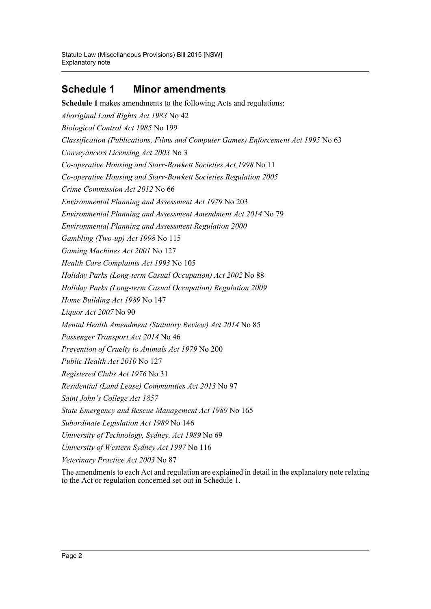## **Schedule 1 Minor amendments**

**Schedule 1** makes amendments to the following Acts and regulations: *Aboriginal Land Rights Act 1983* No 42 *Biological Control Act 1985* No 199 *Classification (Publications, Films and Computer Games) Enforcement Act 1995* No 63 *Conveyancers Licensing Act 2003* No 3 *Co-operative Housing and Starr-Bowkett Societies Act 1998* No 11 *Co-operative Housing and Starr-Bowkett Societies Regulation 2005 Crime Commission Act 2012* No 66 *Environmental Planning and Assessment Act 1979* No 203 *Environmental Planning and Assessment Amendment Act 2014* No 79 *Environmental Planning and Assessment Regulation 2000 Gambling (Two-up) Act 1998* No 115 *Gaming Machines Act 2001* No 127 *Health Care Complaints Act 1993* No 105 *Holiday Parks (Long-term Casual Occupation) Act 2002* No 88 *Holiday Parks (Long-term Casual Occupation) Regulation 2009 Home Building Act 1989* No 147 *Liquor Act 2007* No 90 *Mental Health Amendment (Statutory Review) Act 2014* No 85 *Passenger Transport Act 2014* No 46 *Prevention of Cruelty to Animals Act 1979* No 200 *Public Health Act 2010* No 127 *Registered Clubs Act 1976* No 31 *Residential (Land Lease) Communities Act 2013* No 97 *Saint John's College Act 1857 State Emergency and Rescue Management Act 1989* No 165 *Subordinate Legislation Act 1989* No 146 *University of Technology, Sydney, Act 1989* No 69 *University of Western Sydney Act 1997* No 116 *Veterinary Practice Act 2003* No 87

The amendments to each Act and regulation are explained in detail in the explanatory note relating to the Act or regulation concerned set out in Schedule 1.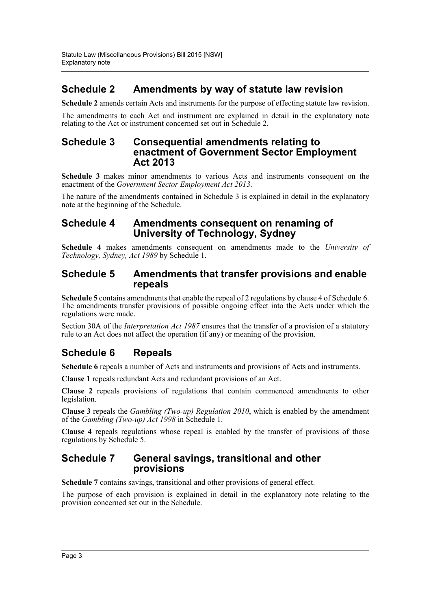## **Schedule 2 Amendments by way of statute law revision**

**Schedule 2** amends certain Acts and instruments for the purpose of effecting statute law revision.

The amendments to each Act and instrument are explained in detail in the explanatory note relating to the Act or instrument concerned set out in Schedule 2.

### **Schedule 3 Consequential amendments relating to enactment of Government Sector Employment Act 2013**

**Schedule 3** makes minor amendments to various Acts and instruments consequent on the enactment of the *Government Sector Employment Act 2013*.

The nature of the amendments contained in Schedule 3 is explained in detail in the explanatory note at the beginning of the Schedule.

## **Schedule 4 Amendments consequent on renaming of University of Technology, Sydney**

**Schedule 4** makes amendments consequent on amendments made to the *University of Technology, Sydney, Act 1989* by Schedule 1.

## **Schedule 5 Amendments that transfer provisions and enable repeals**

**Schedule 5** contains amendments that enable the repeal of 2 regulations by clause 4 of Schedule 6. The amendments transfer provisions of possible ongoing effect into the Acts under which the regulations were made.

Section 30A of the *Interpretation Act 1987* ensures that the transfer of a provision of a statutory rule to an Act does not affect the operation (if any) or meaning of the provision.

## **Schedule 6 Repeals**

**Schedule 6** repeals a number of Acts and instruments and provisions of Acts and instruments.

**Clause 1** repeals redundant Acts and redundant provisions of an Act.

**Clause 2** repeals provisions of regulations that contain commenced amendments to other legislation.

**Clause 3** repeals the *Gambling (Two-up) Regulation 2010*, which is enabled by the amendment of the *Gambling (Two-up) Act 1998* in Schedule 1.

**Clause 4** repeals regulations whose repeal is enabled by the transfer of provisions of those regulations by Schedule 5.

### **Schedule 7 General savings, transitional and other provisions**

**Schedule 7** contains savings, transitional and other provisions of general effect.

The purpose of each provision is explained in detail in the explanatory note relating to the provision concerned set out in the Schedule.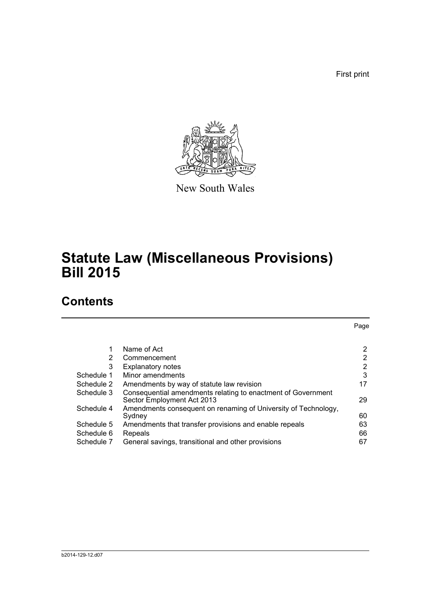First print

Page



New South Wales

# **Statute Law (Miscellaneous Provisions) Bill 2015**

# **Contents**

|                | Name of Act                                                                                | 2              |
|----------------|--------------------------------------------------------------------------------------------|----------------|
| $\overline{2}$ | Commencement                                                                               | $\overline{2}$ |
| 3              | <b>Explanatory notes</b>                                                                   | 2              |
| Schedule 1     | Minor amendments                                                                           | 3              |
| Schedule 2     | Amendments by way of statute law revision                                                  | 17             |
| Schedule 3     | Consequential amendments relating to enactment of Government<br>Sector Employment Act 2013 | 29             |
| Schedule 4     | Amendments consequent on renaming of University of Technology,<br>Sydnev                   | 60             |
| Schedule 5     | Amendments that transfer provisions and enable repeals                                     | 63             |
| Schedule 6     | Repeals                                                                                    | 66             |
| Schedule 7     | General savings, transitional and other provisions                                         | 67             |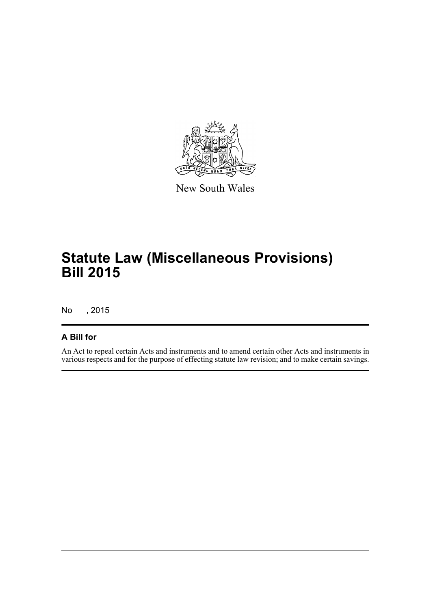

New South Wales

# **Statute Law (Miscellaneous Provisions) Bill 2015**

No , 2015

## **A Bill for**

An Act to repeal certain Acts and instruments and to amend certain other Acts and instruments in various respects and for the purpose of effecting statute law revision; and to make certain savings.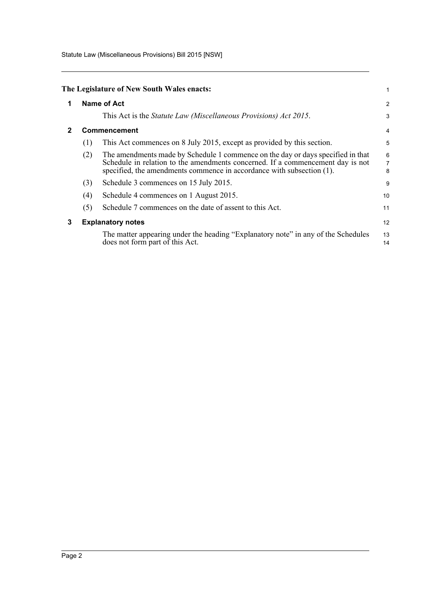Statute Law (Miscellaneous Provisions) Bill 2015 [NSW]

<span id="page-5-2"></span><span id="page-5-1"></span><span id="page-5-0"></span>

|              |     | The Legislature of New South Wales enacts:                                                                                                                                                                                                 |                    |  |
|--------------|-----|--------------------------------------------------------------------------------------------------------------------------------------------------------------------------------------------------------------------------------------------|--------------------|--|
| 1            |     | Name of Act                                                                                                                                                                                                                                |                    |  |
|              |     | This Act is the Statute Law (Miscellaneous Provisions) Act 2015.                                                                                                                                                                           | 3                  |  |
| $\mathbf{2}$ |     | Commencement                                                                                                                                                                                                                               |                    |  |
|              | (1) | This Act commences on 8 July 2015, except as provided by this section.                                                                                                                                                                     | 5                  |  |
|              | (2) | The amendments made by Schedule 1 commence on the day or days specified in that<br>Schedule in relation to the amendments concerned. If a commencement day is not<br>specified, the amendments commence in accordance with subsection (1). | $\frac{6}{7}$<br>8 |  |
|              | (3) | Schedule 3 commences on 15 July 2015.                                                                                                                                                                                                      | 9                  |  |
|              | (4) | Schedule 4 commences on 1 August 2015.                                                                                                                                                                                                     | 10                 |  |
|              | (5) | Schedule 7 commences on the date of assent to this Act.                                                                                                                                                                                    | 11                 |  |
| 3            |     | <b>Explanatory notes</b>                                                                                                                                                                                                                   | 12                 |  |
|              |     | The matter appearing under the heading "Explanatory note" in any of the Schedules<br>does not form part of this Act.                                                                                                                       | 13<br>14           |  |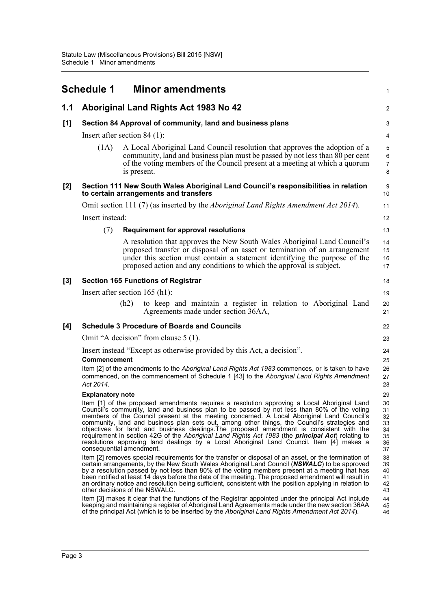<span id="page-6-0"></span>

|     | <b>Schedule 1</b>                |      | <b>Minor amendments</b>                                                                                                                                                                                                                                                                                                                                                                                                                                                                                                                                                                                                                                                                                                                                                                        | $\mathbf 1$                                        |
|-----|----------------------------------|------|------------------------------------------------------------------------------------------------------------------------------------------------------------------------------------------------------------------------------------------------------------------------------------------------------------------------------------------------------------------------------------------------------------------------------------------------------------------------------------------------------------------------------------------------------------------------------------------------------------------------------------------------------------------------------------------------------------------------------------------------------------------------------------------------|----------------------------------------------------|
| 1.1 |                                  |      | Aboriginal Land Rights Act 1983 No 42                                                                                                                                                                                                                                                                                                                                                                                                                                                                                                                                                                                                                                                                                                                                                          | $\overline{\mathbf{c}}$                            |
| [1] |                                  |      | Section 84 Approval of community, land and business plans                                                                                                                                                                                                                                                                                                                                                                                                                                                                                                                                                                                                                                                                                                                                      | 3                                                  |
|     | Insert after section $84$ (1):   |      |                                                                                                                                                                                                                                                                                                                                                                                                                                                                                                                                                                                                                                                                                                                                                                                                | $\overline{\mathbf{4}}$                            |
|     | (1A)                             |      | A Local Aboriginal Land Council resolution that approves the adoption of a<br>community, land and business plan must be passed by not less than 80 per cent<br>of the voting members of the Council present at a meeting at which a quorum<br>is present.                                                                                                                                                                                                                                                                                                                                                                                                                                                                                                                                      | 5<br>$\,6$<br>$\overline{7}$<br>8                  |
| [2] |                                  |      | Section 111 New South Wales Aboriginal Land Council's responsibilities in relation<br>to certain arrangements and transfers                                                                                                                                                                                                                                                                                                                                                                                                                                                                                                                                                                                                                                                                    | 9<br>10                                            |
|     |                                  |      | Omit section 111 (7) (as inserted by the <i>Aboriginal Land Rights Amendment Act 2014</i> ).                                                                                                                                                                                                                                                                                                                                                                                                                                                                                                                                                                                                                                                                                                   | 11                                                 |
|     | Insert instead:                  |      |                                                                                                                                                                                                                                                                                                                                                                                                                                                                                                                                                                                                                                                                                                                                                                                                | 12                                                 |
|     | (7)                              |      | <b>Requirement for approval resolutions</b>                                                                                                                                                                                                                                                                                                                                                                                                                                                                                                                                                                                                                                                                                                                                                    | 13                                                 |
|     |                                  |      | A resolution that approves the New South Wales Aboriginal Land Council's<br>proposed transfer or disposal of an asset or termination of an arrangement<br>under this section must contain a statement identifying the purpose of the<br>proposed action and any conditions to which the approval is subject.                                                                                                                                                                                                                                                                                                                                                                                                                                                                                   | 14<br>15<br>16<br>17                               |
| [3] |                                  |      | <b>Section 165 Functions of Registrar</b>                                                                                                                                                                                                                                                                                                                                                                                                                                                                                                                                                                                                                                                                                                                                                      | 18                                                 |
|     | Insert after section $165$ (h1): |      |                                                                                                                                                                                                                                                                                                                                                                                                                                                                                                                                                                                                                                                                                                                                                                                                | 19                                                 |
|     |                                  | (h2) | to keep and maintain a register in relation to Aboriginal Land<br>Agreements made under section 36AA,                                                                                                                                                                                                                                                                                                                                                                                                                                                                                                                                                                                                                                                                                          | 20<br>21                                           |
| [4] |                                  |      | <b>Schedule 3 Procedure of Boards and Councils</b>                                                                                                                                                                                                                                                                                                                                                                                                                                                                                                                                                                                                                                                                                                                                             | 22                                                 |
|     |                                  |      | Omit "A decision" from clause 5 (1).                                                                                                                                                                                                                                                                                                                                                                                                                                                                                                                                                                                                                                                                                                                                                           | 23                                                 |
|     | Commencement<br>Act 2014.        |      | Insert instead "Except as otherwise provided by this Act, a decision".<br>Item [2] of the amendments to the Aboriginal Land Rights Act 1983 commences, or is taken to have<br>commenced, on the commencement of Schedule 1 [43] to the Aboriginal Land Rights Amendment                                                                                                                                                                                                                                                                                                                                                                                                                                                                                                                        | 24<br>25<br>26<br>27<br>28                         |
|     | <b>Explanatory note</b>          |      |                                                                                                                                                                                                                                                                                                                                                                                                                                                                                                                                                                                                                                                                                                                                                                                                | 29                                                 |
|     | consequential amendment.         |      | Item [1] of the proposed amendments requires a resolution approving a Local Aboriginal Land<br>Council's community, land and business plan to be passed by not less than 80% of the voting<br>members of the Council present at the meeting concerned. A Local Aboriginal Land Council's<br>community, land and business plan sets out, among other things, the Council's strategies and<br>objectives for land and business dealings. The proposed amendment is consistent with the<br>requirement in section 42G of the Aboriginal Land Rights Act 1983 (the principal Act) relating to<br>resolutions approving land dealings by a Local Aboriginal Land Council. Item [4] makes a<br>Item [2] removes special requirements for the transfer or disposal of an asset, or the termination of | 30<br>31<br>32<br>33<br>34<br>35<br>36<br>37<br>38 |
|     | other decisions of the NSWALC.   |      | certain arrangements, by the New South Wales Aboriginal Land Council (NSWALC) to be approved<br>by a resolution passed by not less than 80% of the voting members present at a meeting that has<br>been notified at least 14 days before the date of the meeting. The proposed amendment will result in<br>an ordinary notice and resolution being sufficient, consistent with the position applying in relation to                                                                                                                                                                                                                                                                                                                                                                            | 39<br>40<br>41<br>42<br>43                         |
|     |                                  |      | Item [3] makes it clear that the functions of the Registrar appointed under the principal Act include<br>keeping and maintaining a register of Aboriginal Land Agreements made under the new section 36AA<br>of the principal Act (which is to be inserted by the Aboriginal Land Rights Amendment Act 2014).                                                                                                                                                                                                                                                                                                                                                                                                                                                                                  | 44<br>45<br>46                                     |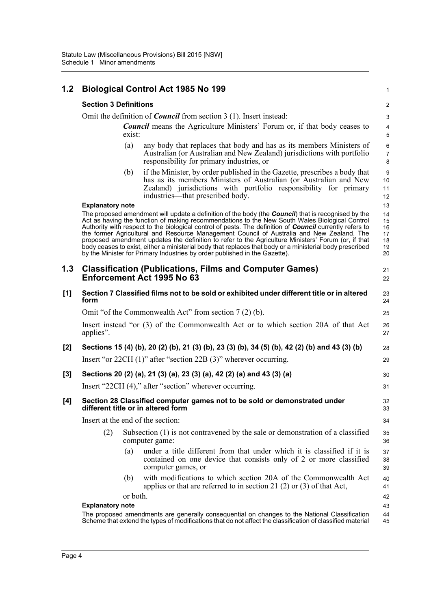| 1.2   |                                                                                            | <b>Biological Control Act 1985 No 199</b>                                                                                                                                                                                                                                                                                                                                                                                                                                                                                                                                                                                                                                                                              | $\mathbf{1}$                           |  |  |
|-------|--------------------------------------------------------------------------------------------|------------------------------------------------------------------------------------------------------------------------------------------------------------------------------------------------------------------------------------------------------------------------------------------------------------------------------------------------------------------------------------------------------------------------------------------------------------------------------------------------------------------------------------------------------------------------------------------------------------------------------------------------------------------------------------------------------------------------|----------------------------------------|--|--|
|       | <b>Section 3 Definitions</b>                                                               |                                                                                                                                                                                                                                                                                                                                                                                                                                                                                                                                                                                                                                                                                                                        | $\overline{c}$                         |  |  |
|       | Omit the definition of <i>Council</i> from section 3 (1). Insert instead:                  |                                                                                                                                                                                                                                                                                                                                                                                                                                                                                                                                                                                                                                                                                                                        |                                        |  |  |
|       | <b>Council</b> means the Agriculture Ministers' Forum or, if that body ceases to<br>exist: |                                                                                                                                                                                                                                                                                                                                                                                                                                                                                                                                                                                                                                                                                                                        |                                        |  |  |
|       | (a)                                                                                        | any body that replaces that body and has as its members Ministers of<br>Australian (or Australian and New Zealand) jurisdictions with portfolio<br>responsibility for primary industries, or                                                                                                                                                                                                                                                                                                                                                                                                                                                                                                                           | $\,6\,$<br>$\overline{7}$<br>8         |  |  |
|       | (b)                                                                                        | if the Minister, by order published in the Gazette, prescribes a body that<br>has as its members Ministers of Australian (or Australian and New<br>Zealand) jurisdictions with portfolio responsibility for primary<br>industries—that prescribed body.                                                                                                                                                                                                                                                                                                                                                                                                                                                                | $\boldsymbol{9}$<br>10<br>11<br>12     |  |  |
|       | <b>Explanatory note</b>                                                                    |                                                                                                                                                                                                                                                                                                                                                                                                                                                                                                                                                                                                                                                                                                                        | 13                                     |  |  |
|       |                                                                                            | The proposed amendment will update a definition of the body (the Council) that is recognised by the<br>Act as having the function of making recommendations to the New South Wales Biological Control<br>Authority with respect to the biological control of pests. The definition of <b>Council</b> currently refers to<br>the former Agricultural and Resource Management Council of Australia and New Zealand. The<br>proposed amendment updates the definition to refer to the Agriculture Ministers' Forum (or, if that<br>body ceases to exist, either a ministerial body that replaces that body or a ministerial body prescribed<br>by the Minister for Primary Industries by order published in the Gazette). | 14<br>15<br>16<br>17<br>18<br>19<br>20 |  |  |
| 1.3   |                                                                                            | <b>Classification (Publications, Films and Computer Games)</b><br>Enforcement Act 1995 No 63                                                                                                                                                                                                                                                                                                                                                                                                                                                                                                                                                                                                                           | 21<br>22                               |  |  |
| [1]   | form                                                                                       | Section 7 Classified films not to be sold or exhibited under different title or in altered                                                                                                                                                                                                                                                                                                                                                                                                                                                                                                                                                                                                                             | 23<br>24                               |  |  |
|       |                                                                                            | Omit "of the Commonwealth Act" from section 7 (2) (b).                                                                                                                                                                                                                                                                                                                                                                                                                                                                                                                                                                                                                                                                 | 25                                     |  |  |
|       | applies".                                                                                  | Insert instead "or (3) of the Commonwealth Act or to which section 20A of that Act                                                                                                                                                                                                                                                                                                                                                                                                                                                                                                                                                                                                                                     | 26<br>27                               |  |  |
| [2]   |                                                                                            | Sections 15 (4) (b), 20 (2) (b), 21 (3) (b), 23 (3) (b), 34 (5) (b), 42 (2) (b) and 43 (3) (b)                                                                                                                                                                                                                                                                                                                                                                                                                                                                                                                                                                                                                         | 28                                     |  |  |
|       |                                                                                            | Insert "or $22CH(1)$ " after "section $22B(3)$ " wherever occurring.                                                                                                                                                                                                                                                                                                                                                                                                                                                                                                                                                                                                                                                   | 29                                     |  |  |
| $[3]$ |                                                                                            | Sections 20 (2) (a), 21 (3) (a), 23 (3) (a), 42 (2) (a) and 43 (3) (a)                                                                                                                                                                                                                                                                                                                                                                                                                                                                                                                                                                                                                                                 | 30                                     |  |  |
|       |                                                                                            | Insert "22CH (4)," after "section" wherever occurring.                                                                                                                                                                                                                                                                                                                                                                                                                                                                                                                                                                                                                                                                 | 31                                     |  |  |
| [4]   | different title or in altered form                                                         | Section 28 Classified computer games not to be sold or demonstrated under                                                                                                                                                                                                                                                                                                                                                                                                                                                                                                                                                                                                                                              | 32<br>33                               |  |  |
|       | Insert at the end of the section:                                                          |                                                                                                                                                                                                                                                                                                                                                                                                                                                                                                                                                                                                                                                                                                                        | 34                                     |  |  |
|       | (2)                                                                                        | Subsection (1) is not contravened by the sale or demonstration of a classified<br>computer game:                                                                                                                                                                                                                                                                                                                                                                                                                                                                                                                                                                                                                       | 35<br>36                               |  |  |
|       | (a)                                                                                        | under a title different from that under which it is classified if it is<br>contained on one device that consists only of 2 or more classified<br>computer games, or                                                                                                                                                                                                                                                                                                                                                                                                                                                                                                                                                    | 37<br>38<br>39                         |  |  |
|       | (b)                                                                                        | with modifications to which section 20A of the Commonwealth Act<br>applies or that are referred to in section 21 (2) or (3) of that Act,                                                                                                                                                                                                                                                                                                                                                                                                                                                                                                                                                                               | 40<br>41                               |  |  |
|       | or both.<br><b>Explanatory note</b>                                                        |                                                                                                                                                                                                                                                                                                                                                                                                                                                                                                                                                                                                                                                                                                                        | 42<br>43                               |  |  |
|       |                                                                                            | The proposed amendments are generally consequential on changes to the National Classification<br>Scheme that extend the types of modifications that do not affect the classification of classified material                                                                                                                                                                                                                                                                                                                                                                                                                                                                                                            | 44<br>45                               |  |  |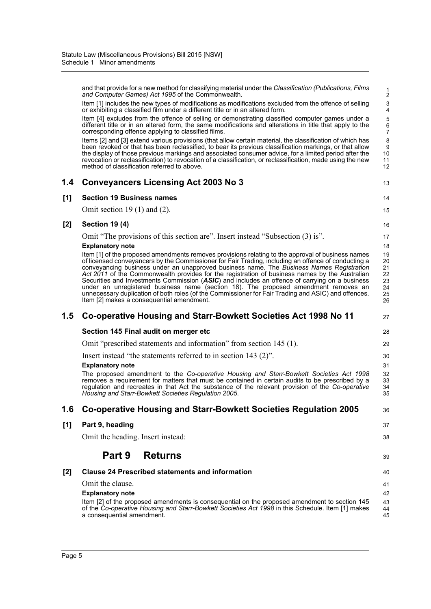|     | and that provide for a new method for classifying material under the Classification (Publications, Films<br>and Computer Games) Act 1995 of the Commonwealth.                                                                                                                                                                                                                                                                                                                                                                                                                                                                                                                                                                                       | 1<br>$\overline{c}$                          |
|-----|-----------------------------------------------------------------------------------------------------------------------------------------------------------------------------------------------------------------------------------------------------------------------------------------------------------------------------------------------------------------------------------------------------------------------------------------------------------------------------------------------------------------------------------------------------------------------------------------------------------------------------------------------------------------------------------------------------------------------------------------------------|----------------------------------------------|
|     | Item [1] includes the new types of modifications as modifications excluded from the offence of selling<br>or exhibiting a classified film under a different title or in an altered form.                                                                                                                                                                                                                                                                                                                                                                                                                                                                                                                                                            | 3<br>4                                       |
|     | Item [4] excludes from the offence of selling or demonstrating classified computer games under a<br>different title or in an altered form, the same modifications and alterations in title that apply to the<br>corresponding offence applying to classified films.                                                                                                                                                                                                                                                                                                                                                                                                                                                                                 | 5<br>6<br>7                                  |
|     | Items [2] and [3] extend various provisions (that allow certain material, the classification of which has<br>been revoked or that has been reclassified, to bear its previous classification markings, or that allow<br>the display of those previous markings and associated consumer advice, for a limited period after the<br>revocation or reclassification) to revocation of a classification, or reclassification, made using the new<br>method of classification referred to above.                                                                                                                                                                                                                                                          | 8<br>9<br>10<br>11<br>12                     |
| 1.4 | <b>Conveyancers Licensing Act 2003 No 3</b>                                                                                                                                                                                                                                                                                                                                                                                                                                                                                                                                                                                                                                                                                                         | 13                                           |
| [1] | <b>Section 19 Business names</b>                                                                                                                                                                                                                                                                                                                                                                                                                                                                                                                                                                                                                                                                                                                    | 14                                           |
|     | Omit section 19 $(1)$ and $(2)$ .                                                                                                                                                                                                                                                                                                                                                                                                                                                                                                                                                                                                                                                                                                                   | 15                                           |
| [2] | <b>Section 19 (4)</b>                                                                                                                                                                                                                                                                                                                                                                                                                                                                                                                                                                                                                                                                                                                               | 16                                           |
|     | Omit "The provisions of this section are". Insert instead "Subsection (3) is".                                                                                                                                                                                                                                                                                                                                                                                                                                                                                                                                                                                                                                                                      | 17                                           |
|     | <b>Explanatory note</b>                                                                                                                                                                                                                                                                                                                                                                                                                                                                                                                                                                                                                                                                                                                             | 18                                           |
|     | Item [1] of the proposed amendments removes provisions relating to the approval of business names<br>of licensed conveyancers by the Commissioner for Fair Trading, including an offence of conducting a<br>conveyancing business under an unapproved business name. The Business Names Registration<br>Act 2011 of the Commonwealth provides for the registration of business names by the Australian<br>Securities and Investments Commission (ASIC) and includes an offence of carrying on a business<br>under an unregistered business name (section 18). The proposed amendment removes an<br>unnecessary duplication of both roles (of the Commissioner for Fair Trading and ASIC) and offences.<br>Item [2] makes a consequential amendment. | 19<br>20<br>21<br>22<br>23<br>24<br>25<br>26 |
|     |                                                                                                                                                                                                                                                                                                                                                                                                                                                                                                                                                                                                                                                                                                                                                     |                                              |
| 1.5 | Co-operative Housing and Starr-Bowkett Societies Act 1998 No 11                                                                                                                                                                                                                                                                                                                                                                                                                                                                                                                                                                                                                                                                                     | 27                                           |
|     | Section 145 Final audit on merger etc                                                                                                                                                                                                                                                                                                                                                                                                                                                                                                                                                                                                                                                                                                               | 28                                           |
|     | Omit "prescribed statements and information" from section 145 (1).                                                                                                                                                                                                                                                                                                                                                                                                                                                                                                                                                                                                                                                                                  | 29                                           |
|     | Insert instead "the statements referred to in section 143 (2)".                                                                                                                                                                                                                                                                                                                                                                                                                                                                                                                                                                                                                                                                                     | 30                                           |
|     | <b>Explanatory note</b>                                                                                                                                                                                                                                                                                                                                                                                                                                                                                                                                                                                                                                                                                                                             | 31                                           |
|     | The proposed amendment to the Co-operative Housing and Starr-Bowkett Societies Act 1998<br>removes a requirement for matters that must be contained in certain audits to be prescribed by a<br>regulation and recreates in that Act the substance of the relevant provision of the Co-operative<br>Housing and Starr-Bowkett Societies Regulation 2005.                                                                                                                                                                                                                                                                                                                                                                                             | 32<br>33<br>34<br>35                         |
| 1.6 | Co-operative Housing and Starr-Bowkett Societies Regulation 2005                                                                                                                                                                                                                                                                                                                                                                                                                                                                                                                                                                                                                                                                                    | 36                                           |
| [1] | Part 9, heading                                                                                                                                                                                                                                                                                                                                                                                                                                                                                                                                                                                                                                                                                                                                     | 37                                           |
|     | Omit the heading. Insert instead:                                                                                                                                                                                                                                                                                                                                                                                                                                                                                                                                                                                                                                                                                                                   | 38                                           |
|     | Part 9<br><b>Returns</b>                                                                                                                                                                                                                                                                                                                                                                                                                                                                                                                                                                                                                                                                                                                            | 39                                           |
| [2] | <b>Clause 24 Prescribed statements and information</b>                                                                                                                                                                                                                                                                                                                                                                                                                                                                                                                                                                                                                                                                                              | 40                                           |
|     | Omit the clause.                                                                                                                                                                                                                                                                                                                                                                                                                                                                                                                                                                                                                                                                                                                                    | 41                                           |
|     | <b>Explanatory note</b>                                                                                                                                                                                                                                                                                                                                                                                                                                                                                                                                                                                                                                                                                                                             | 42                                           |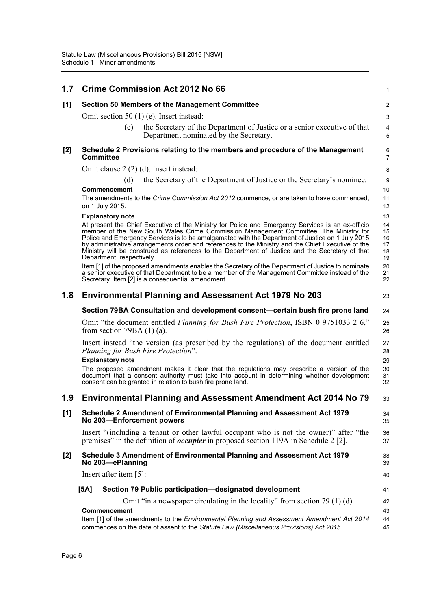| 1.7   | <b>Crime Commission Act 2012 No 66</b>                                                                                                                                                                                                                                                                                                                                                                                                                                                                                               | 1                                |
|-------|--------------------------------------------------------------------------------------------------------------------------------------------------------------------------------------------------------------------------------------------------------------------------------------------------------------------------------------------------------------------------------------------------------------------------------------------------------------------------------------------------------------------------------------|----------------------------------|
| [1]   | Section 50 Members of the Management Committee                                                                                                                                                                                                                                                                                                                                                                                                                                                                                       | 2                                |
|       | Omit section 50 $(1)$ (e). Insert instead:                                                                                                                                                                                                                                                                                                                                                                                                                                                                                           | $\ensuremath{\mathsf{3}}$        |
|       | the Secretary of the Department of Justice or a senior executive of that<br>(e)<br>Department nominated by the Secretary.                                                                                                                                                                                                                                                                                                                                                                                                            | $\overline{4}$<br>5              |
| [2]   | Schedule 2 Provisions relating to the members and procedure of the Management<br><b>Committee</b>                                                                                                                                                                                                                                                                                                                                                                                                                                    | 6<br>$\overline{7}$              |
|       | Omit clause 2 (2) (d). Insert instead:                                                                                                                                                                                                                                                                                                                                                                                                                                                                                               | 8                                |
|       | the Secretary of the Department of Justice or the Secretary's nominee.<br>(d)                                                                                                                                                                                                                                                                                                                                                                                                                                                        | 9                                |
|       | Commencement                                                                                                                                                                                                                                                                                                                                                                                                                                                                                                                         | 10                               |
|       | The amendments to the Crime Commission Act 2012 commence, or are taken to have commenced,<br>on 1 July 2015.                                                                                                                                                                                                                                                                                                                                                                                                                         | 11<br>12                         |
|       | <b>Explanatory note</b>                                                                                                                                                                                                                                                                                                                                                                                                                                                                                                              | 13                               |
|       | At present the Chief Executive of the Ministry for Police and Emergency Services is an ex-officio<br>member of the New South Wales Crime Commission Management Committee. The Ministry for<br>Police and Emergency Services is to be amalgamated with the Department of Justice on 1 July 2015<br>by administrative arrangements order and references to the Ministry and the Chief Executive of the<br>Ministry will be construed as references to the Department of Justice and the Secretary of that<br>Department, respectively. | 14<br>15<br>16<br>17<br>18<br>19 |
|       | Item [1] of the proposed amendments enables the Secretary of the Department of Justice to nominate<br>a senior executive of that Department to be a member of the Management Committee instead of the<br>Secretary. Item [2] is a consequential amendment.                                                                                                                                                                                                                                                                           | 20<br>21<br>22                   |
| 1.8   | <b>Environmental Planning and Assessment Act 1979 No 203</b>                                                                                                                                                                                                                                                                                                                                                                                                                                                                         | 23                               |
|       | Section 79BA Consultation and development consent—certain bush fire prone land                                                                                                                                                                                                                                                                                                                                                                                                                                                       | 24                               |
|       | Omit "the document entitled <i>Planning for Bush Fire Protection</i> , ISBN 0 9751033 2 6,"<br>from section 79BA $(1)$ $(a)$ .                                                                                                                                                                                                                                                                                                                                                                                                       | 25<br>26                         |
|       | Insert instead "the version (as prescribed by the regulations) of the document entitled<br>Planning for Bush Fire Protection".<br><b>Explanatory note</b>                                                                                                                                                                                                                                                                                                                                                                            | 27<br>28<br>29                   |
|       | The proposed amendment makes it clear that the regulations may prescribe a version of the<br>document that a consent authority must take into account in determining whether development<br>consent can be granted in relation to bush fire prone land.                                                                                                                                                                                                                                                                              | 30<br>31<br>32                   |
| 1.9   | <b>Environmental Planning and Assessment Amendment Act 2014 No 79</b>                                                                                                                                                                                                                                                                                                                                                                                                                                                                | 33                               |
| [1]   | Schedule 2 Amendment of Environmental Planning and Assessment Act 1979<br>No 203-Enforcement powers                                                                                                                                                                                                                                                                                                                                                                                                                                  | 34<br>35                         |
|       | Insert "(including a tenant or other lawful occupant who is not the owner)" after "the<br>premises" in the definition of <i>occupier</i> in proposed section 119A in Schedule 2 [2].                                                                                                                                                                                                                                                                                                                                                 | 36<br>37                         |
| $[2]$ | Schedule 3 Amendment of Environmental Planning and Assessment Act 1979<br>No 203-ePlanning                                                                                                                                                                                                                                                                                                                                                                                                                                           | 38<br>39                         |
|       | Insert after item $[5]$ :                                                                                                                                                                                                                                                                                                                                                                                                                                                                                                            | 40                               |
|       | Section 79 Public participation-designated development<br>[5A]                                                                                                                                                                                                                                                                                                                                                                                                                                                                       | 41                               |
|       | Omit "in a newspaper circulating in the locality" from section 79 $(1)$ (d).                                                                                                                                                                                                                                                                                                                                                                                                                                                         | 42                               |
|       | Commencement                                                                                                                                                                                                                                                                                                                                                                                                                                                                                                                         | 43                               |
|       | Item [1] of the amendments to the Environmental Planning and Assessment Amendment Act 2014<br>commences on the date of assent to the Statute Law (Miscellaneous Provisions) Act 2015.                                                                                                                                                                                                                                                                                                                                                | 44<br>45                         |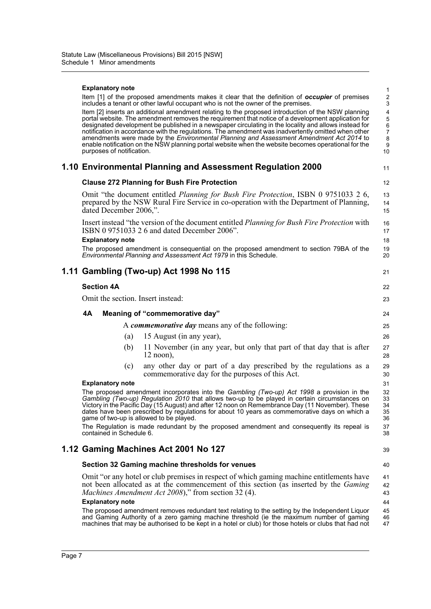| <b>Explanatory note</b>                                                                                                                                                                                                                                                                                                                                                                                                                                                                                                                                                                                                                                 | 1                                                                   |
|---------------------------------------------------------------------------------------------------------------------------------------------------------------------------------------------------------------------------------------------------------------------------------------------------------------------------------------------------------------------------------------------------------------------------------------------------------------------------------------------------------------------------------------------------------------------------------------------------------------------------------------------------------|---------------------------------------------------------------------|
| Item [1] of the proposed amendments makes it clear that the definition of <b>occupier</b> of premises<br>includes a tenant or other lawful occupant who is not the owner of the premises.                                                                                                                                                                                                                                                                                                                                                                                                                                                               | $\boldsymbol{2}$<br>$\ensuremath{\mathsf{3}}$                       |
| Item [2] inserts an additional amendment relating to the proposed introduction of the NSW planning<br>portal website. The amendment removes the requirement that notice of a development application for<br>designated development be published in a newspaper circulating in the locality and allows instead for<br>notification in accordance with the regulations. The amendment was inadvertently omitted when other<br>amendments were made by the Environmental Planning and Assessment Amendment Act 2014 to<br>enable notification on the NSW planning portal website when the website becomes operational for the<br>purposes of notification. | $\overline{\mathbf{4}}$<br>5<br>6<br>$\overline{7}$<br>8<br>9<br>10 |
| 1.10 Environmental Planning and Assessment Regulation 2000                                                                                                                                                                                                                                                                                                                                                                                                                                                                                                                                                                                              | 11                                                                  |
| <b>Clause 272 Planning for Bush Fire Protection</b>                                                                                                                                                                                                                                                                                                                                                                                                                                                                                                                                                                                                     | 12                                                                  |
| Omit "the document entitled Planning for Bush Fire Protection, ISBN 0 9751033 2 6,<br>prepared by the NSW Rural Fire Service in co-operation with the Department of Planning,<br>dated December 2006,".                                                                                                                                                                                                                                                                                                                                                                                                                                                 | 13<br>14<br>15                                                      |
| Insert instead "the version of the document entitled <i>Planning for Bush Fire Protection</i> with<br>ISBN 0 9751033 2 6 and dated December 2006".<br><b>Explanatory note</b>                                                                                                                                                                                                                                                                                                                                                                                                                                                                           | 16<br>17<br>18                                                      |
| The proposed amendment is consequential on the proposed amendment to section 79BA of the<br>Environmental Planning and Assessment Act 1979 in this Schedule.                                                                                                                                                                                                                                                                                                                                                                                                                                                                                            | 19<br>20                                                            |
| 1.11 Gambling (Two-up) Act 1998 No 115                                                                                                                                                                                                                                                                                                                                                                                                                                                                                                                                                                                                                  | 21                                                                  |
| <b>Section 4A</b>                                                                                                                                                                                                                                                                                                                                                                                                                                                                                                                                                                                                                                       | 22                                                                  |
| Omit the section. Insert instead:                                                                                                                                                                                                                                                                                                                                                                                                                                                                                                                                                                                                                       | 23                                                                  |
| <b>4A</b><br>Meaning of "commemorative day"                                                                                                                                                                                                                                                                                                                                                                                                                                                                                                                                                                                                             | 24                                                                  |
|                                                                                                                                                                                                                                                                                                                                                                                                                                                                                                                                                                                                                                                         |                                                                     |
| A <i>commemorative day</i> means any of the following:                                                                                                                                                                                                                                                                                                                                                                                                                                                                                                                                                                                                  | 25                                                                  |
| 15 August (in any year),<br>(a)                                                                                                                                                                                                                                                                                                                                                                                                                                                                                                                                                                                                                         | 26                                                                  |
| 11 November (in any year, but only that part of that day that is after<br>(b)<br>$12$ noon),                                                                                                                                                                                                                                                                                                                                                                                                                                                                                                                                                            | 27<br>28                                                            |
| any other day or part of a day prescribed by the regulations as a<br>(c)<br>commemorative day for the purposes of this Act.                                                                                                                                                                                                                                                                                                                                                                                                                                                                                                                             | 29<br>30                                                            |
| <b>Explanatory note</b>                                                                                                                                                                                                                                                                                                                                                                                                                                                                                                                                                                                                                                 | 31                                                                  |
| The proposed amendment incorporates into the Gambling (Two-up) Act 1998 a provision in the<br>Gambling (Two-up) Regulation 2010 that allows two-up to be played in certain circumstances on<br>Victory in the Pacific Day (15 August) and after 12 noon on Remembrance Day (11 November). These<br>dates have been prescribed by regulations for about 10 years as commemorative days on which a<br>game of two-up is allowed to be played.                                                                                                                                                                                                             | 32<br>33<br>34<br>35<br>36                                          |
| The Regulation is made redundant by the proposed amendment and consequently its repeal is<br>contained in Schedule 6.                                                                                                                                                                                                                                                                                                                                                                                                                                                                                                                                   | 37<br>38                                                            |
| 1.12 Gaming Machines Act 2001 No 127                                                                                                                                                                                                                                                                                                                                                                                                                                                                                                                                                                                                                    | 39                                                                  |
| Section 32 Gaming machine thresholds for venues                                                                                                                                                                                                                                                                                                                                                                                                                                                                                                                                                                                                         | 40                                                                  |
| Omit "or any hotel or club premises in respect of which gaming machine entitlements have<br>not been allocated as at the commencement of this section (as inserted by the <i>Gaming</i><br><i>Machines Amendment Act 2008</i> )," from section 32 (4).                                                                                                                                                                                                                                                                                                                                                                                                  | 41<br>42<br>43                                                      |
| <b>Explanatory note</b><br>The proposed amendment removes redundant text relating to the setting by the Independent Liquor                                                                                                                                                                                                                                                                                                                                                                                                                                                                                                                              | 44                                                                  |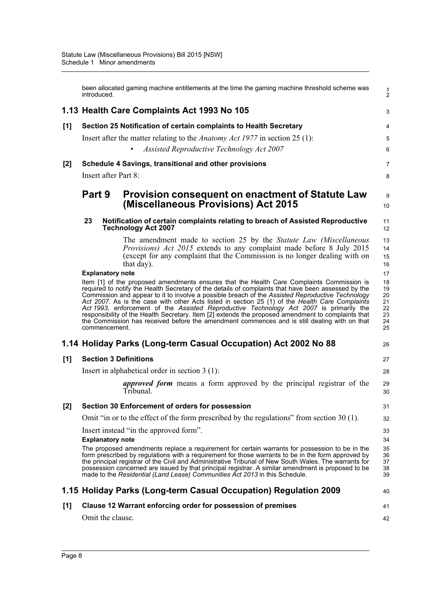|       | introduced.                              | been allocated gaming machine entitlements at the time the gaming machine threshold scheme was                                                                                                                                                                                                                                                                                                                                                                                                                                                                                                                                                                                                           | $\frac{1}{2}$                                      |
|-------|------------------------------------------|----------------------------------------------------------------------------------------------------------------------------------------------------------------------------------------------------------------------------------------------------------------------------------------------------------------------------------------------------------------------------------------------------------------------------------------------------------------------------------------------------------------------------------------------------------------------------------------------------------------------------------------------------------------------------------------------------------|----------------------------------------------------|
|       |                                          | 1.13 Health Care Complaints Act 1993 No 105                                                                                                                                                                                                                                                                                                                                                                                                                                                                                                                                                                                                                                                              | 3                                                  |
| [1]   |                                          | Section 25 Notification of certain complaints to Health Secretary                                                                                                                                                                                                                                                                                                                                                                                                                                                                                                                                                                                                                                        | 4                                                  |
|       |                                          | Insert after the matter relating to the <i>Anatomy Act 1977</i> in section 25 (1):                                                                                                                                                                                                                                                                                                                                                                                                                                                                                                                                                                                                                       | 5                                                  |
|       |                                          | Assisted Reproductive Technology Act 2007<br>$\bullet$                                                                                                                                                                                                                                                                                                                                                                                                                                                                                                                                                                                                                                                   | 6                                                  |
| $[2]$ |                                          | Schedule 4 Savings, transitional and other provisions                                                                                                                                                                                                                                                                                                                                                                                                                                                                                                                                                                                                                                                    | 7                                                  |
|       | Insert after Part 8:                     |                                                                                                                                                                                                                                                                                                                                                                                                                                                                                                                                                                                                                                                                                                          | 8                                                  |
|       | Part 9                                   | <b>Provision consequent on enactment of Statute Law</b><br>(Miscellaneous Provisions) Act 2015                                                                                                                                                                                                                                                                                                                                                                                                                                                                                                                                                                                                           | 9<br>10                                            |
|       | 23                                       | Notification of certain complaints relating to breach of Assisted Reproductive<br><b>Technology Act 2007</b>                                                                                                                                                                                                                                                                                                                                                                                                                                                                                                                                                                                             | 11<br>12                                           |
|       |                                          | The amendment made to section 25 by the Statute Law (Miscellaneous<br>Provisions) Act 2015 extends to any complaint made before 8 July 2015<br>(except for any complaint that the Commission is no longer dealing with on<br>that day).                                                                                                                                                                                                                                                                                                                                                                                                                                                                  | 13<br>14<br>15<br>16                               |
|       | <b>Explanatory note</b><br>commencement. | Item [1] of the proposed amendments ensures that the Health Care Complaints Commission is<br>required to notify the Health Secretary of the details of complaints that have been assessed by the<br>Commission and appear to it to involve a possible breach of the Assisted Reproductive Technology<br>Act 2007. As is the case with other Acts listed in section 25 (1) of the Health Care Complaints<br>Act 1993, enforcement of the Assisted Reproductive Technology Act 2007 is primarily the<br>responsibility of the Health Secretary. Item [2] extends the proposed amendment to complaints that<br>the Commission has received before the amendment commences and is still dealing with on that | 17<br>18<br>19<br>20<br>21<br>22<br>23<br>24<br>25 |
|       |                                          | 1.14 Holiday Parks (Long-term Casual Occupation) Act 2002 No 88                                                                                                                                                                                                                                                                                                                                                                                                                                                                                                                                                                                                                                          | 26                                                 |
| [1]   |                                          | <b>Section 3 Definitions</b>                                                                                                                                                                                                                                                                                                                                                                                                                                                                                                                                                                                                                                                                             | 27                                                 |
|       |                                          | Insert in alphabetical order in section $3(1)$ :                                                                                                                                                                                                                                                                                                                                                                                                                                                                                                                                                                                                                                                         | 28                                                 |
|       |                                          | approved form means a form approved by the principal registrar of the<br>Tribunal.                                                                                                                                                                                                                                                                                                                                                                                                                                                                                                                                                                                                                       | 29<br>30                                           |
| [2]   |                                          | Section 30 Enforcement of orders for possession                                                                                                                                                                                                                                                                                                                                                                                                                                                                                                                                                                                                                                                          | 31                                                 |
|       |                                          | Omit "in or to the effect of the form prescribed by the regulations" from section 30 (1).                                                                                                                                                                                                                                                                                                                                                                                                                                                                                                                                                                                                                | 32                                                 |
|       |                                          | Insert instead "in the approved form".                                                                                                                                                                                                                                                                                                                                                                                                                                                                                                                                                                                                                                                                   | 33                                                 |
|       | <b>Explanatory note</b>                  | The proposed amendments replace a requirement for certain warrants for possession to be in the<br>form prescribed by regulations with a requirement for those warrants to be in the form approved by<br>the principal registrar of the Civil and Administrative Tribunal of New South Wales. The warrants for<br>possession concerned are issued by that principal registrar. A similar amendment is proposed to be<br>made to the Residential (Land Lease) Communities Act 2013 in this Schedule.                                                                                                                                                                                                       | 34<br>35<br>36<br>37<br>38<br>39                   |
|       |                                          | 1.15 Holiday Parks (Long-term Casual Occupation) Regulation 2009                                                                                                                                                                                                                                                                                                                                                                                                                                                                                                                                                                                                                                         | 40                                                 |
| [1]   |                                          | Clause 12 Warrant enforcing order for possession of premises                                                                                                                                                                                                                                                                                                                                                                                                                                                                                                                                                                                                                                             | 41                                                 |
|       | Omit the clause.                         |                                                                                                                                                                                                                                                                                                                                                                                                                                                                                                                                                                                                                                                                                                          | 42                                                 |
|       |                                          |                                                                                                                                                                                                                                                                                                                                                                                                                                                                                                                                                                                                                                                                                                          |                                                    |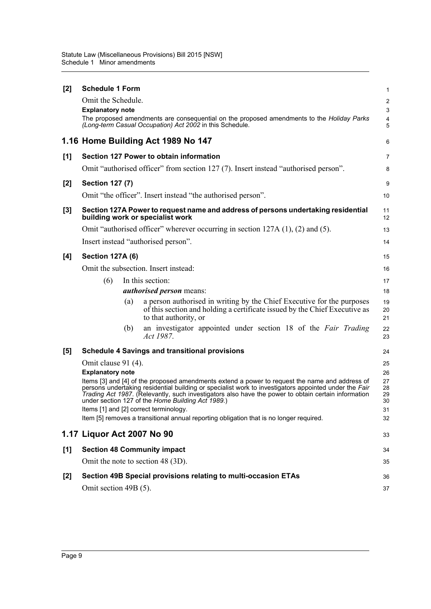| [2]   | <b>Schedule 1 Form</b>                        |     |                                                                                                                                                                                                                                                                                                                                                                     | 1                                                   |
|-------|-----------------------------------------------|-----|---------------------------------------------------------------------------------------------------------------------------------------------------------------------------------------------------------------------------------------------------------------------------------------------------------------------------------------------------------------------|-----------------------------------------------------|
|       | Omit the Schedule.<br><b>Explanatory note</b> |     | The proposed amendments are consequential on the proposed amendments to the Holiday Parks<br>(Long-term Casual Occupation) Act 2002 in this Schedule.                                                                                                                                                                                                               | $\overline{c}$<br>3<br>$\overline{\mathbf{4}}$<br>5 |
|       |                                               |     | 1.16 Home Building Act 1989 No 147                                                                                                                                                                                                                                                                                                                                  | 6                                                   |
| [1]   |                                               |     | Section 127 Power to obtain information                                                                                                                                                                                                                                                                                                                             | 7                                                   |
|       |                                               |     | Omit "authorised officer" from section 127 (7). Insert instead "authorised person".                                                                                                                                                                                                                                                                                 | 8                                                   |
| [2]   | <b>Section 127 (7)</b>                        |     |                                                                                                                                                                                                                                                                                                                                                                     | 9                                                   |
|       |                                               |     | Omit "the officer". Insert instead "the authorised person".                                                                                                                                                                                                                                                                                                         | 10                                                  |
| $[3]$ |                                               |     | Section 127A Power to request name and address of persons undertaking residential<br>building work or specialist work                                                                                                                                                                                                                                               | 11<br>12                                            |
|       |                                               |     | Omit "authorised officer" wherever occurring in section 127A (1), (2) and (5).                                                                                                                                                                                                                                                                                      | 13                                                  |
|       |                                               |     | Insert instead "authorised person".                                                                                                                                                                                                                                                                                                                                 | 14                                                  |
| [4]   | <b>Section 127A (6)</b>                       |     |                                                                                                                                                                                                                                                                                                                                                                     | 15                                                  |
|       |                                               |     | Omit the subsection. Insert instead:                                                                                                                                                                                                                                                                                                                                | 16                                                  |
|       | (6)                                           |     | In this section:                                                                                                                                                                                                                                                                                                                                                    | 17                                                  |
|       |                                               |     | authorised person means:                                                                                                                                                                                                                                                                                                                                            | 18                                                  |
|       |                                               | (a) | a person authorised in writing by the Chief Executive for the purposes<br>of this section and holding a certificate issued by the Chief Executive as<br>to that authority, or                                                                                                                                                                                       | 19<br>20<br>21                                      |
|       |                                               | (b) | an investigator appointed under section 18 of the Fair Trading<br>Act 1987.                                                                                                                                                                                                                                                                                         | 22<br>23                                            |
| [5]   |                                               |     | <b>Schedule 4 Savings and transitional provisions</b>                                                                                                                                                                                                                                                                                                               | 24                                                  |
|       | Omit clause 91 (4).                           |     |                                                                                                                                                                                                                                                                                                                                                                     | 25                                                  |
|       | <b>Explanatory note</b>                       |     |                                                                                                                                                                                                                                                                                                                                                                     | 26                                                  |
|       |                                               |     | Items [3] and [4] of the proposed amendments extend a power to request the name and address of<br>persons undertaking residential building or specialist work to investigators appointed under the Fair<br>Trading Act 1987. (Relevantly, such investigators also have the power to obtain certain information<br>under section 127 of the Home Building Act 1989.) | 27<br>28<br>29<br>30                                |
|       |                                               |     | Items [1] and [2] correct terminology.<br>Item [5] removes a transitional annual reporting obligation that is no longer required.                                                                                                                                                                                                                                   | 31<br>32                                            |
|       | 1.17 Liquor Act 2007 No 90                    |     |                                                                                                                                                                                                                                                                                                                                                                     |                                                     |
|       |                                               |     |                                                                                                                                                                                                                                                                                                                                                                     | 33                                                  |
| [1]   |                                               |     | <b>Section 48 Community impact</b>                                                                                                                                                                                                                                                                                                                                  | 34                                                  |
|       |                                               |     | Omit the note to section 48 (3D).                                                                                                                                                                                                                                                                                                                                   | 35                                                  |
| [2]   |                                               |     | Section 49B Special provisions relating to multi-occasion ETAs                                                                                                                                                                                                                                                                                                      | 36                                                  |
|       | Omit section 49B (5).                         |     |                                                                                                                                                                                                                                                                                                                                                                     | 37                                                  |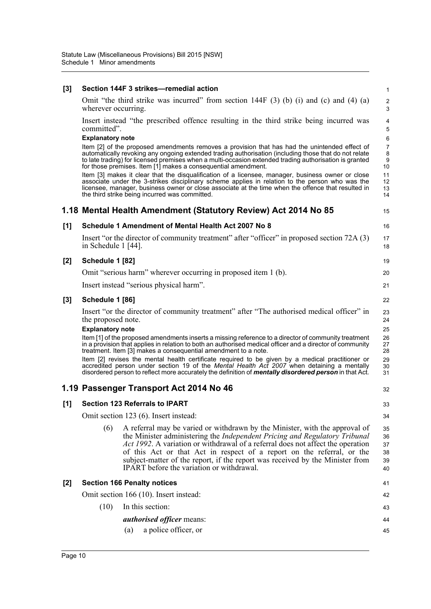| $[3]$ |                                               | Section 144F 3 strikes-remedial action                                                                                                                                                                                                                                                                                                                                                                                                                                                                                                                                                    | 1                                                             |
|-------|-----------------------------------------------|-------------------------------------------------------------------------------------------------------------------------------------------------------------------------------------------------------------------------------------------------------------------------------------------------------------------------------------------------------------------------------------------------------------------------------------------------------------------------------------------------------------------------------------------------------------------------------------------|---------------------------------------------------------------|
|       | wherever occurring.                           | Omit "the third strike was incurred" from section $144F(3)$ (b) (i) and (c) and (4) (a)                                                                                                                                                                                                                                                                                                                                                                                                                                                                                                   | 2<br>$\mathsf 3$                                              |
|       | committed".                                   | Insert instead "the prescribed offence resulting in the third strike being incurred was                                                                                                                                                                                                                                                                                                                                                                                                                                                                                                   | 4<br>5                                                        |
|       | <b>Explanatory note</b>                       | Item [2] of the proposed amendments removes a provision that has had the unintended effect of<br>automatically revoking any ongoing extended trading authorisation (including those that do not relate<br>to late trading) for licensed premises when a multi-occasion extended trading authorisation is granted<br>for those premises. Item [1] makes a consequential amendment.<br>Item [3] makes it clear that the disqualification of a licensee, manager, business owner or close<br>associate under the 3-strikes disciplinary scheme applies in relation to the person who was the | $6\phantom{1}6$<br>$\overline{7}$<br>8<br>9<br>10<br>11<br>12 |
|       |                                               | licensee, manager, business owner or close associate at the time when the offence that resulted in<br>the third strike being incurred was committed.                                                                                                                                                                                                                                                                                                                                                                                                                                      | 13<br>14                                                      |
|       |                                               | 1.18 Mental Health Amendment (Statutory Review) Act 2014 No 85                                                                                                                                                                                                                                                                                                                                                                                                                                                                                                                            | 15                                                            |
| [1]   |                                               | Schedule 1 Amendment of Mental Health Act 2007 No 8                                                                                                                                                                                                                                                                                                                                                                                                                                                                                                                                       | 16                                                            |
|       | in Schedule 1 [44].                           | Insert "or the director of community treatment" after "officer" in proposed section 72A (3)                                                                                                                                                                                                                                                                                                                                                                                                                                                                                               | 17<br>18                                                      |
| $[2]$ | Schedule 1 [82]                               |                                                                                                                                                                                                                                                                                                                                                                                                                                                                                                                                                                                           | 19                                                            |
|       |                                               | Omit "serious harm" wherever occurring in proposed item 1 (b).                                                                                                                                                                                                                                                                                                                                                                                                                                                                                                                            | 20                                                            |
|       |                                               | Insert instead "serious physical harm".                                                                                                                                                                                                                                                                                                                                                                                                                                                                                                                                                   | 21                                                            |
| $[3]$ | Schedule 1 [86]                               |                                                                                                                                                                                                                                                                                                                                                                                                                                                                                                                                                                                           | 22                                                            |
|       | the proposed note.<br><b>Explanatory note</b> | Insert "or the director of community treatment" after "The authorised medical officer" in<br>Item [1] of the proposed amendments inserts a missing reference to a director of community treatment<br>in a provision that applies in relation to both an authorised medical officer and a director of community<br>treatment. Item [3] makes a consequential amendment to a note.<br>Item [2] revises the mental health certificate required to be given by a medical practitioner or                                                                                                      | 23<br>24<br>25<br>26<br>27<br>28<br>29                        |
|       |                                               | accredited person under section 19 of the Mental Health Act 2007 when detaining a mentally<br>disordered person to reflect more accurately the definition of <i>mentally disordered person</i> in that Act.                                                                                                                                                                                                                                                                                                                                                                               | 30<br>31                                                      |
|       |                                               | 1.19 Passenger Transport Act 2014 No 46                                                                                                                                                                                                                                                                                                                                                                                                                                                                                                                                                   | 32                                                            |
| [1]   |                                               | <b>Section 123 Referrals to IPART</b>                                                                                                                                                                                                                                                                                                                                                                                                                                                                                                                                                     | 33                                                            |
|       |                                               | Omit section 123 (6). Insert instead:                                                                                                                                                                                                                                                                                                                                                                                                                                                                                                                                                     | 34                                                            |
|       | (6)                                           | A referral may be varied or withdrawn by the Minister, with the approval of<br>the Minister administering the <i>Independent Pricing and Regulatory Tribunal</i><br>Act 1992. A variation or withdrawal of a referral does not affect the operation<br>of this Act or that Act in respect of a report on the referral, or the<br>subject-matter of the report, if the report was received by the Minister from<br>IPART before the variation or withdrawal.                                                                                                                               | 35<br>36<br>37<br>38<br>39<br>40                              |
| $[2]$ |                                               | <b>Section 166 Penalty notices</b>                                                                                                                                                                                                                                                                                                                                                                                                                                                                                                                                                        | 41                                                            |
|       |                                               | Omit section 166 (10). Insert instead:                                                                                                                                                                                                                                                                                                                                                                                                                                                                                                                                                    | 42                                                            |
|       | (10)                                          | In this section:                                                                                                                                                                                                                                                                                                                                                                                                                                                                                                                                                                          | 43                                                            |
|       |                                               | <i>authorised officer means:</i>                                                                                                                                                                                                                                                                                                                                                                                                                                                                                                                                                          | 44                                                            |
|       |                                               | a police officer, or                                                                                                                                                                                                                                                                                                                                                                                                                                                                                                                                                                      |                                                               |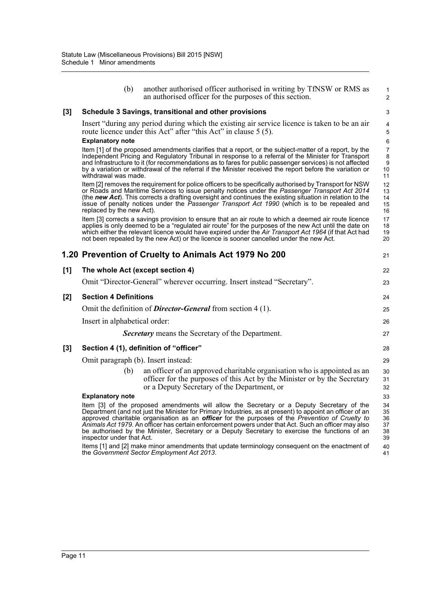|       | (b)                                 | another authorised officer authorised in writing by TfNSW or RMS as<br>an authorised officer for the purposes of this section.                                                                                                                                                                                                                                                                                                                                                                                                   | 1<br>$\overline{2}$                                 |
|-------|-------------------------------------|----------------------------------------------------------------------------------------------------------------------------------------------------------------------------------------------------------------------------------------------------------------------------------------------------------------------------------------------------------------------------------------------------------------------------------------------------------------------------------------------------------------------------------|-----------------------------------------------------|
| $[3]$ |                                     | Schedule 3 Savings, transitional and other provisions                                                                                                                                                                                                                                                                                                                                                                                                                                                                            | 3                                                   |
|       | <b>Explanatory note</b>             | Insert "during any period during which the existing air service licence is taken to be an air<br>route licence under this Act" after "this Act" in clause 5 (5).                                                                                                                                                                                                                                                                                                                                                                 | $\overline{\mathbf{4}}$<br>5<br>6                   |
|       | withdrawal was made.                | Item [1] of the proposed amendments clarifies that a report, or the subject-matter of a report, by the<br>Independent Pricing and Regulatory Tribunal in response to a referral of the Minister for Transport<br>and Infrastructure to it (for recommendations as to fares for public passenger services) is not affected<br>by a variation or withdrawal of the referral if the Minister received the report before the variation or                                                                                            | $\overline{7}$<br>8<br>$\boldsymbol{9}$<br>10<br>11 |
|       | replaced by the new Act).           | Item [2] removes the requirement for police officers to be specifically authorised by Transport for NSW<br>or Roads and Maritime Services to issue penalty notices under the Passenger Transport Act 2014<br>(the new Act). This corrects a drafting oversight and continues the existing situation in relation to the<br>issue of penalty notices under the <i>Passenger Transport Act 1990</i> (which is to be repealed and                                                                                                    | 12<br>13<br>14<br>15<br>16                          |
|       |                                     | Item [3] corrects a savings provision to ensure that an air route to which a deemed air route licence<br>applies is only deemed to be a "regulated air route" for the purposes of the new Act until the date on<br>which either the relevant licence would have expired under the Air Transport Act 1964 (if that Act had<br>not been repealed by the new Act) or the licence is sooner cancelled under the new Act.                                                                                                             | 17<br>18<br>19<br>20                                |
|       |                                     | 1.20 Prevention of Cruelty to Animals Act 1979 No 200                                                                                                                                                                                                                                                                                                                                                                                                                                                                            | 21                                                  |
| [1]   | The whole Act (except section 4)    |                                                                                                                                                                                                                                                                                                                                                                                                                                                                                                                                  | 22                                                  |
|       |                                     | Omit "Director-General" wherever occurring. Insert instead "Secretary".                                                                                                                                                                                                                                                                                                                                                                                                                                                          | 23                                                  |
| [2]   | <b>Section 4 Definitions</b>        |                                                                                                                                                                                                                                                                                                                                                                                                                                                                                                                                  | 24                                                  |
|       |                                     | Omit the definition of <b>Director-General</b> from section 4 (1).                                                                                                                                                                                                                                                                                                                                                                                                                                                               | 25                                                  |
|       | Insert in alphabetical order:       |                                                                                                                                                                                                                                                                                                                                                                                                                                                                                                                                  | 26                                                  |
|       |                                     | Secretary means the Secretary of the Department.                                                                                                                                                                                                                                                                                                                                                                                                                                                                                 | 27                                                  |
| $[3]$ |                                     | Section 4 (1), definition of "officer"                                                                                                                                                                                                                                                                                                                                                                                                                                                                                           | 28                                                  |
|       | Omit paragraph (b). Insert instead: |                                                                                                                                                                                                                                                                                                                                                                                                                                                                                                                                  | 29                                                  |
|       | (b)                                 | an officer of an approved charitable organisation who is appointed as an<br>officer for the purposes of this Act by the Minister or by the Secretary<br>or a Deputy Secretary of the Department, or                                                                                                                                                                                                                                                                                                                              | 30<br>31<br>32                                      |
|       | <b>Explanatory note</b>             |                                                                                                                                                                                                                                                                                                                                                                                                                                                                                                                                  | 33                                                  |
|       | inspector under that Act.           | Item [3] of the proposed amendments will allow the Secretary or a Deputy Secretary of the<br>Department (and not just the Minister for Primary Industries, as at present) to appoint an officer of an<br>approved charitable organisation as an <b>officer</b> for the purposes of the <i>Prevention of Cruelty to</i><br>Animals Act 1979. An officer has certain enforcement powers under that Act. Such an officer may also<br>be authorised by the Minister, Secretary or a Deputy Secretary to exercise the functions of an | 34<br>35<br>36<br>37<br>38<br>39                    |
|       |                                     | Items [1] and [2] make minor amendments that update terminology consequent on the enactment of<br>the Government Sector Employment Act 2013.                                                                                                                                                                                                                                                                                                                                                                                     | 40<br>41                                            |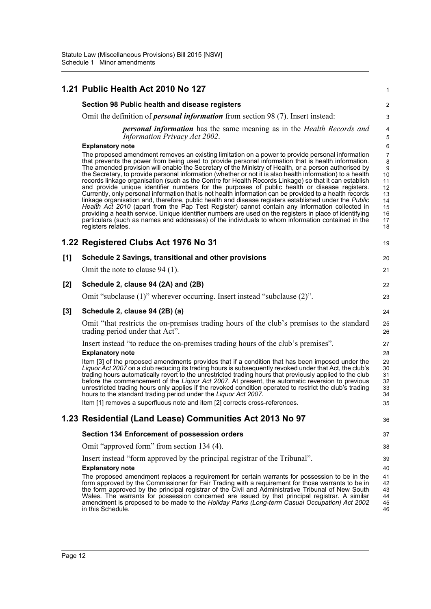|     | 1.21 Public Health Act 2010 No 127                                                                                                                                                                                                                                                                                                                                                                                                                                                                                                                                                                                                                                                                                                                                                                                                                                                                                                                                                                                                                                                                                                                                                                 | 1                                                                 |
|-----|----------------------------------------------------------------------------------------------------------------------------------------------------------------------------------------------------------------------------------------------------------------------------------------------------------------------------------------------------------------------------------------------------------------------------------------------------------------------------------------------------------------------------------------------------------------------------------------------------------------------------------------------------------------------------------------------------------------------------------------------------------------------------------------------------------------------------------------------------------------------------------------------------------------------------------------------------------------------------------------------------------------------------------------------------------------------------------------------------------------------------------------------------------------------------------------------------|-------------------------------------------------------------------|
|     | Section 98 Public health and disease registers                                                                                                                                                                                                                                                                                                                                                                                                                                                                                                                                                                                                                                                                                                                                                                                                                                                                                                                                                                                                                                                                                                                                                     | $\overline{\mathbf{c}}$                                           |
|     | Omit the definition of <i>personal information</i> from section 98 (7). Insert instead:                                                                                                                                                                                                                                                                                                                                                                                                                                                                                                                                                                                                                                                                                                                                                                                                                                                                                                                                                                                                                                                                                                            | 3                                                                 |
|     | <b>personal information</b> has the same meaning as in the <i>Health Records and</i><br><b>Information Privacy Act 2002.</b>                                                                                                                                                                                                                                                                                                                                                                                                                                                                                                                                                                                                                                                                                                                                                                                                                                                                                                                                                                                                                                                                       | 4<br>5                                                            |
|     | <b>Explanatory note</b>                                                                                                                                                                                                                                                                                                                                                                                                                                                                                                                                                                                                                                                                                                                                                                                                                                                                                                                                                                                                                                                                                                                                                                            | 6                                                                 |
|     | The proposed amendment removes an existing limitation on a power to provide personal information<br>that prevents the power from being used to provide personal information that is health information.<br>The amended provision will enable the Secretary of the Ministry of Health, or a person authorised by<br>the Secretary, to provide personal information (whether or not it is also health information) to a health<br>records linkage organisation (such as the Centre for Health Records Linkage) so that it can establish<br>and provide unique identifier numbers for the purposes of public health or disease registers.<br>Currently, only personal information that is not health information can be provided to a health records<br>linkage organisation and, therefore, public health and disease registers established under the Public<br>Health Act 2010 (apart from the Pap Test Register) cannot contain any information collected in<br>providing a health service. Unique identifier numbers are used on the registers in place of identifying<br>particulars (such as names and addresses) of the individuals to whom information contained in the<br>registers relates. | 7<br>8<br>9<br>10<br>11<br>12<br>13<br>14<br>15<br>16<br>17<br>18 |
|     | 1.22 Registered Clubs Act 1976 No 31                                                                                                                                                                                                                                                                                                                                                                                                                                                                                                                                                                                                                                                                                                                                                                                                                                                                                                                                                                                                                                                                                                                                                               | 19                                                                |
| [1] | Schedule 2 Savings, transitional and other provisions                                                                                                                                                                                                                                                                                                                                                                                                                                                                                                                                                                                                                                                                                                                                                                                                                                                                                                                                                                                                                                                                                                                                              | 20                                                                |
|     | Omit the note to clause 94 (1).                                                                                                                                                                                                                                                                                                                                                                                                                                                                                                                                                                                                                                                                                                                                                                                                                                                                                                                                                                                                                                                                                                                                                                    | 21                                                                |
| [2] | Schedule 2, clause 94 (2A) and (2B)                                                                                                                                                                                                                                                                                                                                                                                                                                                                                                                                                                                                                                                                                                                                                                                                                                                                                                                                                                                                                                                                                                                                                                | 22                                                                |
|     | Omit "subclause (1)" wherever occurring. Insert instead "subclause (2)".                                                                                                                                                                                                                                                                                                                                                                                                                                                                                                                                                                                                                                                                                                                                                                                                                                                                                                                                                                                                                                                                                                                           | 23                                                                |
| [3] | Schedule 2, clause 94 (2B) (a)                                                                                                                                                                                                                                                                                                                                                                                                                                                                                                                                                                                                                                                                                                                                                                                                                                                                                                                                                                                                                                                                                                                                                                     | 24                                                                |
|     | Omit "that restricts the on-premises trading hours of the club's premises to the standard<br>trading period under that Act".                                                                                                                                                                                                                                                                                                                                                                                                                                                                                                                                                                                                                                                                                                                                                                                                                                                                                                                                                                                                                                                                       | 25<br>26                                                          |
|     | Insert instead "to reduce the on-premises trading hours of the club's premises".                                                                                                                                                                                                                                                                                                                                                                                                                                                                                                                                                                                                                                                                                                                                                                                                                                                                                                                                                                                                                                                                                                                   | 27                                                                |
|     | <b>Explanatory note</b><br>Item [3] of the proposed amendments provides that if a condition that has been imposed under the<br>Liquor Act 2007 on a club reducing its trading hours is subsequently revoked under that Act, the club's<br>trading hours automatically revert to the unrestricted trading hours that previously applied to the club<br>before the commencement of the Liquor Act 2007. At present, the automatic reversion to previous<br>unrestricted trading hours only applies if the revoked condition operated to restrict the club's trading<br>hours to the standard trading period under the Liquor Act 2007.<br>Item [1] removes a superfluous note and item [2] corrects cross-references                                                                                                                                                                                                                                                                                                                                                                                                                                                                                 | 28<br>29<br>30<br>31<br>32<br>33<br>34<br>35                      |
|     | 1.23 Residential (Land Lease) Communities Act 2013 No 97                                                                                                                                                                                                                                                                                                                                                                                                                                                                                                                                                                                                                                                                                                                                                                                                                                                                                                                                                                                                                                                                                                                                           | 36                                                                |
|     | Section 134 Enforcement of possession orders                                                                                                                                                                                                                                                                                                                                                                                                                                                                                                                                                                                                                                                                                                                                                                                                                                                                                                                                                                                                                                                                                                                                                       | 37                                                                |
|     | Omit "approved form" from section 134 (4).                                                                                                                                                                                                                                                                                                                                                                                                                                                                                                                                                                                                                                                                                                                                                                                                                                                                                                                                                                                                                                                                                                                                                         | 38                                                                |
|     | Insert instead "form approved by the principal registrar of the Tribunal".<br><b>Explanatory note</b><br>The proposed amendment replaces a requirement for certain warrants for possession to be in the<br>form approved by the Commissioner for Fair Trading with a requirement for those warrants to be in<br>the form approved by the principal registrar of the Civil and Administrative Tribunal of New South<br>Wales. The warrants for possession concerned are issued by that principal registrar. A similar<br>amendment is proposed to be made to the Holiday Parks (Long-term Casual Occupation) Act 2002                                                                                                                                                                                                                                                                                                                                                                                                                                                                                                                                                                               | 39<br>40<br>41<br>42<br>43<br>44<br>45                            |
|     | in this Schedule.                                                                                                                                                                                                                                                                                                                                                                                                                                                                                                                                                                                                                                                                                                                                                                                                                                                                                                                                                                                                                                                                                                                                                                                  | 46                                                                |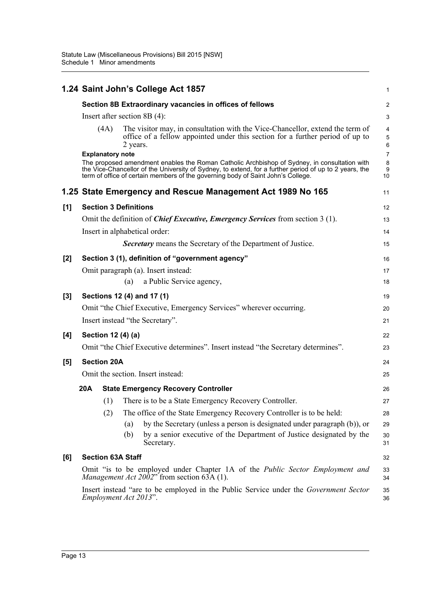|     |     |                         |                              | 1.24 Saint John's College Act 1857                                                                                                                                                                                                                                                         | 1                                               |
|-----|-----|-------------------------|------------------------------|--------------------------------------------------------------------------------------------------------------------------------------------------------------------------------------------------------------------------------------------------------------------------------------------|-------------------------------------------------|
|     |     |                         |                              | Section 8B Extraordinary vacancies in offices of fellows                                                                                                                                                                                                                                   | $\overline{2}$                                  |
|     |     |                         |                              | Insert after section 8B $(4)$ :                                                                                                                                                                                                                                                            | 3                                               |
|     |     | (4A)                    | 2 years.                     | The visitor may, in consultation with the Vice-Chancellor, extend the term of<br>office of a fellow appointed under this section for a further period of up to                                                                                                                             | $\overline{\mathbf{4}}$<br>5<br>$6\phantom{1}6$ |
|     |     | <b>Explanatory note</b> |                              | The proposed amendment enables the Roman Catholic Archbishop of Sydney, in consultation with<br>the Vice-Chancellor of the University of Sydney, to extend, for a further period of up to 2 years, the<br>term of office of certain members of the governing body of Saint John's College. | $\overline{7}$<br>8<br>9<br>10                  |
|     |     |                         |                              | 1.25 State Emergency and Rescue Management Act 1989 No 165                                                                                                                                                                                                                                 | 11                                              |
| [1] |     |                         | <b>Section 3 Definitions</b> |                                                                                                                                                                                                                                                                                            | 12                                              |
|     |     |                         |                              | Omit the definition of <i>Chief Executive, Emergency Services</i> from section 3 (1).                                                                                                                                                                                                      | 13                                              |
|     |     |                         |                              | Insert in alphabetical order:                                                                                                                                                                                                                                                              | 14                                              |
|     |     |                         |                              | <b>Secretary</b> means the Secretary of the Department of Justice.                                                                                                                                                                                                                         | 15                                              |
| [2] |     |                         |                              | Section 3 (1), definition of "government agency"                                                                                                                                                                                                                                           | 16                                              |
|     |     |                         |                              | Omit paragraph (a). Insert instead:                                                                                                                                                                                                                                                        | 17                                              |
|     |     |                         | (a)                          | a Public Service agency,                                                                                                                                                                                                                                                                   | 18                                              |
| [3] |     |                         |                              | Sections 12 (4) and 17 (1)                                                                                                                                                                                                                                                                 | 19                                              |
|     |     |                         |                              | Omit "the Chief Executive, Emergency Services" wherever occurring.                                                                                                                                                                                                                         | 20                                              |
|     |     |                         |                              | Insert instead "the Secretary".                                                                                                                                                                                                                                                            | 21                                              |
| [4] |     |                         | Section 12 (4) (a)           |                                                                                                                                                                                                                                                                                            | 22                                              |
|     |     |                         |                              | Omit "the Chief Executive determines". Insert instead "the Secretary determines".                                                                                                                                                                                                          | 23                                              |
| [5] |     | <b>Section 20A</b>      |                              |                                                                                                                                                                                                                                                                                            | 24                                              |
|     |     |                         |                              | Omit the section. Insert instead:                                                                                                                                                                                                                                                          | 25                                              |
|     | 20A |                         |                              | <b>State Emergency Recovery Controller</b>                                                                                                                                                                                                                                                 | 26                                              |
|     |     | (1)                     |                              | There is to be a State Emergency Recovery Controller.                                                                                                                                                                                                                                      | 27                                              |
|     |     | (2)                     |                              | The office of the State Emergency Recovery Controller is to be held:                                                                                                                                                                                                                       | 28                                              |
|     |     |                         | (a)                          | by the Secretary (unless a person is designated under paragraph (b)), or                                                                                                                                                                                                                   | 29                                              |
|     |     |                         | (b)                          | by a senior executive of the Department of Justice designated by the<br>Secretary.                                                                                                                                                                                                         | 30<br>31                                        |
| [6] |     |                         | <b>Section 63A Staff</b>     |                                                                                                                                                                                                                                                                                            | 32                                              |
|     |     |                         |                              | Omit "is to be employed under Chapter 1A of the <i>Public Sector Employment and</i><br><i>Management Act 2002</i> " from section 63A (1).                                                                                                                                                  | 33<br>34                                        |
|     |     |                         | Employment Act 2013".        | Insert instead "are to be employed in the Public Service under the <i>Government Sector</i>                                                                                                                                                                                                | 35<br>36                                        |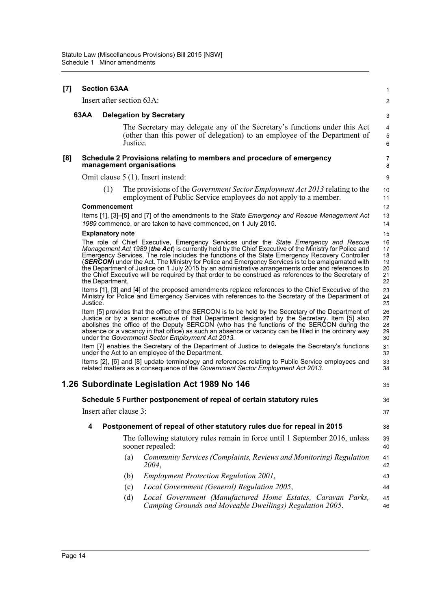| $[7]$ |          | <b>Section 63AA</b>       |                                                                                                                                                                                                                                                                                                                                                                                                                                                                                                                                                                                                                   | 1                                      |
|-------|----------|---------------------------|-------------------------------------------------------------------------------------------------------------------------------------------------------------------------------------------------------------------------------------------------------------------------------------------------------------------------------------------------------------------------------------------------------------------------------------------------------------------------------------------------------------------------------------------------------------------------------------------------------------------|----------------------------------------|
|       |          | Insert after section 63A: |                                                                                                                                                                                                                                                                                                                                                                                                                                                                                                                                                                                                                   | 2                                      |
|       | 63AA     |                           | <b>Delegation by Secretary</b>                                                                                                                                                                                                                                                                                                                                                                                                                                                                                                                                                                                    | 3                                      |
|       |          |                           | The Secretary may delegate any of the Secretary's functions under this Act<br>(other than this power of delegation) to an employee of the Department of<br>Justice.                                                                                                                                                                                                                                                                                                                                                                                                                                               | 4<br>5<br>6                            |
| [8]   |          |                           | Schedule 2 Provisions relating to members and procedure of emergency<br>management organisations                                                                                                                                                                                                                                                                                                                                                                                                                                                                                                                  | 7<br>8                                 |
|       |          |                           | Omit clause 5 (1). Insert instead:                                                                                                                                                                                                                                                                                                                                                                                                                                                                                                                                                                                | 9                                      |
|       |          | (1)                       | The provisions of the <i>Government Sector Employment Act 2013</i> relating to the<br>employment of Public Service employees do not apply to a member.                                                                                                                                                                                                                                                                                                                                                                                                                                                            | 10<br>11                               |
|       |          | <b>Commencement</b>       |                                                                                                                                                                                                                                                                                                                                                                                                                                                                                                                                                                                                                   | 12                                     |
|       |          |                           | Items [1], [3]-[5] and [7] of the amendments to the State Emergency and Rescue Management Act<br>1989 commence, or are taken to have commenced, on 1 July 2015.                                                                                                                                                                                                                                                                                                                                                                                                                                                   | 13<br>14                               |
|       |          | <b>Explanatory note</b>   |                                                                                                                                                                                                                                                                                                                                                                                                                                                                                                                                                                                                                   | 15                                     |
|       |          | the Department.           | The role of Chief Executive, Emergency Services under the State Emergency and Rescue<br>Management Act 1989 (the Act) is currently held by the Chief Executive of the Ministry for Police and<br>Emergency Services. The role includes the functions of the State Emergency Recovery Controller<br>(SERCON) under the Act. The Ministry for Police and Emergency Services is to be amalgamated with<br>the Department of Justice on 1 July 2015 by an administrative arrangements order and references to<br>the Chief Executive will be required by that order to be construed as references to the Secretary of | 16<br>17<br>18<br>19<br>20<br>21<br>22 |
|       | Justice. |                           | Items [1], [3] and [4] of the proposed amendments replace references to the Chief Executive of the<br>Ministry for Police and Emergency Services with references to the Secretary of the Department of                                                                                                                                                                                                                                                                                                                                                                                                            | 23<br>24<br>25                         |
|       |          |                           | Item [5] provides that the office of the SERCON is to be held by the Secretary of the Department of<br>Justice or by a senior executive of that Department designated by the Secretary. Item [5] also<br>abolishes the office of the Deputy SERCON (who has the functions of the SERCON during the<br>absence or a vacancy in that office) as such an absence or vacancy can be filled in the ordinary way<br>under the Government Sector Employment Act 2013.                                                                                                                                                    | 26<br>27<br>28<br>29<br>30             |
|       |          |                           | Item [7] enables the Secretary of the Department of Justice to delegate the Secretary's functions<br>under the Act to an employee of the Department.                                                                                                                                                                                                                                                                                                                                                                                                                                                              | 31<br>32                               |
|       |          |                           | Items [2], [6] and [8] update terminology and references relating to Public Service employees and<br>related matters as a consequence of the Government Sector Employment Act 2013.                                                                                                                                                                                                                                                                                                                                                                                                                               | 33<br>34                               |
|       |          |                           | 1.26 Subordinate Legislation Act 1989 No 146                                                                                                                                                                                                                                                                                                                                                                                                                                                                                                                                                                      | 35                                     |
|       |          |                           | Schedule 5 Further postponement of repeal of certain statutory rules                                                                                                                                                                                                                                                                                                                                                                                                                                                                                                                                              | 36                                     |
|       |          | Insert after clause 3:    |                                                                                                                                                                                                                                                                                                                                                                                                                                                                                                                                                                                                                   | 37                                     |
|       | 4        |                           | Postponement of repeal of other statutory rules due for repeal in 2015                                                                                                                                                                                                                                                                                                                                                                                                                                                                                                                                            | 38                                     |
|       |          |                           | The following statutory rules remain in force until 1 September 2016, unless<br>sooner repealed:                                                                                                                                                                                                                                                                                                                                                                                                                                                                                                                  | 39<br>40                               |
|       |          | (a)                       | Community Services (Complaints, Reviews and Monitoring) Regulation<br>2004,                                                                                                                                                                                                                                                                                                                                                                                                                                                                                                                                       | 41<br>42                               |
|       |          | (b)                       | <b>Employment Protection Regulation 2001,</b>                                                                                                                                                                                                                                                                                                                                                                                                                                                                                                                                                                     | 43                                     |
|       |          | (c)                       | Local Government (General) Regulation 2005,                                                                                                                                                                                                                                                                                                                                                                                                                                                                                                                                                                       | 44                                     |
|       |          | (d)                       | Local Government (Manufactured Home Estates, Caravan Parks,<br>Camping Grounds and Moveable Dwellings) Regulation 2005.                                                                                                                                                                                                                                                                                                                                                                                                                                                                                           | 45<br>46                               |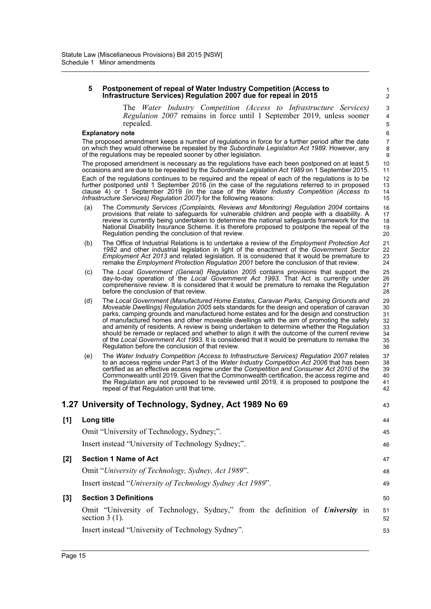#### **5 Postponement of repeal of Water Industry Competition (Access to Infrastructure Services) Regulation 2007 due for repeal in 2015**

The *Water Industry Competition (Access to Infrastructure Services) Regulation 2007* remains in force until 1 September 2019, unless sooner repealed.

43

#### **Explanatory note**

The proposed amendment keeps a number of regulations in force for a further period after the date on which they would otherwise be repealed by the *Subordinate Legislation Act 1989*. However, any of the regulations may be repealed sooner by other legislation.

The proposed amendment is necessary as the regulations have each been postponed on at least 5 occasions and are due to be repealed by the *Subordinate Legislation Act 1989* on 1 September 2015. Each of the regulations continues to be required and the repeal of each of the regulations is to be further postponed until 1 September 2016 (in the case of the regulations referred to in proposed clause 4) or 1 September 2019 (in the case of the *Water Industry Competition (Access to Infrastructure Services) Regulation 2007*) for the following reasons:

- (a) The *Community Services (Complaints, Reviews and Monitoring) Regulation 2004* contains provisions that relate to safeguards for vulnerable children and people with a disability. A review is currently being undertaken to determine the national safeguards framework for the National Disability Insurance Scheme. It is therefore proposed to postpone the repeal of the Regulation pending the conclusion of that review.
- (b) The Office of Industrial Relations is to undertake a review of the *Employment Protection Act 1982* and other industrial legislation in light of the enactment of the *Government Sector Employment Act 2013* and related legislation. It is considered that it would be premature to remake the *Employment Protection Regulation 2001* before the conclusion of that review.
- (c) The *Local Government (General) Regulation 2005* contains provisions that support the day-to-day operation of the *Local Government Act 1993*. That Act is currently under comprehensive review. It is considered that it would be premature to remake the Regulation before the conclusion of that review.
- (d) The *Local Government (Manufactured Home Estates, Caravan Parks, Camping Grounds and Moveable Dwellings) Regulation 2005* sets standards for the design and operation of caravan parks, camping grounds and manufactured home estates and for the design and construction of manufactured homes and other moveable dwellings with the aim of promoting the safety and amenity of residents. A review is being undertaken to determine whether the Regulation should be remade or replaced and whether to align it with the outcome of the current review of the *Local Government Act 1993*. It is considered that it would be premature to remake the Regulation before the conclusion of that review. 29 30 31 32 33 34 35 36
- (e) The *Water Industry Competition (Access to Infrastructure Services) Regulation 2007* relates to an access regime under Part 3 of the *Water Industry Competition Act 2006* that has been certified as an effective access regime under the *Competition and Consumer Act 2010* of the Commonwealth until 2019. Given that the Commonwealth certification, the access regime and the Regulation are not proposed to be reviewed until 2019, it is proposed to postpone the repeal of that Regulation until that time. 37 38 39 40 41 42

#### **1.27 University of Technology, Sydney, Act 1989 No 69**

| [1] | Long title                                                                                        | 44       |
|-----|---------------------------------------------------------------------------------------------------|----------|
|     | Omit "University of Technology, Sydney;".                                                         | 45       |
|     | Insert instead "University of Technology Sydney;".                                                | 46       |
| [2] | <b>Section 1 Name of Act</b>                                                                      | 47       |
|     | Omit "University of Technology, Sydney, Act 1989".                                                | 48       |
|     | Insert instead "University of Technology Sydney Act 1989".                                        | 49       |
| [3] | <b>Section 3 Definitions</b>                                                                      | 50       |
|     | Omit "University of Technology, Sydney," from the definition of University in<br>section $3(1)$ . | 51<br>52 |
|     | Insert instead "University of Technology Sydney".                                                 | 53       |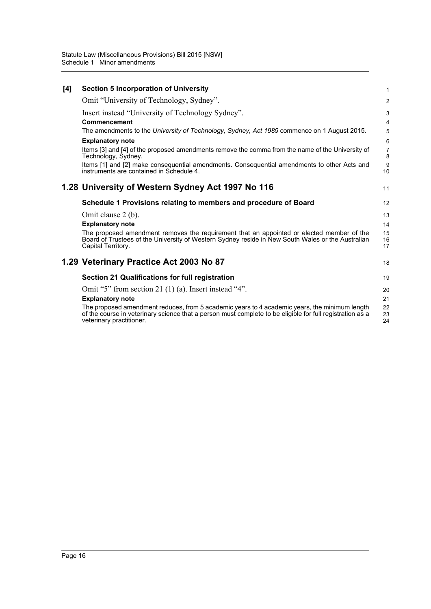| [4] | <b>Section 5 Incorporation of University</b>                                                                                                                                                                                           | 1                   |
|-----|----------------------------------------------------------------------------------------------------------------------------------------------------------------------------------------------------------------------------------------|---------------------|
|     | Omit "University of Technology, Sydney".                                                                                                                                                                                               | $\overline{2}$      |
|     | Insert instead "University of Technology Sydney".<br>Commencement                                                                                                                                                                      | 3<br>4              |
|     | The amendments to the University of Technology, Sydney, Act 1989 commence on 1 August 2015.                                                                                                                                            | 5                   |
|     | <b>Explanatory note</b>                                                                                                                                                                                                                | 6                   |
|     | Items [3] and [4] of the proposed amendments remove the comma from the name of the University of<br>Technology, Sydney.                                                                                                                | $\overline{7}$<br>8 |
|     | Items [1] and [2] make consequential amendments. Consequential amendments to other Acts and<br>instruments are contained in Schedule 4.                                                                                                | 9<br>10             |
|     | 1.28 University of Western Sydney Act 1997 No 116                                                                                                                                                                                      | 11                  |
|     | Schedule 1 Provisions relating to members and procedure of Board                                                                                                                                                                       | 12                  |
|     | Omit clause 2 (b).                                                                                                                                                                                                                     | 13                  |
|     | <b>Explanatory note</b>                                                                                                                                                                                                                | 14                  |
|     | The proposed amendment removes the requirement that an appointed or elected member of the<br>Board of Trustees of the University of Western Sydney reside in New South Wales or the Australian<br>Capital Territory.                   | 15<br>16<br>17      |
|     | 1.29 Veterinary Practice Act 2003 No 87                                                                                                                                                                                                | 18                  |
|     | Section 21 Qualifications for full registration                                                                                                                                                                                        | 19                  |
|     | Omit "5" from section 21 (1) (a). Insert instead "4".                                                                                                                                                                                  | 20                  |
|     | <b>Explanatory note</b>                                                                                                                                                                                                                | 21                  |
|     | The proposed amendment reduces, from 5 academic years to 4 academic years, the minimum length<br>of the course in veterinary science that a person must complete to be eligible for full registration as a<br>veterinary practitioner. | 22<br>23<br>24      |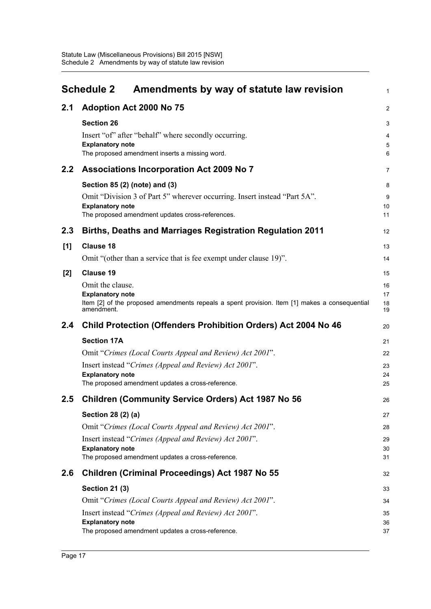<span id="page-20-0"></span>

|                  | <b>Schedule 2</b><br>Amendments by way of statute law revision                                                           | 1                   |
|------------------|--------------------------------------------------------------------------------------------------------------------------|---------------------|
| 2.1              | Adoption Act 2000 No 75                                                                                                  | 2                   |
|                  | <b>Section 26</b>                                                                                                        | 3                   |
|                  | Insert "of" after "behalf" where secondly occurring.                                                                     | 4                   |
|                  | <b>Explanatory note</b><br>The proposed amendment inserts a missing word.                                                | $\overline{5}$<br>6 |
| $2.2\phantom{0}$ | Associations Incorporation Act 2009 No 7                                                                                 |                     |
|                  |                                                                                                                          | $\overline{7}$      |
|                  | Section 85 (2) (note) and (3)                                                                                            | 8                   |
|                  | Omit "Division 3 of Part 5" wherever occurring. Insert instead "Part 5A".<br><b>Explanatory note</b>                     | 9<br>10             |
|                  | The proposed amendment updates cross-references.                                                                         | 11                  |
| 2.3              | <b>Births, Deaths and Marriages Registration Regulation 2011</b>                                                         | 12                  |
| [1]              | <b>Clause 18</b>                                                                                                         | 13                  |
|                  | Omit "(other than a service that is fee exempt under clause 19)".                                                        | 14                  |
| $[2]$            | <b>Clause 19</b>                                                                                                         | 15                  |
|                  | Omit the clause.                                                                                                         | 16                  |
|                  | <b>Explanatory note</b><br>Item [2] of the proposed amendments repeals a spent provision. Item [1] makes a consequential | 17<br>18            |
|                  | amendment.                                                                                                               | 19                  |
| 2.4              | <b>Child Protection (Offenders Prohibition Orders) Act 2004 No 46</b>                                                    | 20                  |
|                  | <b>Section 17A</b>                                                                                                       | 21                  |
|                  | Omit "Crimes (Local Courts Appeal and Review) Act 2001".                                                                 | 22                  |
|                  | Insert instead "Crimes (Appeal and Review) Act 2001".                                                                    | 23                  |
|                  | <b>Explanatory note</b><br>The proposed amendment updates a cross-reference.                                             | 24<br>25            |
| 2.5              | <b>Children (Community Service Orders) Act 1987 No 56</b>                                                                | 26                  |
|                  | Section 28 (2) (a)                                                                                                       | 27                  |
|                  | Omit "Crimes (Local Courts Appeal and Review) Act 2001".                                                                 | 28                  |
|                  | Insert instead "Crimes (Appeal and Review) Act 2001".                                                                    | 29                  |
|                  | <b>Explanatory note</b>                                                                                                  | 30                  |
|                  | The proposed amendment updates a cross-reference.                                                                        | 31                  |
| 2.6              | Children (Criminal Proceedings) Act 1987 No 55                                                                           | 32                  |
|                  | <b>Section 21 (3)</b>                                                                                                    | 33                  |
|                  | Omit "Crimes (Local Courts Appeal and Review) Act 2001".                                                                 | 34                  |
|                  | Insert instead "Crimes (Appeal and Review) Act 2001".                                                                    | 35                  |
|                  | <b>Explanatory note</b><br>The proposed amendment updates a cross-reference.                                             | 36<br>37            |
|                  |                                                                                                                          |                     |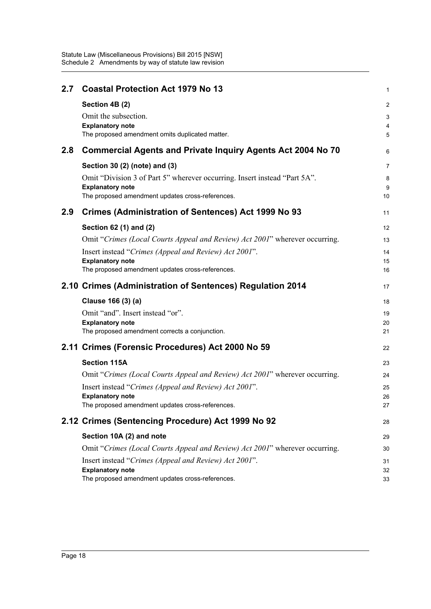| 2.7 | <b>Coastal Protection Act 1979 No 13</b>                                                             | 1        |
|-----|------------------------------------------------------------------------------------------------------|----------|
|     | Section 4B (2)                                                                                       | 2        |
|     | Omit the subsection.                                                                                 | 3        |
|     | <b>Explanatory note</b><br>The proposed amendment omits duplicated matter.                           | 4<br>5   |
|     |                                                                                                      |          |
| 2.8 | <b>Commercial Agents and Private Inquiry Agents Act 2004 No 70</b>                                   | 6        |
|     | Section 30 (2) (note) and (3)                                                                        | 7        |
|     | Omit "Division 3 of Part 5" wherever occurring. Insert instead "Part 5A".<br><b>Explanatory note</b> | 8        |
|     | The proposed amendment updates cross-references.                                                     | 9<br>10  |
| 2.9 | <b>Crimes (Administration of Sentences) Act 1999 No 93</b>                                           | 11       |
|     | Section 62 (1) and (2)                                                                               | 12       |
|     | Omit "Crimes (Local Courts Appeal and Review) Act 2001" wherever occurring.                          | 13       |
|     | Insert instead "Crimes (Appeal and Review) Act 2001".                                                | 14       |
|     | <b>Explanatory note</b>                                                                              | 15       |
|     | The proposed amendment updates cross-references.                                                     | 16       |
|     | 2.10 Crimes (Administration of Sentences) Regulation 2014                                            | 17       |
|     | Clause 166 (3) (a)                                                                                   | 18       |
|     | Omit "and". Insert instead "or".                                                                     | 19       |
|     | <b>Explanatory note</b><br>The proposed amendment corrects a conjunction.                            | 20<br>21 |
|     | 2.11 Crimes (Forensic Procedures) Act 2000 No 59                                                     | 22       |
|     | <b>Section 115A</b>                                                                                  | 23       |
|     | Omit "Crimes (Local Courts Appeal and Review) Act 2001" wherever occurring.                          | 24       |
|     | Insert instead "Crimes (Appeal and Review) Act 2001".                                                | 25       |
|     | <b>Explanatory note</b>                                                                              | 26       |
|     | The proposed amendment updates cross-references.                                                     | 27       |
|     | 2.12 Crimes (Sentencing Procedure) Act 1999 No 92                                                    | 28       |
|     | Section 10A (2) and note                                                                             | 29       |
|     | Omit "Crimes (Local Courts Appeal and Review) Act 2001" wherever occurring.                          | 30       |
|     | Insert instead "Crimes (Appeal and Review) Act 2001".                                                | 31       |
|     | <b>Explanatory note</b><br>The proposed amendment updates cross-references.                          | 32<br>33 |
|     |                                                                                                      |          |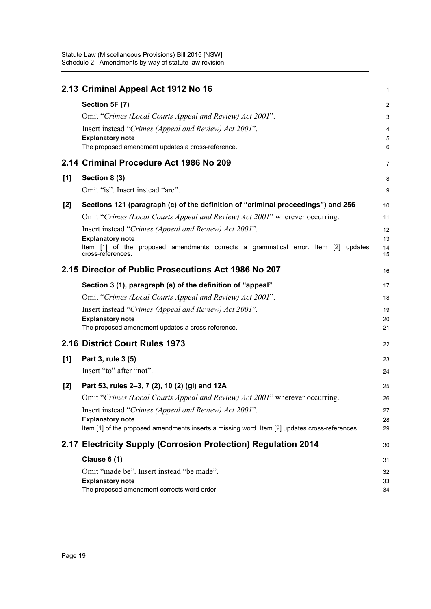|     | 2.13 Criminal Appeal Act 1912 No 16                                                                     | 1              |
|-----|---------------------------------------------------------------------------------------------------------|----------------|
|     | Section 5F (7)                                                                                          | $\overline{2}$ |
|     | Omit "Crimes (Local Courts Appeal and Review) Act 2001".                                                | 3              |
|     | Insert instead "Crimes (Appeal and Review) Act 2001".                                                   | 4              |
|     | <b>Explanatory note</b>                                                                                 | $\overline{5}$ |
|     | The proposed amendment updates a cross-reference.                                                       | 6              |
|     | 2.14 Criminal Procedure Act 1986 No 209                                                                 | $\overline{7}$ |
| [1] | Section 8 (3)                                                                                           | 8              |
|     | Omit "is". Insert instead "are".                                                                        | 9              |
| [2] | Sections 121 (paragraph (c) of the definition of "criminal proceedings") and 256                        | 10             |
|     | Omit "Crimes (Local Courts Appeal and Review) Act 2001" wherever occurring.                             | 11             |
|     | Insert instead "Crimes (Appeal and Review) Act 2001".                                                   | 12             |
|     | <b>Explanatory note</b>                                                                                 | 13             |
|     | Item [1] of the proposed amendments corrects a grammatical error. Item [2] updates<br>cross-references. | 14<br>15       |
|     | 2.15 Director of Public Prosecutions Act 1986 No 207                                                    | 16             |
|     | Section 3 (1), paragraph (a) of the definition of "appeal"                                              | 17             |
|     | Omit "Crimes (Local Courts Appeal and Review) Act 2001".                                                | 18             |
|     | Insert instead "Crimes (Appeal and Review) Act 2001".                                                   | 19             |
|     | <b>Explanatory note</b>                                                                                 | 20             |
|     | The proposed amendment updates a cross-reference.                                                       | 21             |
|     | 2.16 District Court Rules 1973                                                                          | 22             |
| [1] | Part 3, rule 3 (5)                                                                                      | 23             |
|     | Insert "to" after "not".                                                                                | 24             |
| [2] | Part 53, rules 2–3, 7 (2), 10 (2) (gi) and 12A                                                          | 25             |
|     | Omit "Crimes (Local Courts Appeal and Review) Act 2001" wherever occurring.                             | 26             |
|     | Insert instead "Crimes (Appeal and Review) Act 2001".                                                   | 27             |
|     | <b>Explanatory note</b>                                                                                 | 28             |
|     | Item [1] of the proposed amendments inserts a missing word. Item [2] updates cross-references.          | 29             |
|     | 2.17 Electricity Supply (Corrosion Protection) Regulation 2014                                          | 30             |
|     | <b>Clause 6 (1)</b>                                                                                     | 31             |
|     | Omit "made be". Insert instead "be made".                                                               | 32             |
|     | <b>Explanatory note</b>                                                                                 | 33             |
|     | The proposed amendment corrects word order.                                                             | 34             |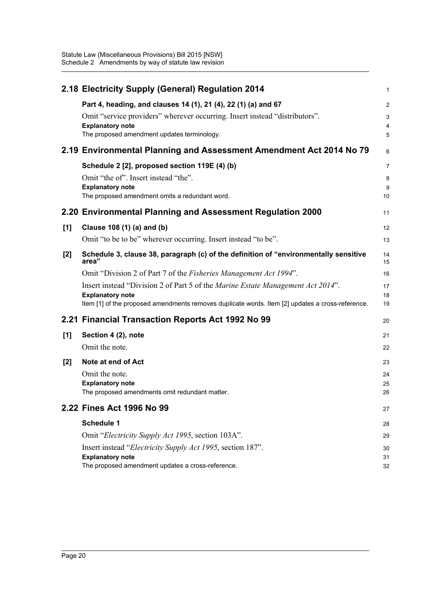|     | 2.18 Electricity Supply (General) Regulation 2014                                                                                                                                                                       | 1                             |
|-----|-------------------------------------------------------------------------------------------------------------------------------------------------------------------------------------------------------------------------|-------------------------------|
|     | Part 4, heading, and clauses 14 (1), 21 (4), 22 (1) (a) and 67<br>Omit "service providers" wherever occurring. Insert instead "distributors".<br><b>Explanatory note</b><br>The proposed amendment updates terminology. | $\overline{c}$<br>3<br>4<br>5 |
|     | 2.19 Environmental Planning and Assessment Amendment Act 2014 No 79                                                                                                                                                     | 6                             |
|     | Schedule 2 [2], proposed section 119E (4) (b)<br>Omit "the of". Insert instead "the".<br><b>Explanatory note</b><br>The proposed amendment omits a redundant word.                                                      | 7<br>8<br>9<br>10             |
|     | 2.20 Environmental Planning and Assessment Regulation 2000                                                                                                                                                              | 11                            |
| [1] | Clause 108 (1) (a) and (b)<br>Omit "to be to be" wherever occurring. Insert instead "to be".                                                                                                                            | 12<br>13                      |
| [2] | Schedule 3, clause 38, paragraph (c) of the definition of "environmentally sensitive<br>area"                                                                                                                           | 14<br>15                      |
|     | Omit "Division 2 of Part 7 of the Fisheries Management Act 1994".                                                                                                                                                       | 16                            |
|     | Insert instead "Division 2 of Part 5 of the Marine Estate Management Act 2014".<br><b>Explanatory note</b><br>Item [1] of the proposed amendments removes duplicate words. Item [2] updates a cross-reference.          | 17<br>18<br>19                |
|     | 2.21 Financial Transaction Reports Act 1992 No 99                                                                                                                                                                       | 20                            |
| [1] | Section 4 (2), note<br>Omit the note.                                                                                                                                                                                   | 21<br>22                      |
| [2] | Note at end of Act<br>Omit the note.<br><b>Explanatory note</b><br>The proposed amendments omit redundant matter.                                                                                                       | 23<br>24<br>25<br>26          |
|     | 2.22 Fines Act 1996 No 99                                                                                                                                                                                               | 27                            |
|     | Schedule 1                                                                                                                                                                                                              | 28                            |
|     | Omit "Electricity Supply Act 1995, section 103A".                                                                                                                                                                       | 29                            |
|     | Insert instead " <i>Electricity Supply Act 1995</i> , section 187".<br><b>Explanatory note</b><br>The proposed amendment updates a cross-reference.                                                                     | 30<br>31<br>32                |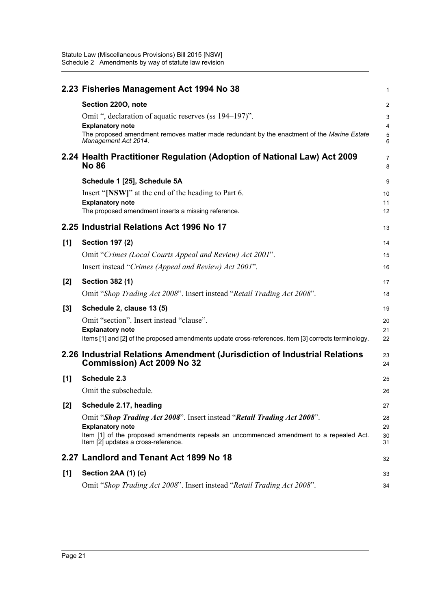|       | 2.23 Fisheries Management Act 1994 No 38                                                                           | 1                       |
|-------|--------------------------------------------------------------------------------------------------------------------|-------------------------|
|       | Section 2200, note                                                                                                 | $\overline{\mathbf{c}}$ |
|       | Omit ", declaration of aquatic reserves (ss 194–197)".<br><b>Explanatory note</b>                                  | 3<br>4                  |
|       | The proposed amendment removes matter made redundant by the enactment of the Marine Estate<br>Management Act 2014. | 5<br>6                  |
|       | 2.24 Health Practitioner Regulation (Adoption of National Law) Act 2009<br><b>No 86</b>                            | 7<br>8                  |
|       | Schedule 1 [25], Schedule 5A                                                                                       | 9                       |
|       | Insert "[NSW]" at the end of the heading to Part 6.                                                                | 10                      |
|       | <b>Explanatory note</b>                                                                                            | 11                      |
|       | The proposed amendment inserts a missing reference.                                                                | 12                      |
|       | 2.25 Industrial Relations Act 1996 No 17                                                                           | 13                      |
| [1]   | <b>Section 197 (2)</b>                                                                                             | 14                      |
|       | Omit "Crimes (Local Courts Appeal and Review) Act 2001".                                                           | 15                      |
|       | Insert instead "Crimes (Appeal and Review) Act 2001".                                                              | 16                      |
| [2]   | <b>Section 382 (1)</b>                                                                                             | 17                      |
|       | Omit "Shop Trading Act 2008". Insert instead "Retail Trading Act 2008".                                            | 18                      |
| $[3]$ | Schedule 2, clause 13 (5)                                                                                          | 19                      |
|       | Omit "section". Insert instead "clause".                                                                           | 20                      |
|       | <b>Explanatory note</b>                                                                                            | 21                      |
|       | Items [1] and [2] of the proposed amendments update cross-references. Item [3] corrects terminology.               | 22                      |
|       | 2.26 Industrial Relations Amendment (Jurisdiction of Industrial Relations<br><b>Commission) Act 2009 No 32</b>     | 23<br>24                |
| [1]   | Schedule 2.3                                                                                                       | 25                      |
|       | Omit the subschedule.                                                                                              | 26                      |
| $[2]$ | Schedule 2.17, heading                                                                                             | 27                      |
|       | Omit "Shop Trading Act 2008". Insert instead "Retail Trading Act 2008".                                            | 28                      |
|       | <b>Explanatory note</b><br>Item [1] of the proposed amendments repeals an uncommenced amendment to a repealed Act. | 29<br>30                |
|       | Item [2] updates a cross-reference.                                                                                | 31                      |
|       | 2.27 Landlord and Tenant Act 1899 No 18                                                                            | 32                      |
| [1]   | Section 2AA (1) (c)                                                                                                | 33                      |
|       | Omit "Shop Trading Act 2008". Insert instead "Retail Trading Act 2008".                                            | 34                      |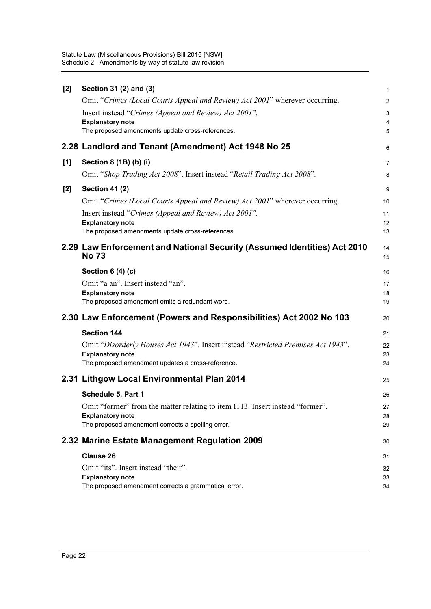| [2] | Section 31 (2) and (3)                                                                   | $\mathbf{1}$   |
|-----|------------------------------------------------------------------------------------------|----------------|
|     | Omit "Crimes (Local Courts Appeal and Review) Act 2001" wherever occurring.              | $\overline{2}$ |
|     | Insert instead "Crimes (Appeal and Review) Act 2001".                                    | 3              |
|     | <b>Explanatory note</b>                                                                  | $\overline{4}$ |
|     | The proposed amendments update cross-references.                                         | 5              |
|     | 2.28 Landlord and Tenant (Amendment) Act 1948 No 25                                      | 6              |
| [1] | Section 8 (1B) (b) (i)                                                                   | $\overline{7}$ |
|     | Omit "Shop Trading Act 2008". Insert instead "Retail Trading Act 2008".                  | 8              |
| [2] | <b>Section 41 (2)</b>                                                                    | 9              |
|     | Omit "Crimes (Local Courts Appeal and Review) Act 2001" wherever occurring.              | 10             |
|     | Insert instead "Crimes (Appeal and Review) Act 2001".                                    | 11             |
|     | <b>Explanatory note</b>                                                                  | 12             |
|     | The proposed amendments update cross-references.                                         | 13             |
|     | 2.29 Law Enforcement and National Security (Assumed Identities) Act 2010<br><b>No 73</b> | 14<br>15       |
|     | <b>Section 6 (4) (c)</b>                                                                 | 16             |
|     | Omit "a an". Insert instead "an".                                                        | 17             |
|     | <b>Explanatory note</b>                                                                  | 18             |
|     |                                                                                          |                |
|     | The proposed amendment omits a redundant word.                                           | 19             |
|     | 2.30 Law Enforcement (Powers and Responsibilities) Act 2002 No 103                       | 20             |
|     | <b>Section 144</b>                                                                       | 21             |
|     | Omit "Disorderly Houses Act 1943". Insert instead "Restricted Premises Act 1943".        | 22             |
|     | <b>Explanatory note</b>                                                                  | 23             |
|     | The proposed amendment updates a cross-reference.                                        | 24             |
|     | 2.31 Lithgow Local Environmental Plan 2014                                               | 25             |
|     | Schedule 5, Part 1                                                                       | 26             |
|     | Omit "forrner" from the matter relating to item I113. Insert instead "former".           | 27             |
|     | <b>Explanatory note</b>                                                                  | 28             |
|     | The proposed amendment corrects a spelling error.                                        | 29             |
|     | 2.32 Marine Estate Management Regulation 2009                                            | 30             |
|     | <b>Clause 26</b>                                                                         | 31             |
|     | Omit "its". Insert instead "their".                                                      | 32             |
|     | <b>Explanatory note</b><br>The proposed amendment corrects a grammatical error.          | 33<br>34       |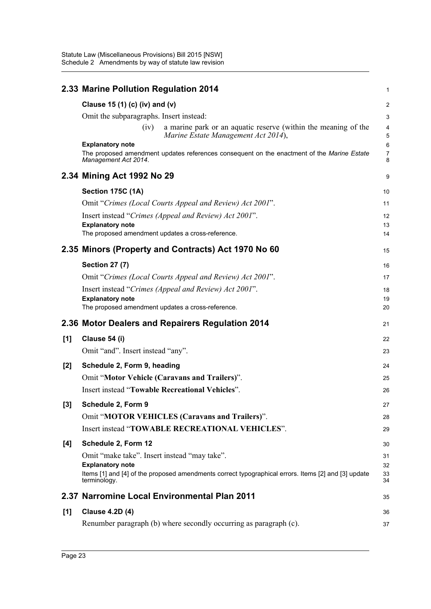|     | 2.33 Marine Pollution Regulation 2014                                                                               | 1                   |
|-----|---------------------------------------------------------------------------------------------------------------------|---------------------|
|     | Clause 15 (1) (c) (iv) and (v)                                                                                      | $\overline{2}$      |
|     | Omit the subparagraphs. Insert instead:                                                                             | 3                   |
|     | a marine park or an aquatic reserve (within the meaning of the<br>(iv)<br>Marine Estate Management Act 2014),       | $\overline{4}$<br>5 |
|     | <b>Explanatory note</b>                                                                                             | $6\phantom{1}6$     |
|     | The proposed amendment updates references consequent on the enactment of the Marine Estate<br>Management Act 2014.  | $\overline{7}$<br>8 |
|     | 2.34 Mining Act 1992 No 29                                                                                          | 9                   |
|     | Section 175C (1A)                                                                                                   | 10                  |
|     | Omit "Crimes (Local Courts Appeal and Review) Act 2001".                                                            | 11                  |
|     | Insert instead "Crimes (Appeal and Review) Act 2001".                                                               | 12                  |
|     | <b>Explanatory note</b>                                                                                             | 13                  |
|     | The proposed amendment updates a cross-reference.                                                                   | 14                  |
|     | 2.35 Minors (Property and Contracts) Act 1970 No 60                                                                 | 15                  |
|     | <b>Section 27 (7)</b>                                                                                               | 16                  |
|     | Omit "Crimes (Local Courts Appeal and Review) Act 2001".                                                            | 17                  |
|     | Insert instead "Crimes (Appeal and Review) Act 2001".                                                               | 18                  |
|     | <b>Explanatory note</b>                                                                                             | 19                  |
|     | The proposed amendment updates a cross-reference.                                                                   | 20                  |
|     | 2.36 Motor Dealers and Repairers Regulation 2014                                                                    | 21                  |
| [1] | Clause 54 (i)                                                                                                       | 22                  |
|     | Omit "and". Insert instead "any".                                                                                   | 23                  |
| [2] | Schedule 2, Form 9, heading                                                                                         | 24                  |
|     | Omit "Motor Vehicle (Caravans and Trailers)".                                                                       | 25                  |
|     | Insert instead "Towable Recreational Vehicles".                                                                     | 26                  |
| [3] | Schedule 2, Form 9                                                                                                  | 27                  |
|     | Omit "MOTOR VEHICLES (Caravans and Trailers)".                                                                      | 28                  |
|     | Insert instead "TOWABLE RECREATIONAL VEHICLES".                                                                     | 29                  |
| [4] | Schedule 2, Form 12                                                                                                 | 30                  |
|     | Omit "make take". Insert instead "may take".                                                                        | 31                  |
|     | <b>Explanatory note</b>                                                                                             | 32                  |
|     | Items [1] and [4] of the proposed amendments correct typographical errors. Items [2] and [3] update<br>terminology. | 33<br>34            |
|     | 2.37 Narromine Local Environmental Plan 2011                                                                        | 35                  |
| [1] | <b>Clause 4.2D (4)</b>                                                                                              | 36                  |
|     | Renumber paragraph (b) where secondly occurring as paragraph (c).                                                   | 37                  |
|     |                                                                                                                     |                     |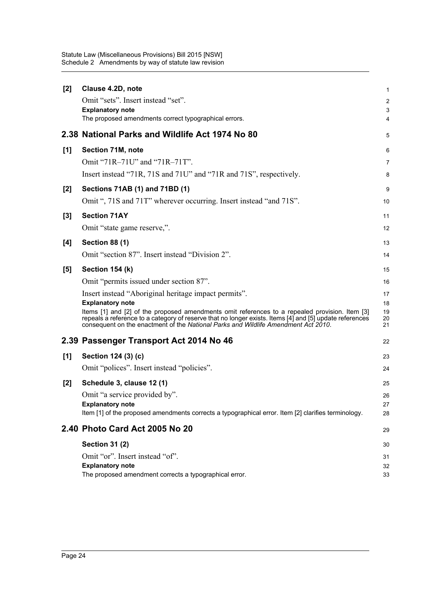| $[2]$ | Clause 4.2D, note                                                                                                                                                                                                                                                                               | 1                       |
|-------|-------------------------------------------------------------------------------------------------------------------------------------------------------------------------------------------------------------------------------------------------------------------------------------------------|-------------------------|
|       | Omit "sets". Insert instead "set".                                                                                                                                                                                                                                                              | $\overline{\mathbf{c}}$ |
|       | <b>Explanatory note</b>                                                                                                                                                                                                                                                                         | 3                       |
|       | The proposed amendments correct typographical errors.                                                                                                                                                                                                                                           | 4                       |
|       | 2.38 National Parks and Wildlife Act 1974 No 80                                                                                                                                                                                                                                                 | 5                       |
| [1]   | Section 71M, note                                                                                                                                                                                                                                                                               | 6                       |
|       | Omit "71R-71U" and "71R-71T".                                                                                                                                                                                                                                                                   | 7                       |
|       | Insert instead "71R, 71S and 71U" and "71R and 71S", respectively.                                                                                                                                                                                                                              | 8                       |
| [2]   | Sections 71AB (1) and 71BD (1)                                                                                                                                                                                                                                                                  | 9                       |
|       | Omit ", 71S and 71T" wherever occurring. Insert instead "and 71S".                                                                                                                                                                                                                              | 10                      |
| $[3]$ | <b>Section 71AY</b>                                                                                                                                                                                                                                                                             | 11                      |
|       | Omit "state game reserve,".                                                                                                                                                                                                                                                                     | 12                      |
| [4]   | <b>Section 88 (1)</b>                                                                                                                                                                                                                                                                           | 13                      |
|       | Omit "section 87". Insert instead "Division 2".                                                                                                                                                                                                                                                 | 14                      |
| [5]   | Section 154 (k)                                                                                                                                                                                                                                                                                 | 15                      |
|       | Omit "permits issued under section 87".                                                                                                                                                                                                                                                         | 16                      |
|       |                                                                                                                                                                                                                                                                                                 |                         |
|       | Insert instead "Aboriginal heritage impact permits".                                                                                                                                                                                                                                            | 17                      |
|       | <b>Explanatory note</b>                                                                                                                                                                                                                                                                         | 18                      |
|       | Items [1] and [2] of the proposed amendments omit references to a repealed provision. Item [3]<br>repeals a reference to a category of reserve that no longer exists. Items [4] and [5] update references<br>consequent on the enactment of the National Parks and Wildlife Amendment Act 2010. | 19<br>20<br>21          |
|       | 2.39 Passenger Transport Act 2014 No 46                                                                                                                                                                                                                                                         | 22                      |
| [1]   | Section 124 (3) (c)                                                                                                                                                                                                                                                                             | 23                      |
|       | Omit "polices". Insert instead "policies".                                                                                                                                                                                                                                                      | 24                      |
| $[2]$ | Schedule 3, clause 12 (1)                                                                                                                                                                                                                                                                       | 25                      |
|       | Omit "a service provided by".                                                                                                                                                                                                                                                                   | 26                      |
|       | <b>Explanatory note</b>                                                                                                                                                                                                                                                                         | 27                      |
|       | Item [1] of the proposed amendments corrects a typographical error. Item [2] clarifies terminology.                                                                                                                                                                                             | 28                      |
|       | 2.40 Photo Card Act 2005 No 20                                                                                                                                                                                                                                                                  | 29                      |
|       | <b>Section 31 (2)</b>                                                                                                                                                                                                                                                                           | 30                      |
|       | Omit "or". Insert instead "of".                                                                                                                                                                                                                                                                 | 31                      |
|       | <b>Explanatory note</b><br>The proposed amendment corrects a typographical error.                                                                                                                                                                                                               | 32<br>33                |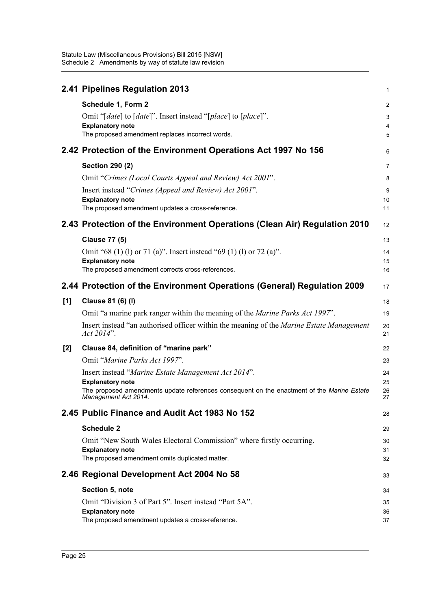Statute Law (Miscellaneous Provisions) Bill 2015 [NSW] Schedule 2 Amendments by way of statute law revision

|       | 2.41 Pipelines Regulation 2013                                                                                        | 1              |
|-------|-----------------------------------------------------------------------------------------------------------------------|----------------|
|       | Schedule 1, Form 2                                                                                                    | $\overline{2}$ |
|       | Omit "[date] to [date]". Insert instead "[place] to [place]".                                                         | 3              |
|       | <b>Explanatory note</b>                                                                                               | 4              |
|       | The proposed amendment replaces incorrect words.                                                                      | 5              |
|       | 2.42 Protection of the Environment Operations Act 1997 No 156                                                         | 6              |
|       | <b>Section 290 (2)</b>                                                                                                | $\overline{7}$ |
|       | Omit "Crimes (Local Courts Appeal and Review) Act 2001".                                                              | 8              |
|       | Insert instead "Crimes (Appeal and Review) Act 2001".                                                                 | 9              |
|       | <b>Explanatory note</b><br>The proposed amendment updates a cross-reference.                                          | 10<br>11       |
|       |                                                                                                                       |                |
|       | 2.43 Protection of the Environment Operations (Clean Air) Regulation 2010                                             | 12             |
|       | <b>Clause 77 (5)</b>                                                                                                  | 13             |
|       | Omit "68 (1) (1) or 71 (a)". Insert instead "69 (1) (1) or 72 (a)".                                                   | 14             |
|       | <b>Explanatory note</b><br>The proposed amendment corrects cross-references.                                          | 15<br>16       |
|       |                                                                                                                       |                |
|       | 2.44 Protection of the Environment Operations (General) Regulation 2009                                               | 17             |
| [1]   | Clause 81 (6) (I)                                                                                                     | 18             |
|       | Omit "a marine park ranger within the meaning of the <i>Marine Parks Act 1997</i> ".                                  | 19             |
|       | Insert instead "an authorised officer within the meaning of the <i>Marine Estate Management</i><br>Act 2014".         | 20<br>21       |
| $[2]$ | Clause 84, definition of "marine park"                                                                                | 22             |
|       | Omit "Marine Parks Act 1997".                                                                                         | 23             |
|       | Insert instead "Marine Estate Management Act 2014".                                                                   | 24             |
|       | <b>Explanatory note</b><br>The proposed amendments update references consequent on the enactment of the Marine Estate | 25             |
|       | Management Act 2014.                                                                                                  | 26<br>27       |
|       | 2.45 Public Finance and Audit Act 1983 No 152                                                                         | 28             |
|       | <b>Schedule 2</b>                                                                                                     | 29             |
|       | Omit "New South Wales Electoral Commission" where firstly occurring.                                                  | 30             |
|       | <b>Explanatory note</b><br>The proposed amendment omits duplicated matter.                                            | 31<br>32       |
|       | 2.46 Regional Development Act 2004 No 58                                                                              | 33             |
|       | Section 5, note                                                                                                       | 34             |
|       | Omit "Division 3 of Part 5". Insert instead "Part 5A".                                                                | 35             |
|       | <b>Explanatory note</b>                                                                                               | 36             |
|       | The proposed amendment updates a cross-reference.                                                                     | 37             |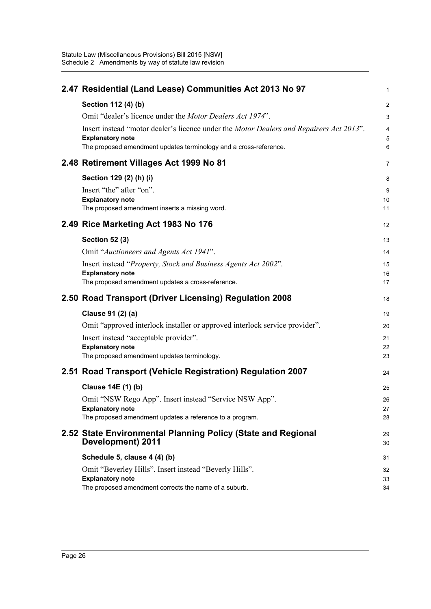| 2.47 Residential (Land Lease) Communities Act 2013 No 97                                                                   | 1        |
|----------------------------------------------------------------------------------------------------------------------------|----------|
| Section 112 (4) (b)                                                                                                        | 2        |
| Omit "dealer's licence under the Motor Dealers Act 1974".                                                                  | 3        |
| Insert instead "motor dealer's licence under the <i>Motor Dealers and Repairers Act 2013</i> ".<br><b>Explanatory note</b> | 5        |
| The proposed amendment updates terminology and a cross-reference.                                                          | 6        |
| 2.48 Retirement Villages Act 1999 No 81                                                                                    | 7        |
| Section 129 (2) (h) (i)                                                                                                    | 8        |
| Insert "the" after "on".                                                                                                   | 9        |
| <b>Explanatory note</b>                                                                                                    | 10       |
| The proposed amendment inserts a missing word.                                                                             | 11       |
| 2.49 Rice Marketing Act 1983 No 176                                                                                        | 12       |
| <b>Section 52 (3)</b>                                                                                                      | 13       |
| Omit "Auctioneers and Agents Act 1941".                                                                                    | 14       |
| Insert instead "Property, Stock and Business Agents Act 2002".                                                             | 15       |
| <b>Explanatory note</b>                                                                                                    | 16       |
| The proposed amendment updates a cross-reference.                                                                          | 17       |
|                                                                                                                            |          |
| 2.50 Road Transport (Driver Licensing) Regulation 2008                                                                     | 18       |
| Clause 91 (2) (a)                                                                                                          | 19       |
| Omit "approved interlock installer or approved interlock service provider".                                                | 20       |
| Insert instead "acceptable provider".                                                                                      | 21       |
| <b>Explanatory note</b>                                                                                                    | 22       |
| The proposed amendment updates terminology.                                                                                | 23       |
| 2.51 Road Transport (Vehicle Registration) Regulation 2007                                                                 | 24       |
| Clause 14E (1) (b)                                                                                                         | 25       |
| Omit "NSW Rego App". Insert instead "Service NSW App".                                                                     | 26       |
| <b>Explanatory note</b>                                                                                                    | 27       |
| The proposed amendment updates a reference to a program.                                                                   | 28       |
| 2.52 State Environmental Planning Policy (State and Regional<br>Development) 2011                                          | 29<br>30 |
| Schedule 5, clause 4 (4) (b)                                                                                               | 31       |
| Omit "Beverley Hills". Insert instead "Beverly Hills".                                                                     | 32       |
| <b>Explanatory note</b><br>The proposed amendment corrects the name of a suburb.                                           | 33<br>34 |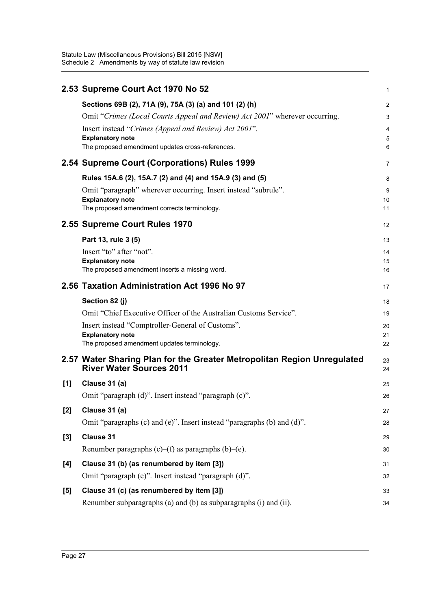|       | 2.53 Supreme Court Act 1970 No 52                                                                              | 1                       |
|-------|----------------------------------------------------------------------------------------------------------------|-------------------------|
|       | Sections 69B (2), 71A (9), 75A (3) (a) and 101 (2) (h)                                                         | $\overline{\mathbf{c}}$ |
|       | Omit "Crimes (Local Courts Appeal and Review) Act 2001" wherever occurring.                                    | 3                       |
|       | Insert instead "Crimes (Appeal and Review) Act 2001".                                                          | 4                       |
|       | <b>Explanatory note</b>                                                                                        | 5                       |
|       | The proposed amendment updates cross-references.                                                               | 6                       |
|       | 2.54 Supreme Court (Corporations) Rules 1999                                                                   | 7                       |
|       | Rules 15A.6 (2), 15A.7 (2) and (4) and 15A.9 (3) and (5)                                                       | 8                       |
|       | Omit "paragraph" wherever occurring. Insert instead "subrule".                                                 | 9                       |
|       | <b>Explanatory note</b><br>The proposed amendment corrects terminology.                                        | 10<br>11                |
|       |                                                                                                                |                         |
|       | 2.55 Supreme Court Rules 1970                                                                                  | 12                      |
|       | Part 13, rule 3 (5)                                                                                            | 13                      |
|       | Insert "to" after "not".                                                                                       | 14                      |
|       | <b>Explanatory note</b><br>The proposed amendment inserts a missing word.                                      | 15                      |
|       |                                                                                                                | 16                      |
|       | 2.56 Taxation Administration Act 1996 No 97                                                                    | 17                      |
|       | Section 82 (j)                                                                                                 |                         |
|       |                                                                                                                | 18                      |
|       | Omit "Chief Executive Officer of the Australian Customs Service".                                              | 19                      |
|       | Insert instead "Comptroller-General of Customs".                                                               | 20                      |
|       | <b>Explanatory note</b>                                                                                        | 21                      |
|       | The proposed amendment updates terminology.                                                                    | 22                      |
|       | 2.57 Water Sharing Plan for the Greater Metropolitan Region Unregulated<br><b>River Water Sources 2011</b>     | 23<br>24                |
| [1]   | Clause 31 (a)                                                                                                  | 25                      |
|       | Omit "paragraph (d)". Insert instead "paragraph (c)".                                                          | 26                      |
|       | Clause 31 (a)                                                                                                  | 27                      |
| [2]   | Omit "paragraphs (c) and (e)". Insert instead "paragraphs (b) and (d)".                                        | 28                      |
|       |                                                                                                                |                         |
| $[3]$ | <b>Clause 31</b>                                                                                               | 29                      |
|       | Renumber paragraphs $(c)$ – $(f)$ as paragraphs $(b)$ – $(e)$ .                                                | 30                      |
| [4]   | Clause 31 (b) (as renumbered by item [3])                                                                      | 31                      |
|       | Omit "paragraph (e)". Insert instead "paragraph (d)".                                                          | 32                      |
| [5]   | Clause 31 (c) (as renumbered by item [3])<br>Renumber subparagraphs (a) and (b) as subparagraphs (i) and (ii). | 33                      |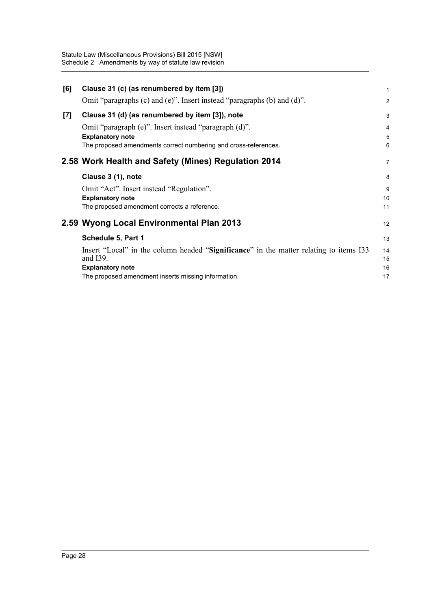Statute Law (Miscellaneous Provisions) Bill 2015 [NSW] Schedule 2 Amendments by way of statute law revision

| [6] | Clause 31 (c) (as renumbered by item [3])                                                                                                           | $\mathbf{1}$   |
|-----|-----------------------------------------------------------------------------------------------------------------------------------------------------|----------------|
|     | Omit "paragraphs (c) and (e)". Insert instead "paragraphs (b) and (d)".                                                                             | $\overline{2}$ |
| [7] | Clause 31 (d) (as renumbered by item [3]), note                                                                                                     | 3              |
|     | Omit "paragraph (e)". Insert instead "paragraph (d)".<br><b>Explanatory note</b><br>The proposed amendments correct numbering and cross-references. | 4<br>5<br>6    |
|     | 2.58 Work Health and Safety (Mines) Regulation 2014                                                                                                 | $\overline{7}$ |
|     | Clause 3 (1), note                                                                                                                                  | 8              |
|     | Omit "Act". Insert instead "Regulation".                                                                                                            | 9              |
|     | <b>Explanatory note</b>                                                                                                                             | 10             |
|     | The proposed amendment corrects a reference.                                                                                                        | 11             |
|     | 2.59 Wyong Local Environmental Plan 2013                                                                                                            | 12             |
|     | Schedule 5, Part 1                                                                                                                                  | 13             |
|     | Insert "Local" in the column headed "Significance" in the matter relating to items I33<br>and I39.                                                  | 14<br>15       |
|     | <b>Explanatory note</b>                                                                                                                             | 16             |
|     | The proposed amendment inserts missing information.                                                                                                 | 17             |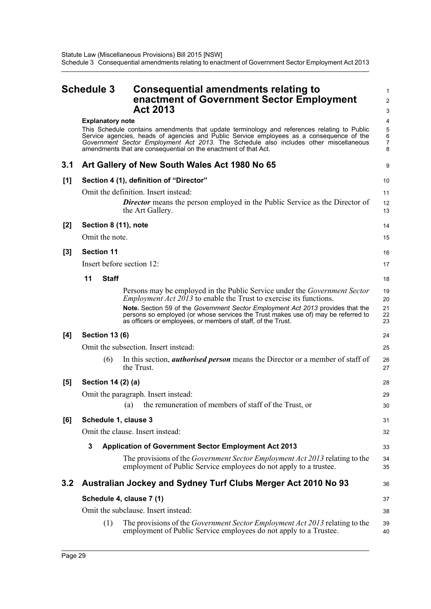<span id="page-32-0"></span>

|       | <b>Schedule 3</b>         | <b>Consequential amendments relating to</b><br>enactment of Government Sector Employment<br><b>Act 2013</b>                                                                                                                                                                                                                                                                                           | 1<br>$\overline{c}$<br>3   |
|-------|---------------------------|-------------------------------------------------------------------------------------------------------------------------------------------------------------------------------------------------------------------------------------------------------------------------------------------------------------------------------------------------------------------------------------------------------|----------------------------|
|       | <b>Explanatory note</b>   | This Schedule contains amendments that update terminology and references relating to Public<br>Service agencies, heads of agencies and Public Service employees as a consequence of the<br>Government Sector Employment Act 2013. The Schedule also includes other miscellaneous<br>amendments that are consequential on the enactment of that Act.                                                   | 4<br>5<br>6<br>7<br>8      |
| 3.1   |                           | Art Gallery of New South Wales Act 1980 No 65                                                                                                                                                                                                                                                                                                                                                         | 9                          |
| [1]   |                           | Section 4 (1), definition of "Director"                                                                                                                                                                                                                                                                                                                                                               | 10                         |
|       |                           | Omit the definition. Insert instead:<br><b>Director</b> means the person employed in the Public Service as the Director of<br>the Art Gallery.                                                                                                                                                                                                                                                        | 11<br>12<br>13             |
| [2]   | Section 8 (11), note      |                                                                                                                                                                                                                                                                                                                                                                                                       | 14                         |
|       | Omit the note.            |                                                                                                                                                                                                                                                                                                                                                                                                       | 15                         |
| $[3]$ | <b>Section 11</b>         |                                                                                                                                                                                                                                                                                                                                                                                                       | 16                         |
|       | Insert before section 12: |                                                                                                                                                                                                                                                                                                                                                                                                       | 17                         |
|       | 11<br><b>Staff</b>        |                                                                                                                                                                                                                                                                                                                                                                                                       | 18                         |
|       |                           | Persons may be employed in the Public Service under the <i>Government Sector</i><br><i>Employment Act 2013</i> to enable the Trust to exercise its functions.<br>Note. Section 59 of the Government Sector Employment Act 2013 provides that the<br>persons so employed (or whose services the Trust makes use of) may be referred to<br>as officers or employees, or members of staff, of the Trust. | 19<br>20<br>21<br>22<br>23 |
| [4]   | <b>Section 13 (6)</b>     |                                                                                                                                                                                                                                                                                                                                                                                                       | 24                         |
|       |                           | Omit the subsection. Insert instead:                                                                                                                                                                                                                                                                                                                                                                  | 25                         |
|       | (6)                       | In this section, <i>authorised person</i> means the Director or a member of staff of<br>the Trust.                                                                                                                                                                                                                                                                                                    | 26<br>27                   |
| [5]   | Section 14 (2) (a)        |                                                                                                                                                                                                                                                                                                                                                                                                       | 28                         |
|       |                           | Omit the paragraph. Insert instead:<br>(a) the remuneration of members of staff of the Trust, or                                                                                                                                                                                                                                                                                                      | 29<br>30                   |
| [6]   | Schedule 1, clause 3      |                                                                                                                                                                                                                                                                                                                                                                                                       | 31                         |
|       |                           | Omit the clause. Insert instead:                                                                                                                                                                                                                                                                                                                                                                      | 32                         |
|       | 3                         | <b>Application of Government Sector Employment Act 2013</b>                                                                                                                                                                                                                                                                                                                                           | 33                         |
|       |                           | The provisions of the <i>Government Sector Employment Act 2013</i> relating to the<br>employment of Public Service employees do not apply to a trustee.                                                                                                                                                                                                                                               | 34<br>35                   |
| 3.2   |                           | Australian Jockey and Sydney Turf Clubs Merger Act 2010 No 93                                                                                                                                                                                                                                                                                                                                         | 36                         |
|       |                           | Schedule 4, clause 7 (1)                                                                                                                                                                                                                                                                                                                                                                              | 37                         |
|       |                           | Omit the subclause. Insert instead:                                                                                                                                                                                                                                                                                                                                                                   | 38                         |
|       | (1)                       | The provisions of the <i>Government Sector Employment Act 2013</i> relating to the<br>employment of Public Service employees do not apply to a Trustee.                                                                                                                                                                                                                                               | 39<br>40                   |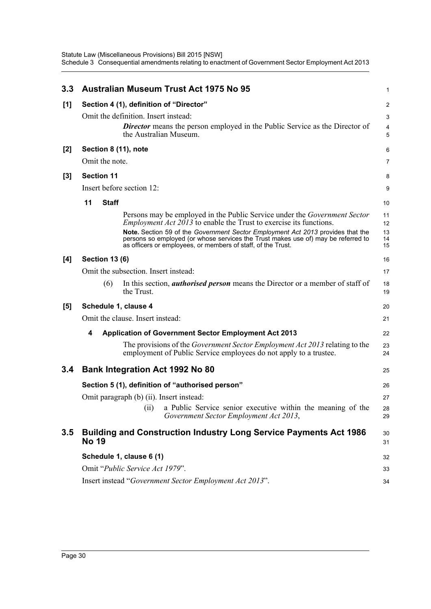| 3.3   |                                                               | <b>Australian Museum Trust Act 1975 No 95</b>                                                                                                                                                                                                                                                                                                                                                         | 1                          |  |  |
|-------|---------------------------------------------------------------|-------------------------------------------------------------------------------------------------------------------------------------------------------------------------------------------------------------------------------------------------------------------------------------------------------------------------------------------------------------------------------------------------------|----------------------------|--|--|
| [1]   |                                                               | Section 4 (1), definition of "Director"                                                                                                                                                                                                                                                                                                                                                               | 2                          |  |  |
|       |                                                               | Omit the definition. Insert instead:<br><b>Director</b> means the person employed in the Public Service as the Director of<br>the Australian Museum.                                                                                                                                                                                                                                                  | 3<br>4<br>5                |  |  |
| $[2]$ |                                                               | Section 8 (11), note                                                                                                                                                                                                                                                                                                                                                                                  | 6                          |  |  |
|       | Omit the note.                                                |                                                                                                                                                                                                                                                                                                                                                                                                       | 7                          |  |  |
| $[3]$ | <b>Section 11</b>                                             |                                                                                                                                                                                                                                                                                                                                                                                                       | 8                          |  |  |
|       |                                                               | Insert before section 12:                                                                                                                                                                                                                                                                                                                                                                             |                            |  |  |
|       | 11<br><b>Staff</b>                                            |                                                                                                                                                                                                                                                                                                                                                                                                       | 10                         |  |  |
|       |                                                               | Persons may be employed in the Public Service under the <i>Government Sector</i><br><i>Employment Act 2013</i> to enable the Trust to exercise its functions.<br>Note. Section 59 of the Government Sector Employment Act 2013 provides that the<br>persons so employed (or whose services the Trust makes use of) may be referred to<br>as officers or employees, or members of staff, of the Trust. | 11<br>12<br>13<br>14<br>15 |  |  |
| [4]   | <b>Section 13 (6)</b>                                         |                                                                                                                                                                                                                                                                                                                                                                                                       | 16                         |  |  |
|       |                                                               | Omit the subsection. Insert instead:                                                                                                                                                                                                                                                                                                                                                                  |                            |  |  |
|       | (6)                                                           | In this section, <i>authorised person</i> means the Director or a member of staff of<br>the Trust.                                                                                                                                                                                                                                                                                                    | 18<br>19                   |  |  |
| [5]   |                                                               | Schedule 1, clause 4                                                                                                                                                                                                                                                                                                                                                                                  | 20                         |  |  |
|       |                                                               | Omit the clause. Insert instead:                                                                                                                                                                                                                                                                                                                                                                      | 21                         |  |  |
|       | 4                                                             | <b>Application of Government Sector Employment Act 2013</b>                                                                                                                                                                                                                                                                                                                                           | 22                         |  |  |
|       |                                                               | The provisions of the <i>Government Sector Employment Act 2013</i> relating to the<br>employment of Public Service employees do not apply to a trustee.                                                                                                                                                                                                                                               | 23<br>24                   |  |  |
| 3.4   |                                                               | <b>Bank Integration Act 1992 No 80</b>                                                                                                                                                                                                                                                                                                                                                                | 25                         |  |  |
|       | Section 5 (1), definition of "authorised person"              |                                                                                                                                                                                                                                                                                                                                                                                                       |                            |  |  |
|       |                                                               | Omit paragraph (b) (ii). Insert instead:                                                                                                                                                                                                                                                                                                                                                              | 27                         |  |  |
|       |                                                               | a Public Service senior executive within the meaning of the<br>(11)<br>Government Sector Employment Act 2013,                                                                                                                                                                                                                                                                                         | 28<br>29                   |  |  |
| 3.5   | <b>No 19</b>                                                  | <b>Building and Construction Industry Long Service Payments Act 1986</b>                                                                                                                                                                                                                                                                                                                              | 30<br>31                   |  |  |
|       |                                                               | Schedule 1, clause 6 (1)                                                                                                                                                                                                                                                                                                                                                                              | 32                         |  |  |
|       | Omit "Public Service Act 1979".                               |                                                                                                                                                                                                                                                                                                                                                                                                       |                            |  |  |
|       | Insert instead "Government Sector Employment Act 2013".<br>34 |                                                                                                                                                                                                                                                                                                                                                                                                       |                            |  |  |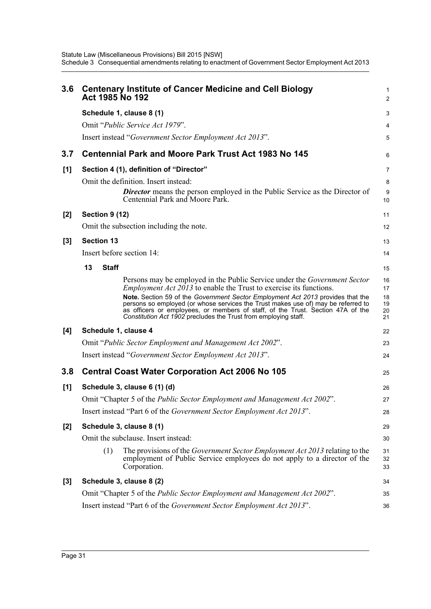| 3.6   | <b>Centenary Institute of Cancer Medicine and Cell Biology</b><br>Act 1985 No 192                                                                                                                                                                                                                                                                                                                                                                                                           | 1<br>$\overline{\mathbf{c}}$     |  |
|-------|---------------------------------------------------------------------------------------------------------------------------------------------------------------------------------------------------------------------------------------------------------------------------------------------------------------------------------------------------------------------------------------------------------------------------------------------------------------------------------------------|----------------------------------|--|
|       | Schedule 1, clause 8 (1)                                                                                                                                                                                                                                                                                                                                                                                                                                                                    | 3                                |  |
|       | Omit "Public Service Act 1979".                                                                                                                                                                                                                                                                                                                                                                                                                                                             | 4                                |  |
|       | Insert instead "Government Sector Employment Act 2013".                                                                                                                                                                                                                                                                                                                                                                                                                                     | 5                                |  |
| 3.7   | <b>Centennial Park and Moore Park Trust Act 1983 No 145</b>                                                                                                                                                                                                                                                                                                                                                                                                                                 | 6                                |  |
| [1]   | Section 4 (1), definition of "Director"                                                                                                                                                                                                                                                                                                                                                                                                                                                     | 7                                |  |
|       | Omit the definition. Insert instead:<br><b>Director</b> means the person employed in the Public Service as the Director of<br>Centennial Park and Moore Park.                                                                                                                                                                                                                                                                                                                               | 8<br>9<br>10                     |  |
| $[2]$ | <b>Section 9 (12)</b>                                                                                                                                                                                                                                                                                                                                                                                                                                                                       | 11                               |  |
|       | Omit the subsection including the note.                                                                                                                                                                                                                                                                                                                                                                                                                                                     | 12                               |  |
| $[3]$ | <b>Section 13</b>                                                                                                                                                                                                                                                                                                                                                                                                                                                                           | 13                               |  |
|       | Insert before section 14:                                                                                                                                                                                                                                                                                                                                                                                                                                                                   | 14                               |  |
|       | 13<br><b>Staff</b>                                                                                                                                                                                                                                                                                                                                                                                                                                                                          | 15                               |  |
|       | Persons may be employed in the Public Service under the <i>Government Sector</i><br><i>Employment Act 2013</i> to enable the Trust to exercise its functions.<br>Note. Section 59 of the Government Sector Employment Act 2013 provides that the<br>persons so employed (or whose services the Trust makes use of) may be referred to<br>as officers or employees, or members of staff, of the Trust. Section 47A of the<br>Constitution Act 1902 precludes the Trust from employing staff. | 16<br>17<br>18<br>19<br>20<br>21 |  |
| [4]   | Schedule 1, clause 4                                                                                                                                                                                                                                                                                                                                                                                                                                                                        | 22                               |  |
|       | Omit "Public Sector Employment and Management Act 2002".                                                                                                                                                                                                                                                                                                                                                                                                                                    | 23                               |  |
|       | Insert instead "Government Sector Employment Act 2013".                                                                                                                                                                                                                                                                                                                                                                                                                                     | 24                               |  |
| 3.8   | <b>Central Coast Water Corporation Act 2006 No 105</b>                                                                                                                                                                                                                                                                                                                                                                                                                                      | 25                               |  |
| [1]   | Schedule 3, clause 6 (1) (d)                                                                                                                                                                                                                                                                                                                                                                                                                                                                | 26                               |  |
|       | Omit "Chapter 5 of the Public Sector Employment and Management Act 2002".                                                                                                                                                                                                                                                                                                                                                                                                                   |                                  |  |
|       | Insert instead "Part 6 of the Government Sector Employment Act 2013".                                                                                                                                                                                                                                                                                                                                                                                                                       | 28                               |  |
| $[2]$ | Schedule 3, clause 8 (1)<br>29                                                                                                                                                                                                                                                                                                                                                                                                                                                              |                                  |  |
|       | Omit the subclause. Insert instead:                                                                                                                                                                                                                                                                                                                                                                                                                                                         | 30                               |  |
|       | (1)<br>The provisions of the <i>Government Sector Employment Act 2013</i> relating to the<br>employment of Public Service employees do not apply to a director of the<br>Corporation.                                                                                                                                                                                                                                                                                                       | 31<br>32<br>33                   |  |
| $[3]$ | Schedule 3, clause 8 (2)                                                                                                                                                                                                                                                                                                                                                                                                                                                                    | 34                               |  |
|       | Omit "Chapter 5 of the Public Sector Employment and Management Act 2002".                                                                                                                                                                                                                                                                                                                                                                                                                   | 35                               |  |
|       | Insert instead "Part 6 of the <i>Government Sector Employment Act 2013</i> ".                                                                                                                                                                                                                                                                                                                                                                                                               | 36                               |  |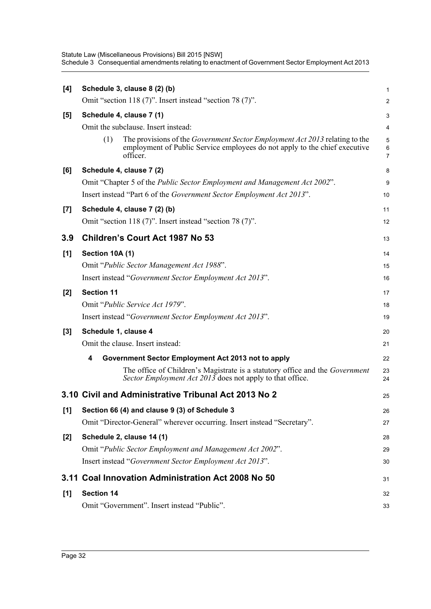Statute Law (Miscellaneous Provisions) Bill 2015 [NSW] Schedule 3 Consequential amendments relating to enactment of Government Sector Employment Act 2013

| [4]   |                                                                                   | Schedule 3, clause 8 (2) (b)                                                                                                                                                 | 1           |  |
|-------|-----------------------------------------------------------------------------------|------------------------------------------------------------------------------------------------------------------------------------------------------------------------------|-------------|--|
|       |                                                                                   | Omit "section 118 (7)". Insert instead "section 78 (7)".                                                                                                                     | 2           |  |
| [5]   |                                                                                   | Schedule 4, clause 7 (1)                                                                                                                                                     | 3           |  |
|       | Omit the subclause. Insert instead:                                               |                                                                                                                                                                              |             |  |
|       | (1)                                                                               | The provisions of the <i>Government Sector Employment Act 2013</i> relating to the<br>employment of Public Service employees do not apply to the chief executive<br>officer. | 5<br>6<br>7 |  |
| [6]   |                                                                                   | Schedule 4, clause 7 (2)                                                                                                                                                     | 8           |  |
|       | Omit "Chapter 5 of the <i>Public Sector Employment and Management Act 2002"</i> . |                                                                                                                                                                              |             |  |
|       |                                                                                   | Insert instead "Part 6 of the <i>Government Sector Employment Act 2013</i> ".                                                                                                | 10          |  |
| $[7]$ |                                                                                   | Schedule 4, clause 7 (2) (b)                                                                                                                                                 | 11          |  |
|       |                                                                                   | Omit "section 118 (7)". Insert instead "section 78 (7)".                                                                                                                     | 12          |  |
| 3.9   |                                                                                   | Children's Court Act 1987 No 53                                                                                                                                              | 13          |  |
| [1]   | Section 10A (1)                                                                   |                                                                                                                                                                              | 14          |  |
|       |                                                                                   | Omit "Public Sector Management Act 1988".                                                                                                                                    | 15          |  |
|       |                                                                                   | Insert instead "Government Sector Employment Act 2013".                                                                                                                      | 16          |  |
| $[2]$ | <b>Section 11</b>                                                                 |                                                                                                                                                                              | 17          |  |
|       |                                                                                   | Omit "Public Service Act 1979".                                                                                                                                              | 18          |  |
|       |                                                                                   | Insert instead "Government Sector Employment Act 2013".                                                                                                                      | 19          |  |
| $[3]$ | Schedule 1, clause 4                                                              |                                                                                                                                                                              | 20          |  |
|       |                                                                                   | Omit the clause. Insert instead:                                                                                                                                             | 21          |  |
|       | 4                                                                                 | Government Sector Employment Act 2013 not to apply                                                                                                                           | 22          |  |
|       |                                                                                   | The office of Children's Magistrate is a statutory office and the <i>Government</i><br>Sector Employment Act 2013 does not apply to that office.                             | 23<br>24    |  |
|       |                                                                                   | 3.10 Civil and Administrative Tribunal Act 2013 No 2                                                                                                                         | 25          |  |
| [1]   | Section 66 (4) and clause 9 (3) of Schedule 3                                     |                                                                                                                                                                              |             |  |
|       |                                                                                   | Omit "Director-General" wherever occurring. Insert instead "Secretary".                                                                                                      | 27          |  |
| $[2]$ |                                                                                   | Schedule 2, clause 14 (1)                                                                                                                                                    | 28          |  |
|       |                                                                                   | Omit "Public Sector Employment and Management Act 2002".                                                                                                                     | 29          |  |
|       |                                                                                   | Insert instead "Government Sector Employment Act 2013".                                                                                                                      | 30          |  |
|       |                                                                                   | 3.11 Coal Innovation Administration Act 2008 No 50                                                                                                                           | 31          |  |
| [1]   | <b>Section 14</b>                                                                 |                                                                                                                                                                              | 32          |  |
|       |                                                                                   | Omit "Government". Insert instead "Public".                                                                                                                                  | 33          |  |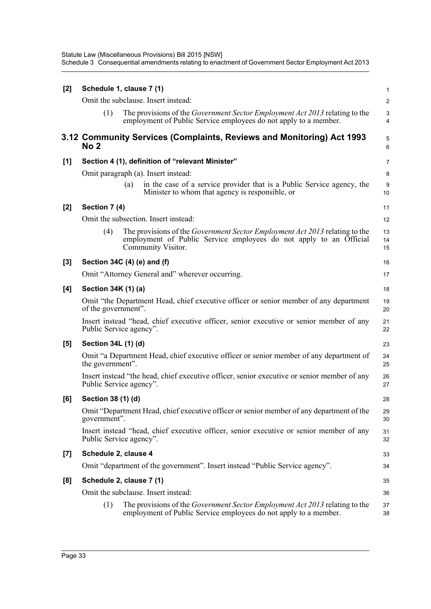| [2] |                      | Schedule 1, clause 7 (1)                                                                                                                                                       | 1                      |
|-----|----------------------|--------------------------------------------------------------------------------------------------------------------------------------------------------------------------------|------------------------|
|     |                      | Omit the subclause. Insert instead:                                                                                                                                            | $\overline{2}$         |
|     | (1)                  | The provisions of the <i>Government Sector Employment Act 2013</i> relating to the<br>employment of Public Service employees do not apply to a member.                         | 3<br>4                 |
|     | No <sub>2</sub>      | 3.12 Community Services (Complaints, Reviews and Monitoring) Act 1993                                                                                                          | 5<br>6                 |
| [1] |                      | Section 4 (1), definition of "relevant Minister"                                                                                                                               | $\overline{7}$         |
|     |                      | Omit paragraph (a). Insert instead:                                                                                                                                            | 8                      |
|     |                      | in the case of a service provider that is a Public Service agency, the<br>(a)<br>Minister to whom that agency is responsible, or                                               | $\boldsymbol{9}$<br>10 |
| [2] | Section 7 (4)        |                                                                                                                                                                                | 11                     |
|     |                      | Omit the subsection. Insert instead:                                                                                                                                           | 12                     |
|     | (4)                  | The provisions of the <i>Government Sector Employment Act 2013</i> relating to the<br>employment of Public Service employees do not apply to an Official<br>Community Visitor. | 13<br>14<br>15         |
| [3] |                      | Section 34C (4) (e) and (f)                                                                                                                                                    | 16                     |
|     |                      | Omit "Attorney General and" wherever occurring.                                                                                                                                | 17                     |
| [4] | Section 34K (1) (a)  |                                                                                                                                                                                | 18                     |
|     | of the government".  | Omit "the Department Head, chief executive officer or senior member of any department                                                                                          | 19<br>20               |
|     |                      | Insert instead "head, chief executive officer, senior executive or senior member of any<br>Public Service agency".                                                             | 21<br>22               |
| [5] | Section 34L (1) (d)  |                                                                                                                                                                                | 23                     |
|     | the government".     | Omit "a Department Head, chief executive officer or senior member of any department of                                                                                         | 24<br>25               |
|     |                      | Insert instead "the head, chief executive officer, senior executive or senior member of any<br>Public Service agency".                                                         | 26<br>27               |
| [6] | Section 38 (1) (d)   |                                                                                                                                                                                | 28                     |
|     | government".         | Omit "Department Head, chief executive officer or senior member of any department of the                                                                                       | 29<br>30               |
|     |                      | Insert instead "head, chief executive officer, senior executive or senior member of any<br>Public Service agency".                                                             | 31<br>32               |
| [7] | Schedule 2, clause 4 |                                                                                                                                                                                | 33                     |
|     |                      | Omit "department of the government". Insert instead "Public Service agency".                                                                                                   | 34                     |
| [8] |                      | Schedule 2, clause 7 (1)                                                                                                                                                       | 35                     |
|     |                      | Omit the subclause. Insert instead:                                                                                                                                            | 36                     |
|     | (1)                  | The provisions of the <i>Government Sector Employment Act 2013</i> relating to the<br>employment of Public Service employees do not apply to a member.                         | 37<br>38               |
|     |                      |                                                                                                                                                                                |                        |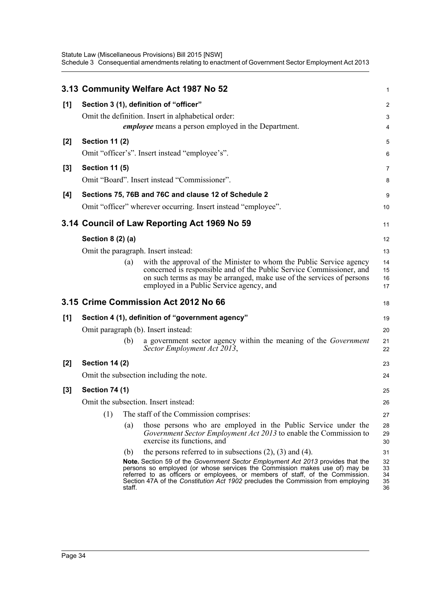|       |                       |        | 3.13 Community Welfare Act 1987 No 52                                                                                                                                                                                                                                                                                              | 1                          |
|-------|-----------------------|--------|------------------------------------------------------------------------------------------------------------------------------------------------------------------------------------------------------------------------------------------------------------------------------------------------------------------------------------|----------------------------|
| [1]   |                       |        | Section 3 (1), definition of "officer"                                                                                                                                                                                                                                                                                             | $\overline{c}$             |
|       |                       |        | Omit the definition. Insert in alphabetical order:                                                                                                                                                                                                                                                                                 | 3                          |
|       |                       |        | <i>employee</i> means a person employed in the Department.                                                                                                                                                                                                                                                                         | 4                          |
| $[2]$ | <b>Section 11 (2)</b> |        |                                                                                                                                                                                                                                                                                                                                    | 5                          |
|       |                       |        | Omit "officer's". Insert instead "employee's".                                                                                                                                                                                                                                                                                     | 6                          |
| $[3]$ | <b>Section 11 (5)</b> |        |                                                                                                                                                                                                                                                                                                                                    | 7                          |
|       |                       |        | Omit "Board". Insert instead "Commissioner".                                                                                                                                                                                                                                                                                       | 8                          |
| [4]   |                       |        | Sections 75, 76B and 76C and clause 12 of Schedule 2                                                                                                                                                                                                                                                                               | 9                          |
|       |                       |        | Omit "officer" wherever occurring. Insert instead "employee".                                                                                                                                                                                                                                                                      | 10                         |
|       |                       |        | 3.14 Council of Law Reporting Act 1969 No 59                                                                                                                                                                                                                                                                                       | 11                         |
|       | Section 8 (2) (a)     |        |                                                                                                                                                                                                                                                                                                                                    | 12                         |
|       |                       |        | Omit the paragraph. Insert instead:                                                                                                                                                                                                                                                                                                | 13                         |
|       |                       | (a)    | with the approval of the Minister to whom the Public Service agency                                                                                                                                                                                                                                                                | 14                         |
|       |                       |        | concerned is responsible and of the Public Service Commissioner, and<br>on such terms as may be arranged, make use of the services of persons                                                                                                                                                                                      | 15<br>16                   |
|       |                       |        | employed in a Public Service agency, and                                                                                                                                                                                                                                                                                           | 17                         |
|       |                       |        | 3.15 Crime Commission Act 2012 No 66                                                                                                                                                                                                                                                                                               | 18                         |
| [1]   |                       |        | Section 4 (1), definition of "government agency"                                                                                                                                                                                                                                                                                   | 19                         |
|       |                       |        | Omit paragraph (b). Insert instead:                                                                                                                                                                                                                                                                                                | 20                         |
|       |                       | (b)    | a government sector agency within the meaning of the <i>Government</i><br>Sector Employment Act 2013,                                                                                                                                                                                                                              | 21<br>22                   |
| [2]   | <b>Section 14 (2)</b> |        |                                                                                                                                                                                                                                                                                                                                    | 23                         |
|       |                       |        | Omit the subsection including the note.                                                                                                                                                                                                                                                                                            | 24                         |
| $[3]$ | <b>Section 74 (1)</b> |        |                                                                                                                                                                                                                                                                                                                                    | 25                         |
|       |                       |        | Omit the subsection. Insert instead:                                                                                                                                                                                                                                                                                               | 26                         |
|       | (1)                   |        | The staff of the Commission comprises:                                                                                                                                                                                                                                                                                             | 27                         |
|       |                       | (a)    | those persons who are employed in the Public Service under the<br>Government Sector Employment Act 2013 to enable the Commission to<br>exercise its functions, and                                                                                                                                                                 | 28<br>29<br>30             |
|       |                       | (b)    | the persons referred to in subsections $(2)$ , $(3)$ and $(4)$ .                                                                                                                                                                                                                                                                   | 31                         |
|       |                       | staff. | Note. Section 59 of the Government Sector Employment Act 2013 provides that the<br>persons so employed (or whose services the Commission makes use of) may be<br>referred to as officers or employees, or members of staff, of the Commission.<br>Section 47A of the Constitution Act 1902 precludes the Commission from employing | 32<br>33<br>34<br>35<br>36 |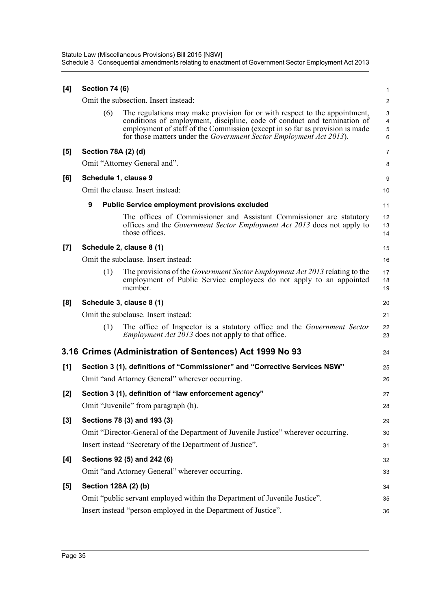| [4]   | <b>Section 74 (6)</b> |                                                                                                                                                                                                                                                                                                               | 1                          |
|-------|-----------------------|---------------------------------------------------------------------------------------------------------------------------------------------------------------------------------------------------------------------------------------------------------------------------------------------------------------|----------------------------|
|       |                       | Omit the subsection. Insert instead:                                                                                                                                                                                                                                                                          | $\overline{2}$             |
|       | (6)                   | The regulations may make provision for or with respect to the appointment,<br>conditions of employment, discipline, code of conduct and termination of<br>employment of staff of the Commission (except in so far as provision is made<br>for those matters under the Government Sector Employment Act 2013). | 3<br>4<br>$\mathbf 5$<br>6 |
| [5]   | Section 78A (2) (d)   |                                                                                                                                                                                                                                                                                                               | $\overline{7}$             |
|       |                       | Omit "Attorney General and".                                                                                                                                                                                                                                                                                  | 8                          |
| [6]   | Schedule 1, clause 9  |                                                                                                                                                                                                                                                                                                               | 9                          |
|       |                       | Omit the clause. Insert instead:                                                                                                                                                                                                                                                                              | 10                         |
|       | 9                     | <b>Public Service employment provisions excluded</b>                                                                                                                                                                                                                                                          | 11                         |
|       |                       | The offices of Commissioner and Assistant Commissioner are statutory<br>offices and the <i>Government Sector Employment Act 2013</i> does not apply to<br>those offices.                                                                                                                                      | 12<br>13<br>14             |
| [7]   |                       | Schedule 2, clause 8 (1)                                                                                                                                                                                                                                                                                      | 15                         |
|       |                       | Omit the subclause. Insert instead:                                                                                                                                                                                                                                                                           | 16                         |
|       | (1)                   | The provisions of the <i>Government Sector Employment Act 2013</i> relating to the<br>employment of Public Service employees do not apply to an appointed<br>member.                                                                                                                                          | 17<br>18<br>19             |
| [8]   |                       | Schedule 3, clause 8 (1)                                                                                                                                                                                                                                                                                      | 20                         |
|       |                       | Omit the subclause. Insert instead:                                                                                                                                                                                                                                                                           | 21                         |
|       | (1)                   | The office of Inspector is a statutory office and the <i>Government Sector</i><br><i>Employment Act 2013</i> does not apply to that office.                                                                                                                                                                   | 22<br>23                   |
|       |                       | 3.16 Crimes (Administration of Sentences) Act 1999 No 93                                                                                                                                                                                                                                                      | 24                         |
| [1]   |                       | Section 3 (1), definitions of "Commissioner" and "Corrective Services NSW"                                                                                                                                                                                                                                    | 25                         |
|       |                       | Omit "and Attorney General" wherever occurring.                                                                                                                                                                                                                                                               | 26                         |
| $[2]$ |                       | Section 3 (1), definition of "law enforcement agency"                                                                                                                                                                                                                                                         | 27                         |
|       |                       | Omit "Juvenile" from paragraph (h).                                                                                                                                                                                                                                                                           | 28                         |
| [3]   |                       | Sections 78 (3) and 193 (3)                                                                                                                                                                                                                                                                                   | 29                         |
|       |                       | Omit "Director-General of the Department of Juvenile Justice" wherever occurring.                                                                                                                                                                                                                             | 30                         |
|       |                       | Insert instead "Secretary of the Department of Justice".                                                                                                                                                                                                                                                      | 31                         |
| [4]   |                       | Sections 92 (5) and 242 (6)                                                                                                                                                                                                                                                                                   | 32                         |
|       |                       | Omit "and Attorney General" wherever occurring.                                                                                                                                                                                                                                                               | 33                         |
| [5]   | Section 128A (2) (b)  |                                                                                                                                                                                                                                                                                                               | 34                         |
|       |                       | Omit "public servant employed within the Department of Juvenile Justice".                                                                                                                                                                                                                                     | 35                         |
|       |                       | Insert instead "person employed in the Department of Justice".                                                                                                                                                                                                                                                | 36                         |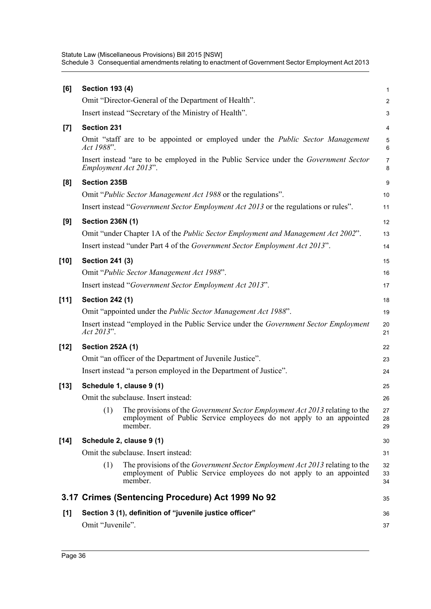| [6]    | <b>Section 193 (4)</b>                                                                                                                                                      | 1                   |
|--------|-----------------------------------------------------------------------------------------------------------------------------------------------------------------------------|---------------------|
|        | Omit "Director-General of the Department of Health".                                                                                                                        | $\overline{c}$      |
|        | Insert instead "Secretary of the Ministry of Health".                                                                                                                       | 3                   |
| $[7]$  | <b>Section 231</b>                                                                                                                                                          | 4                   |
|        | Omit "staff are to be appointed or employed under the <i>Public Sector Management</i><br>Act 1988".                                                                         | $\overline{5}$<br>6 |
|        | Insert instead "are to be employed in the Public Service under the Government Sector<br>Employment Act 2013".                                                               | 7<br>8              |
| [8]    | <b>Section 235B</b>                                                                                                                                                         | 9                   |
|        | Omit " <i>Public Sector Management Act 1988</i> or the regulations".                                                                                                        | 10                  |
|        | Insert instead "Government Sector Employment Act 2013 or the regulations or rules".                                                                                         | 11                  |
| [9]    | <b>Section 236N (1)</b>                                                                                                                                                     | 12                  |
|        | Omit "under Chapter 1A of the <i>Public Sector Employment and Management Act 2002"</i> .                                                                                    | 13                  |
|        | Insert instead "under Part 4 of the Government Sector Employment Act 2013".                                                                                                 | 14                  |
| [10]   | <b>Section 241 (3)</b>                                                                                                                                                      | 15                  |
|        | Omit "Public Sector Management Act 1988".                                                                                                                                   | 16                  |
|        | Insert instead "Government Sector Employment Act 2013".                                                                                                                     | 17                  |
| $[11]$ | <b>Section 242 (1)</b>                                                                                                                                                      | 18                  |
|        | Omit "appointed under the Public Sector Management Act 1988".                                                                                                               | 19                  |
|        | Insert instead "employed in the Public Service under the Government Sector Employment<br>Act 2013".                                                                         | 20<br>21            |
| [12]   | <b>Section 252A (1)</b>                                                                                                                                                     | 22                  |
|        | Omit "an officer of the Department of Juvenile Justice".                                                                                                                    | 23                  |
|        | Insert instead "a person employed in the Department of Justice".                                                                                                            | 24                  |
| [13]   | Schedule 1, clause 9 (1)                                                                                                                                                    | 25                  |
|        | Omit the subclause. Insert instead:                                                                                                                                         | 26                  |
|        | (1)<br>The provisions of the <i>Government Sector Employment Act 2013</i> relating to the<br>employment of Public Service employees do not apply to an appointed<br>member. | 27<br>28<br>29      |
| [14]   | Schedule 2, clause 9 (1)                                                                                                                                                    | 30                  |
|        | Omit the subclause. Insert instead:                                                                                                                                         | 31                  |
|        | (1)<br>The provisions of the <i>Government Sector Employment Act 2013</i> relating to the<br>employment of Public Service employees do not apply to an appointed<br>member. | 32<br>33<br>34      |
|        | 3.17 Crimes (Sentencing Procedure) Act 1999 No 92                                                                                                                           | 35                  |
| [1]    | Section 3 (1), definition of "juvenile justice officer"                                                                                                                     | 36                  |
|        | Omit "Juvenile".                                                                                                                                                            | 37                  |
|        |                                                                                                                                                                             |                     |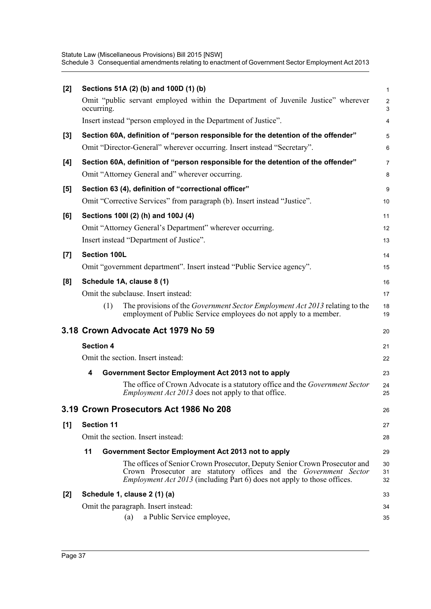| [2]   |                     | Sections 51A (2) (b) and 100D (1) (b)                                                                                                                                                                                            | 1                            |
|-------|---------------------|----------------------------------------------------------------------------------------------------------------------------------------------------------------------------------------------------------------------------------|------------------------------|
|       | occurring.          | Omit "public servant employed within the Department of Juvenile Justice" wherever                                                                                                                                                | $\overline{\mathbf{c}}$<br>3 |
|       |                     | Insert instead "person employed in the Department of Justice".                                                                                                                                                                   | 4                            |
| $[3]$ |                     | Section 60A, definition of "person responsible for the detention of the offender"                                                                                                                                                | 5                            |
|       |                     | Omit "Director-General" wherever occurring. Insert instead "Secretary".                                                                                                                                                          | 6                            |
| [4]   |                     | Section 60A, definition of "person responsible for the detention of the offender"                                                                                                                                                | 7                            |
|       |                     | Omit "Attorney General and" wherever occurring.                                                                                                                                                                                  | 8                            |
| [5]   |                     | Section 63 (4), definition of "correctional officer"                                                                                                                                                                             | 9                            |
|       |                     | Omit "Corrective Services" from paragraph (b). Insert instead "Justice".                                                                                                                                                         | 10                           |
| [6]   |                     | Sections 1001 (2) (h) and 100J (4)                                                                                                                                                                                               | 11                           |
|       |                     | Omit "Attorney General's Department" wherever occurring.                                                                                                                                                                         | 12                           |
|       |                     | Insert instead "Department of Justice".                                                                                                                                                                                          | 13                           |
| $[7]$ | <b>Section 100L</b> |                                                                                                                                                                                                                                  | 14                           |
|       |                     | Omit "government department". Insert instead "Public Service agency".                                                                                                                                                            | 15                           |
| [8]   |                     | Schedule 1A, clause 8 (1)                                                                                                                                                                                                        | 16                           |
|       |                     | Omit the subclause. Insert instead:                                                                                                                                                                                              | 17                           |
|       | (1)                 | The provisions of the Government Sector Employment Act 2013 relating to the<br>employment of Public Service employees do not apply to a member.                                                                                  | 18<br>19                     |
|       |                     | 3.18 Crown Advocate Act 1979 No 59                                                                                                                                                                                               | 20                           |
|       | <b>Section 4</b>    |                                                                                                                                                                                                                                  | 21                           |
|       |                     | Omit the section. Insert instead:                                                                                                                                                                                                | 22                           |
|       | 4                   | Government Sector Employment Act 2013 not to apply                                                                                                                                                                               | 23                           |
|       |                     | The office of Crown Advocate is a statutory office and the Government Sector<br><i>Employment Act 2013</i> does not apply to that office.                                                                                        | 24<br>25                     |
|       |                     | 3.19 Crown Prosecutors Act 1986 No 208                                                                                                                                                                                           | 26                           |
| [1]   | <b>Section 11</b>   |                                                                                                                                                                                                                                  | 27                           |
|       |                     | Omit the section. Insert instead:                                                                                                                                                                                                | 28                           |
|       | 11                  | Government Sector Employment Act 2013 not to apply                                                                                                                                                                               | 29                           |
|       |                     | The offices of Senior Crown Prosecutor, Deputy Senior Crown Prosecutor and<br>Crown Prosecutor are statutory offices and the Government Sector<br><i>Employment Act 2013</i> (including Part 6) does not apply to those offices. | 30<br>31<br>32               |
| $[2]$ |                     | Schedule 1, clause 2 (1) (a)                                                                                                                                                                                                     | 33                           |
|       |                     | Omit the paragraph. Insert instead:                                                                                                                                                                                              | 34                           |
|       |                     | a Public Service employee,<br>(a)                                                                                                                                                                                                | 35                           |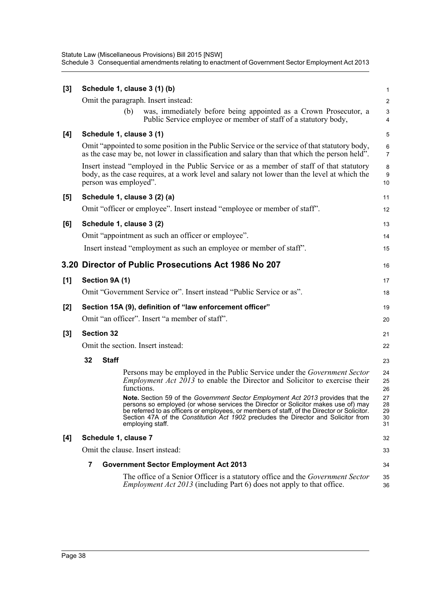| [3] |                |                       |            | Schedule 1, clause 3 (1) (b)                                                                                                                                                                                                                                                                                                                                                   | 1                          |
|-----|----------------|-----------------------|------------|--------------------------------------------------------------------------------------------------------------------------------------------------------------------------------------------------------------------------------------------------------------------------------------------------------------------------------------------------------------------------------|----------------------------|
|     |                |                       |            | Omit the paragraph. Insert instead:                                                                                                                                                                                                                                                                                                                                            | $\overline{\mathbf{c}}$    |
|     |                |                       | (b)        | was, immediately before being appointed as a Crown Prosecutor, a<br>Public Service employee or member of staff of a statutory body,                                                                                                                                                                                                                                            | 3<br>4                     |
| [4] |                |                       |            | Schedule 1, clause 3 (1)                                                                                                                                                                                                                                                                                                                                                       | 5                          |
|     |                |                       |            | Omit "appointed to some position in the Public Service or the service of that statutory body,<br>as the case may be, not lower in classification and salary than that which the person held".                                                                                                                                                                                  | 6<br>7                     |
|     |                | person was employed". |            | Insert instead "employed in the Public Service or as a member of staff of that statutory<br>body, as the case requires, at a work level and salary not lower than the level at which the                                                                                                                                                                                       | 8<br>9<br>10               |
| [5] |                |                       |            | Schedule 1, clause 3 (2) (a)                                                                                                                                                                                                                                                                                                                                                   | 11                         |
|     |                |                       |            | Omit "officer or employee". Insert instead "employee or member of staff".                                                                                                                                                                                                                                                                                                      | 12                         |
| [6] |                |                       |            | Schedule 1, clause 3 (2)                                                                                                                                                                                                                                                                                                                                                       | 13                         |
|     |                |                       |            | Omit "appointment as such an officer or employee".                                                                                                                                                                                                                                                                                                                             | 14                         |
|     |                |                       |            | Insert instead "employment as such an employee or member of staff".                                                                                                                                                                                                                                                                                                            | 15                         |
|     |                |                       |            | 3.20 Director of Public Prosecutions Act 1986 No 207                                                                                                                                                                                                                                                                                                                           | 16                         |
| [1] |                | Section 9A (1)        |            |                                                                                                                                                                                                                                                                                                                                                                                | 17                         |
|     |                |                       |            | Omit "Government Service or". Insert instead "Public Service or as".                                                                                                                                                                                                                                                                                                           | 18                         |
| [2] |                |                       |            | Section 15A (9), definition of "law enforcement officer"                                                                                                                                                                                                                                                                                                                       | 19                         |
|     |                |                       |            | Omit "an officer". Insert "a member of staff".                                                                                                                                                                                                                                                                                                                                 | 20                         |
| [3] |                | <b>Section 32</b>     |            |                                                                                                                                                                                                                                                                                                                                                                                | 21                         |
|     |                |                       |            | Omit the section. Insert instead:                                                                                                                                                                                                                                                                                                                                              | 22                         |
|     | 32             | <b>Staff</b>          |            |                                                                                                                                                                                                                                                                                                                                                                                | 23                         |
|     |                |                       | functions. | Persons may be employed in the Public Service under the Government Sector<br><i>Employment Act <math>2013</math> to enable the Director and Solicitor to exercise their</i>                                                                                                                                                                                                    | 24<br>25<br>26             |
|     |                |                       |            | Note. Section 59 of the Government Sector Employment Act 2013 provides that the<br>persons so employed (or whose services the Director or Solicitor makes use of) may<br>be referred to as officers or employees, or members of staff, of the Director or Solicitor.<br>Section 47A of the Constitution Act 1902 precludes the Director and Solicitor from<br>employing staff. | 27<br>28<br>29<br>30<br>31 |
| [4] |                | Schedule 1, clause 7  |            |                                                                                                                                                                                                                                                                                                                                                                                | 32                         |
|     |                |                       |            | Omit the clause. Insert instead:                                                                                                                                                                                                                                                                                                                                               | 33                         |
|     | $\overline{7}$ |                       |            | <b>Government Sector Employment Act 2013</b>                                                                                                                                                                                                                                                                                                                                   | 34                         |
|     |                |                       |            | The office of a Senior Officer is a statutory office and the <i>Government Sector</i><br><i>Employment Act 2013</i> (including Part 6) does not apply to that office.                                                                                                                                                                                                          | 35<br>36                   |
|     |                |                       |            |                                                                                                                                                                                                                                                                                                                                                                                |                            |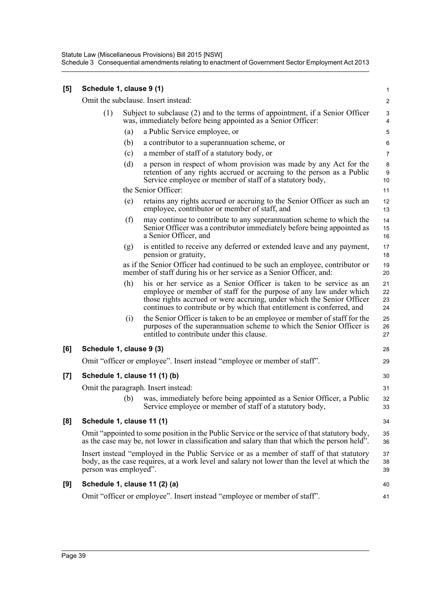| [5] | Schedule 1, clause 9 (1)  |     |                                                                                                                                                                                                                                                                                              | 1                       |
|-----|---------------------------|-----|----------------------------------------------------------------------------------------------------------------------------------------------------------------------------------------------------------------------------------------------------------------------------------------------|-------------------------|
|     |                           |     | Omit the subclause. Insert instead:                                                                                                                                                                                                                                                          | $\overline{\mathbf{c}}$ |
|     | (1)                       |     | Subject to subclause (2) and to the terms of appointment, if a Senior Officer<br>was, immediately before being appointed as a Senior Officer:                                                                                                                                                | 3<br>4                  |
|     |                           | (a) | a Public Service employee, or                                                                                                                                                                                                                                                                | 5                       |
|     |                           | (b) | a contributor to a superannuation scheme, or                                                                                                                                                                                                                                                 | 6                       |
|     |                           | (c) | a member of staff of a statutory body, or                                                                                                                                                                                                                                                    | 7                       |
|     |                           | (d) | a person in respect of whom provision was made by any Act for the<br>retention of any rights accrued or accruing to the person as a Public<br>Service employee or member of staff of a statutory body,                                                                                       | 8<br>9<br>10            |
|     |                           |     | the Senior Officer:                                                                                                                                                                                                                                                                          | 11                      |
|     |                           | (e) | retains any rights accrued or accruing to the Senior Officer as such an<br>employee, contributor or member of staff, and                                                                                                                                                                     | 12<br>13                |
|     |                           | (f) | may continue to contribute to any superannuation scheme to which the<br>Senior Officer was a contributor immediately before being appointed as<br>a Senior Officer, and                                                                                                                      | 14<br>15<br>16          |
|     |                           | (g) | is entitled to receive any deferred or extended leave and any payment,<br>pension or gratuity,                                                                                                                                                                                               | 17<br>18                |
|     |                           |     | as if the Senior Officer had continued to be such an employee, contributor or<br>member of staff during his or her service as a Senior Officer, and:                                                                                                                                         | 19<br>20                |
|     |                           | (h) | his or her service as a Senior Officer is taken to be service as an<br>employee or member of staff for the purpose of any law under which<br>those rights accrued or were accruing, under which the Senior Officer<br>continues to contribute or by which that entitlement is conferred, and | 21<br>22<br>23<br>24    |
|     |                           | (i) | the Senior Officer is taken to be an employee or member of staff for the<br>purposes of the superannuation scheme to which the Senior Officer is<br>entitled to contribute under this clause.                                                                                                | 25<br>26<br>27          |
| [6] | Schedule 1, clause 9 (3)  |     |                                                                                                                                                                                                                                                                                              | 28                      |
|     |                           |     | Omit "officer or employee". Insert instead "employee or member of staff".                                                                                                                                                                                                                    | 29                      |
| [7] |                           |     | Schedule 1, clause 11 (1) (b)                                                                                                                                                                                                                                                                | 30                      |
|     |                           |     | Omit the paragraph. Insert instead:                                                                                                                                                                                                                                                          | 31                      |
|     |                           | (b) | was, immediately before being appointed as a Senior Officer, a Public<br>Service employee or member of staff of a statutory body,                                                                                                                                                            | 32<br>33                |
| [8] | Schedule 1, clause 11 (1) |     |                                                                                                                                                                                                                                                                                              | 34                      |
|     |                           |     | Omit "appointed to some position in the Public Service or the service of that statutory body,<br>as the case may be, not lower in classification and salary than that which the person held".                                                                                                | 35<br>36                |
|     | person was employed".     |     | Insert instead "employed in the Public Service or as a member of staff of that statutory<br>body, as the case requires, at a work level and salary not lower than the level at which the                                                                                                     | 37<br>38<br>39          |
| [9] |                           |     | Schedule 1, clause 11 (2) (a)                                                                                                                                                                                                                                                                | 40                      |
|     |                           |     | Omit "officer or employee". Insert instead "employee or member of staff".                                                                                                                                                                                                                    | 41                      |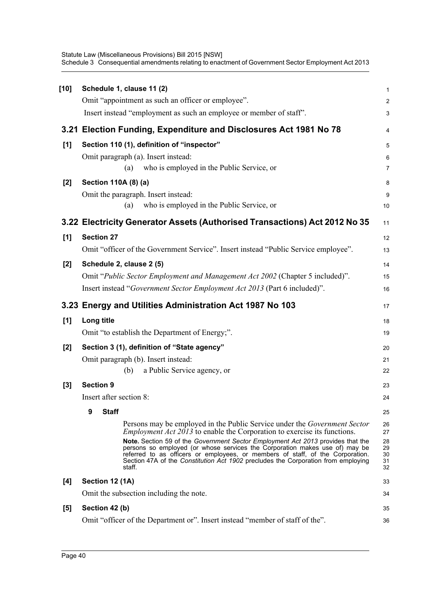| $[10]$ | Schedule 1, clause 11 (2)                                                                                                                                                                                                                                                                                                                                                                                                                                                                                              | $\mathbf{1}$                           |
|--------|------------------------------------------------------------------------------------------------------------------------------------------------------------------------------------------------------------------------------------------------------------------------------------------------------------------------------------------------------------------------------------------------------------------------------------------------------------------------------------------------------------------------|----------------------------------------|
|        | Omit "appointment as such an officer or employee".                                                                                                                                                                                                                                                                                                                                                                                                                                                                     | $\overline{c}$                         |
|        | Insert instead "employment as such an employee or member of staff".                                                                                                                                                                                                                                                                                                                                                                                                                                                    | $\ensuremath{\mathsf{3}}$              |
|        | 3.21 Election Funding, Expenditure and Disclosures Act 1981 No 78                                                                                                                                                                                                                                                                                                                                                                                                                                                      | 4                                      |
| $[1]$  | Section 110 (1), definition of "inspector"                                                                                                                                                                                                                                                                                                                                                                                                                                                                             | 5                                      |
|        | Omit paragraph (a). Insert instead:                                                                                                                                                                                                                                                                                                                                                                                                                                                                                    | 6                                      |
|        | who is employed in the Public Service, or<br>(a)                                                                                                                                                                                                                                                                                                                                                                                                                                                                       | 7                                      |
| $[2]$  | Section 110A (8) (a)                                                                                                                                                                                                                                                                                                                                                                                                                                                                                                   | 8                                      |
|        | Omit the paragraph. Insert instead:                                                                                                                                                                                                                                                                                                                                                                                                                                                                                    | $\boldsymbol{9}$                       |
|        | who is employed in the Public Service, or<br>(a)                                                                                                                                                                                                                                                                                                                                                                                                                                                                       | $10$                                   |
|        | 3.22 Electricity Generator Assets (Authorised Transactions) Act 2012 No 35                                                                                                                                                                                                                                                                                                                                                                                                                                             | 11                                     |
| [1]    | <b>Section 27</b>                                                                                                                                                                                                                                                                                                                                                                                                                                                                                                      | 12                                     |
|        | Omit "officer of the Government Service". Insert instead "Public Service employee".                                                                                                                                                                                                                                                                                                                                                                                                                                    | 13                                     |
| $[2]$  | Schedule 2, clause 2 (5)                                                                                                                                                                                                                                                                                                                                                                                                                                                                                               | 14                                     |
|        | Omit "Public Sector Employment and Management Act 2002 (Chapter 5 included)".                                                                                                                                                                                                                                                                                                                                                                                                                                          | 15                                     |
|        | Insert instead "Government Sector Employment Act 2013 (Part 6 included)".                                                                                                                                                                                                                                                                                                                                                                                                                                              | 16                                     |
|        |                                                                                                                                                                                                                                                                                                                                                                                                                                                                                                                        |                                        |
|        | 3.23 Energy and Utilities Administration Act 1987 No 103                                                                                                                                                                                                                                                                                                                                                                                                                                                               | 17                                     |
| $[1]$  | Long title                                                                                                                                                                                                                                                                                                                                                                                                                                                                                                             | 18                                     |
|        | Omit "to establish the Department of Energy;".                                                                                                                                                                                                                                                                                                                                                                                                                                                                         | 19                                     |
| [2]    | Section 3 (1), definition of "State agency"                                                                                                                                                                                                                                                                                                                                                                                                                                                                            | 20                                     |
|        | Omit paragraph (b). Insert instead:                                                                                                                                                                                                                                                                                                                                                                                                                                                                                    | 21                                     |
|        | a Public Service agency, or<br>(b)                                                                                                                                                                                                                                                                                                                                                                                                                                                                                     | 22                                     |
| $[3]$  | <b>Section 9</b>                                                                                                                                                                                                                                                                                                                                                                                                                                                                                                       | 23                                     |
|        | Insert after section 8:                                                                                                                                                                                                                                                                                                                                                                                                                                                                                                | 24                                     |
|        | 9<br><b>Staff</b>                                                                                                                                                                                                                                                                                                                                                                                                                                                                                                      | 25                                     |
|        | Persons may be employed in the Public Service under the <i>Government Sector</i><br><i>Employment Act 2013</i> to enable the Corporation to exercise its functions.<br>Note. Section 59 of the Government Sector Employment Act 2013 provides that the<br>persons so employed (or whose services the Corporation makes use of) may be<br>referred to as officers or employees, or members of staff, of the Corporation.<br>Section 47A of the Constitution Act 1902 precludes the Corporation from employing<br>staff. | 26<br>27<br>28<br>29<br>30<br>31<br>32 |
| [4]    | Section 12 (1A)                                                                                                                                                                                                                                                                                                                                                                                                                                                                                                        | 33                                     |
|        | Omit the subsection including the note.                                                                                                                                                                                                                                                                                                                                                                                                                                                                                | 34                                     |
| $[5]$  | Section 42 (b)                                                                                                                                                                                                                                                                                                                                                                                                                                                                                                         | 35                                     |
|        | Omit "officer of the Department or". Insert instead "member of staff of the".                                                                                                                                                                                                                                                                                                                                                                                                                                          | 36                                     |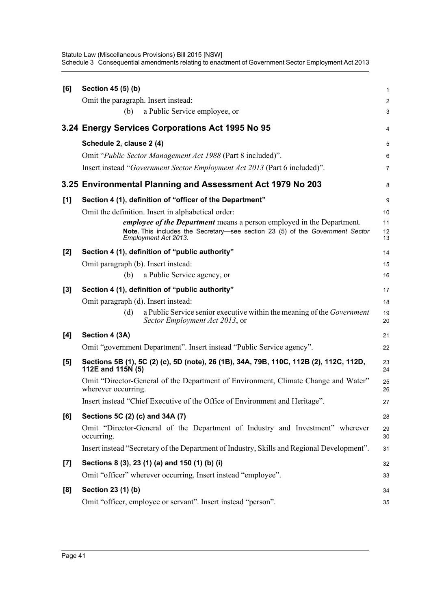| [6]   | Section 45 (5) (b)                                                                                              | 1                       |
|-------|-----------------------------------------------------------------------------------------------------------------|-------------------------|
|       | Omit the paragraph. Insert instead:                                                                             | $\overline{\mathbf{c}}$ |
|       | a Public Service employee, or<br>(b)                                                                            | 3                       |
|       | 3.24 Energy Services Corporations Act 1995 No 95                                                                | 4                       |
|       | Schedule 2, clause 2 (4)                                                                                        | 5                       |
|       | Omit "Public Sector Management Act 1988 (Part 8 included)".                                                     | 6                       |
|       | Insert instead "Government Sector Employment Act 2013 (Part 6 included)".                                       | 7                       |
|       | 3.25 Environmental Planning and Assessment Act 1979 No 203                                                      | 8                       |
| [1]   | Section 4 (1), definition of "officer of the Department"                                                        | 9                       |
|       | Omit the definition. Insert in alphabetical order:                                                              | 10                      |
|       | <i>employee of the Department</i> means a person employed in the Department.                                    | 11                      |
|       | Note. This includes the Secretary-see section 23 (5) of the Government Sector<br>Employment Act 2013.           | 12<br>13                |
| $[2]$ | Section 4 (1), definition of "public authority"                                                                 | 14                      |
|       | Omit paragraph (b). Insert instead:                                                                             | 15                      |
|       | a Public Service agency, or<br>(b)                                                                              | 16                      |
| $[3]$ | Section 4 (1), definition of "public authority"                                                                 | 17                      |
|       | Omit paragraph (d). Insert instead:                                                                             | 18                      |
|       | a Public Service senior executive within the meaning of the Government<br>(d)<br>Sector Employment Act 2013, or | 19<br>20                |
| [4]   | Section 4 (3A)                                                                                                  | 21                      |
|       | Omit "government Department". Insert instead "Public Service agency".                                           | 22                      |
| [5]   | Sections 5B (1), 5C (2) (c), 5D (note), 26 (1B), 34A, 79B, 110C, 112B (2), 112C, 112D,<br>112E and 115N (5)     | 23<br>24                |
|       | Omit "Director-General of the Department of Environment, Climate Change and Water"<br>wherever occurring.       | 25<br>26                |
|       | Insert instead "Chief Executive of the Office of Environment and Heritage".                                     | 27                      |
| [6]   | Sections 5C (2) (c) and 34A (7)                                                                                 | 28                      |
|       | Omit "Director-General of the Department of Industry and Investment" wherever<br>occurring.                     | 29<br>30                |
|       | Insert instead "Secretary of the Department of Industry, Skills and Regional Development".                      | 31                      |
| $[7]$ | Sections 8 (3), 23 (1) (a) and 150 (1) (b) (i)                                                                  | 32                      |
|       | Omit "officer" wherever occurring. Insert instead "employee".                                                   | 33                      |
| [8]   | Section 23 (1) (b)                                                                                              | 34                      |
|       | Omit "officer, employee or servant". Insert instead "person".                                                   | 35                      |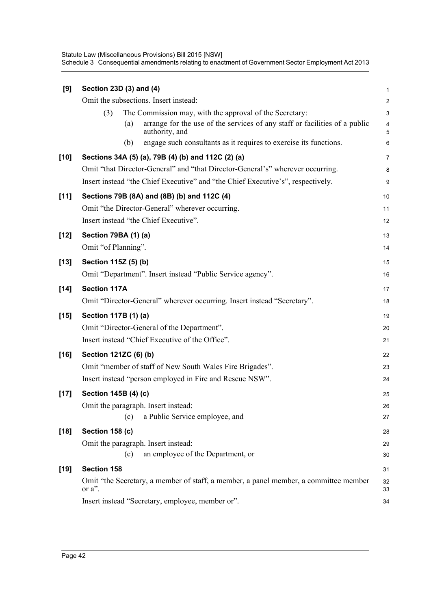| [9]    | Section 23D (3) and (4)                                                                             | $\mathbf 1$             |
|--------|-----------------------------------------------------------------------------------------------------|-------------------------|
|        | Omit the subsections. Insert instead:                                                               | $\overline{\mathbf{c}}$ |
|        | The Commission may, with the approval of the Secretary:<br>(3)                                      | 3                       |
|        | arrange for the use of the services of any staff or facilities of a public<br>(a)<br>authority, and | 4<br>5                  |
|        | engage such consultants as it requires to exercise its functions.<br>(b)                            | 6                       |
| $[10]$ | Sections 34A (5) (a), 79B (4) (b) and 112C (2) (a)                                                  | $\overline{7}$          |
|        | Omit "that Director-General" and "that Director-General's" wherever occurring.                      | 8                       |
|        | Insert instead "the Chief Executive" and "the Chief Executive's", respectively.                     | 9                       |
| $[11]$ | Sections 79B (8A) and (8B) (b) and 112C (4)                                                         | 10                      |
|        | Omit "the Director-General" wherever occurring.                                                     | 11                      |
|        | Insert instead "the Chief Executive".                                                               | 12                      |
| $[12]$ | Section 79BA (1) (a)                                                                                | 13                      |
|        | Omit "of Planning".                                                                                 | 14                      |
| $[13]$ | Section 115Z (5) (b)                                                                                | 15                      |
|        | Omit "Department". Insert instead "Public Service agency".                                          | 16                      |
| $[14]$ | <b>Section 117A</b>                                                                                 | 17                      |
|        | Omit "Director-General" wherever occurring. Insert instead "Secretary".                             | 18                      |
| $[15]$ | Section 117B (1) (a)                                                                                | 19                      |
|        | Omit "Director-General of the Department".                                                          | 20                      |
|        | Insert instead "Chief Executive of the Office".                                                     | 21                      |
| $[16]$ | Section 121ZC (6) (b)                                                                               | 22                      |
|        | Omit "member of staff of New South Wales Fire Brigades".                                            | 23                      |
|        | Insert instead "person employed in Fire and Rescue NSW".                                            | 24                      |
| $[17]$ | Section 145B (4) (c)                                                                                | 25                      |
|        | Omit the paragraph. Insert instead:                                                                 | 26                      |
|        | a Public Service employee, and<br>(c)                                                               | 27                      |
| $[18]$ | Section 158 (c)                                                                                     | 28                      |
|        | Omit the paragraph. Insert instead:                                                                 | 29                      |
|        | an employee of the Department, or<br>(c)                                                            | 30                      |
| $[19]$ | Section 158                                                                                         | 31                      |
|        | Omit "the Secretary, a member of staff, a member, a panel member, a committee member<br>or a".      | 32<br>33                |
|        | Insert instead "Secretary, employee, member or".                                                    | 34                      |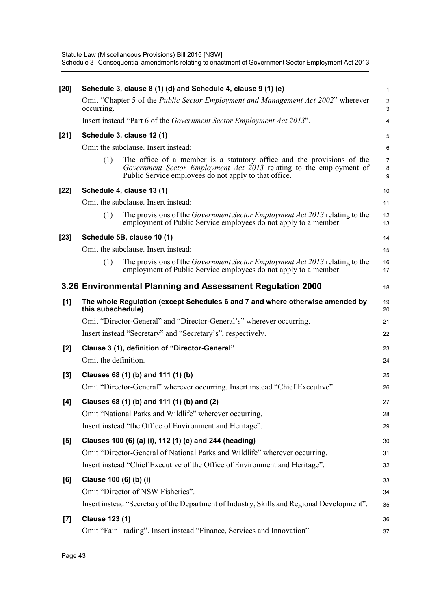| $[20]$ |                        | Schedule 3, clause 8 (1) (d) and Schedule 4, clause 9 (1) (e)                                                                                                                                          | $\mathbf{1}$             |
|--------|------------------------|--------------------------------------------------------------------------------------------------------------------------------------------------------------------------------------------------------|--------------------------|
|        | occurring.             | Omit "Chapter 5 of the Public Sector Employment and Management Act 2002" wherever                                                                                                                      | $\overline{c}$<br>3      |
|        |                        | Insert instead "Part 6 of the <i>Government Sector Employment Act 2013</i> ".                                                                                                                          | $\overline{4}$           |
| $[21]$ |                        | Schedule 3, clause 12 (1)                                                                                                                                                                              | 5                        |
|        |                        | Omit the subclause. Insert instead:                                                                                                                                                                    | 6                        |
|        | (1)                    | The office of a member is a statutory office and the provisions of the<br>Government Sector Employment Act 2013 relating to the employment of<br>Public Service employees do not apply to that office. | $\overline{7}$<br>8<br>9 |
| $[22]$ |                        | Schedule 4, clause 13 (1)                                                                                                                                                                              | 10                       |
|        |                        | Omit the subclause. Insert instead:                                                                                                                                                                    | 11                       |
|        | (1)                    | The provisions of the Government Sector Employment Act 2013 relating to the<br>employment of Public Service employees do not apply to a member.                                                        | 12<br>13                 |
| $[23]$ |                        | Schedule 5B, clause 10 (1)                                                                                                                                                                             | 14                       |
|        |                        | Omit the subclause. Insert instead:                                                                                                                                                                    | 15                       |
|        | (1)                    | The provisions of the Government Sector Employment Act 2013 relating to the<br>employment of Public Service employees do not apply to a member.                                                        | 16<br>17                 |
|        |                        | 3.26 Environmental Planning and Assessment Regulation 2000                                                                                                                                             | 18                       |
| [1]    | this subschedule)      | The whole Regulation (except Schedules 6 and 7 and where otherwise amended by                                                                                                                          | 19<br>20                 |
|        |                        | Omit "Director-General" and "Director-General's" wherever occurring.                                                                                                                                   | 21                       |
|        |                        | Insert instead "Secretary" and "Secretary's", respectively.                                                                                                                                            | 22                       |
| [2]    |                        | Clause 3 (1), definition of "Director-General"                                                                                                                                                         | 23                       |
|        | Omit the definition.   |                                                                                                                                                                                                        | 24                       |
| $[3]$  |                        | Clauses 68 (1) (b) and 111 (1) (b)                                                                                                                                                                     | 25                       |
|        |                        | Omit "Director-General" wherever occurring. Insert instead "Chief Executive".                                                                                                                          | 26                       |
| [4]    |                        | Clauses 68 (1) (b) and 111 (1) (b) and (2)                                                                                                                                                             | 27                       |
|        |                        | Omit "National Parks and Wildlife" wherever occurring.                                                                                                                                                 | 28                       |
|        |                        | Insert instead "the Office of Environment and Heritage".                                                                                                                                               | 29                       |
| $[5]$  |                        | Clauses 100 (6) (a) (i), 112 (1) (c) and 244 (heading)                                                                                                                                                 | 30                       |
|        |                        | Omit "Director-General of National Parks and Wildlife" wherever occurring.                                                                                                                             | 31                       |
|        |                        | Insert instead "Chief Executive of the Office of Environment and Heritage".                                                                                                                            | 32                       |
| [6]    | Clause 100 (6) (b) (i) |                                                                                                                                                                                                        | 33                       |
|        |                        | Omit "Director of NSW Fisheries".                                                                                                                                                                      | 34                       |
|        |                        | Insert instead "Secretary of the Department of Industry, Skills and Regional Development".                                                                                                             | 35                       |
| $[7]$  | <b>Clause 123 (1)</b>  |                                                                                                                                                                                                        | 36                       |
|        |                        | Omit "Fair Trading". Insert instead "Finance, Services and Innovation".                                                                                                                                | 37                       |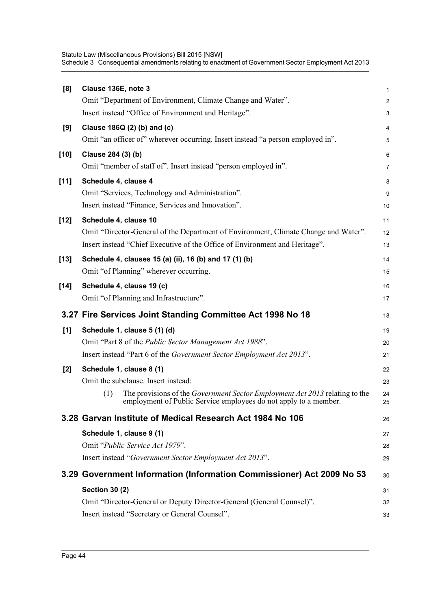| [8]    | Clause 136E, note 3                                                                                                                                           | 1              |
|--------|---------------------------------------------------------------------------------------------------------------------------------------------------------------|----------------|
|        | Omit "Department of Environment, Climate Change and Water".                                                                                                   | $\overline{c}$ |
|        | Insert instead "Office of Environment and Heritage".                                                                                                          | 3              |
| [9]    | Clause 186Q (2) (b) and (c)                                                                                                                                   | 4              |
|        | Omit "an officer of" wherever occurring. Insert instead "a person employed in".                                                                               | 5              |
| $[10]$ | Clause 284 (3) (b)                                                                                                                                            | 6              |
|        | Omit "member of staff of". Insert instead "person employed in".                                                                                               | 7              |
| $[11]$ | Schedule 4, clause 4                                                                                                                                          | 8              |
|        | Omit "Services, Technology and Administration".                                                                                                               | 9              |
|        | Insert instead "Finance, Services and Innovation".                                                                                                            | 10             |
| $[12]$ | Schedule 4, clause 10                                                                                                                                         | 11             |
|        | Omit "Director-General of the Department of Environment, Climate Change and Water".                                                                           | 12             |
|        | Insert instead "Chief Executive of the Office of Environment and Heritage".                                                                                   | 13             |
| $[13]$ | Schedule 4, clauses 15 (a) (ii), 16 (b) and 17 (1) (b)                                                                                                        | 14             |
|        | Omit "of Planning" wherever occurring.                                                                                                                        | 15             |
| $[14]$ | Schedule 4, clause 19 (c)                                                                                                                                     | 16             |
|        | Omit "of Planning and Infrastructure".                                                                                                                        | 17             |
|        | 3.27 Fire Services Joint Standing Committee Act 1998 No 18                                                                                                    | 18             |
| [1]    | Schedule 1, clause 5 (1) (d)                                                                                                                                  | 19             |
|        |                                                                                                                                                               |                |
|        | Omit "Part 8 of the Public Sector Management Act 1988".                                                                                                       | 20             |
|        | Insert instead "Part 6 of the Government Sector Employment Act 2013".                                                                                         | 21             |
| $[2]$  | Schedule 1, clause 8 (1)                                                                                                                                      | 22             |
|        | Omit the subclause. Insert instead:                                                                                                                           | 23             |
|        | The provisions of the <i>Government Sector Employment Act 2013</i> relating to the<br>(1)<br>employment of Public Service employees do not apply to a member. | 24<br>25       |
|        | 3.28 Garvan Institute of Medical Research Act 1984 No 106                                                                                                     | 26             |
|        | Schedule 1, clause 9 (1)                                                                                                                                      | 27             |
|        | Omit "Public Service Act 1979".                                                                                                                               | 28             |
|        | Insert instead "Government Sector Employment Act 2013".                                                                                                       | 29             |
|        | 3.29 Government Information (Information Commissioner) Act 2009 No 53                                                                                         | 30             |
|        | <b>Section 30 (2)</b>                                                                                                                                         | 31             |
|        | Omit "Director-General or Deputy Director-General (General Counsel)".                                                                                         | 32             |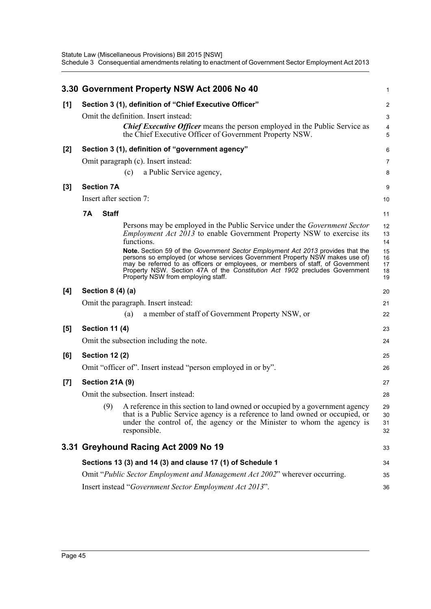|       |                                                               | 3.30 Government Property NSW Act 2006 No 40                                                                                                                                                                                                                                                                                                                             | 1                          |  |  |  |  |
|-------|---------------------------------------------------------------|-------------------------------------------------------------------------------------------------------------------------------------------------------------------------------------------------------------------------------------------------------------------------------------------------------------------------------------------------------------------------|----------------------------|--|--|--|--|
| [1]   |                                                               | Section 3 (1), definition of "Chief Executive Officer"                                                                                                                                                                                                                                                                                                                  | $\overline{\mathbf{c}}$    |  |  |  |  |
|       |                                                               | Omit the definition. Insert instead:                                                                                                                                                                                                                                                                                                                                    |                            |  |  |  |  |
|       |                                                               | <b>Chief Executive Officer</b> means the person employed in the Public Service as<br>the Chief Executive Officer of Government Property NSW.                                                                                                                                                                                                                            | 4<br>5                     |  |  |  |  |
| [2]   |                                                               | Section 3 (1), definition of "government agency"                                                                                                                                                                                                                                                                                                                        | 6                          |  |  |  |  |
|       |                                                               | Omit paragraph (c). Insert instead:                                                                                                                                                                                                                                                                                                                                     | 7                          |  |  |  |  |
|       |                                                               | a Public Service agency,<br>(c)                                                                                                                                                                                                                                                                                                                                         | 8                          |  |  |  |  |
| $[3]$ | <b>Section 7A</b>                                             |                                                                                                                                                                                                                                                                                                                                                                         | 9                          |  |  |  |  |
|       | Insert after section 7:                                       |                                                                                                                                                                                                                                                                                                                                                                         | 10                         |  |  |  |  |
|       | <b>7A</b><br><b>Staff</b>                                     |                                                                                                                                                                                                                                                                                                                                                                         | 11                         |  |  |  |  |
|       |                                                               | Persons may be employed in the Public Service under the <i>Government Sector</i><br><i>Employment Act 2013</i> to enable Government Property NSW to exercise its<br>functions.                                                                                                                                                                                          | 12<br>13<br>14             |  |  |  |  |
|       |                                                               | Note. Section 59 of the Government Sector Employment Act 2013 provides that the<br>persons so employed (or whose services Government Property NSW makes use of)<br>may be referred to as officers or employees, or members of staff, of Government<br>Property NSW. Section 47A of the Constitution Act 1902 precludes Government<br>Property NSW from employing staff. | 15<br>16<br>17<br>18<br>19 |  |  |  |  |
| [4]   | Section $8(4)(a)$                                             |                                                                                                                                                                                                                                                                                                                                                                         | 20                         |  |  |  |  |
|       |                                                               | Omit the paragraph. Insert instead:                                                                                                                                                                                                                                                                                                                                     | 21                         |  |  |  |  |
|       |                                                               | a member of staff of Government Property NSW, or<br>(a)                                                                                                                                                                                                                                                                                                                 | 22                         |  |  |  |  |
| [5]   | <b>Section 11 (4)</b>                                         |                                                                                                                                                                                                                                                                                                                                                                         | 23                         |  |  |  |  |
|       |                                                               | Omit the subsection including the note.                                                                                                                                                                                                                                                                                                                                 | 24                         |  |  |  |  |
| [6]   | <b>Section 12 (2)</b>                                         |                                                                                                                                                                                                                                                                                                                                                                         | 25                         |  |  |  |  |
|       |                                                               | Omit "officer of". Insert instead "person employed in or by".                                                                                                                                                                                                                                                                                                           | 26                         |  |  |  |  |
| $[7]$ | Section 21A (9)                                               |                                                                                                                                                                                                                                                                                                                                                                         | 27                         |  |  |  |  |
|       |                                                               | Omit the subsection. Insert instead:                                                                                                                                                                                                                                                                                                                                    | 28                         |  |  |  |  |
|       |                                                               | (9) A reference in this section to land owned or occupied by a government agency<br>that is a Public Service agency is a reference to land owned or occupied, or<br>under the control of, the agency or the Minister to whom the agency is<br>responsible.                                                                                                              | 29<br>30<br>31<br>32       |  |  |  |  |
|       |                                                               | 3.31 Greyhound Racing Act 2009 No 19                                                                                                                                                                                                                                                                                                                                    |                            |  |  |  |  |
|       |                                                               | Sections 13 (3) and 14 (3) and clause 17 (1) of Schedule 1                                                                                                                                                                                                                                                                                                              | 34                         |  |  |  |  |
|       |                                                               | Omit "Public Sector Employment and Management Act 2002" wherever occurring.                                                                                                                                                                                                                                                                                             | 35                         |  |  |  |  |
|       | Insert instead "Government Sector Employment Act 2013".<br>36 |                                                                                                                                                                                                                                                                                                                                                                         |                            |  |  |  |  |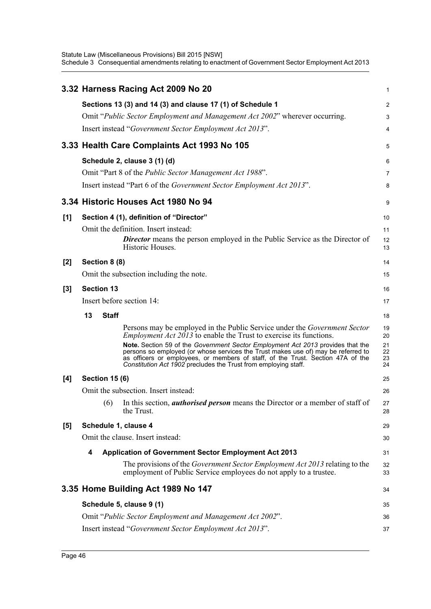|       | 3.32 Harness Racing Act 2009 No 20                                                                                                                                                                                                                                                                                         | 1                    |  |  |  |  |
|-------|----------------------------------------------------------------------------------------------------------------------------------------------------------------------------------------------------------------------------------------------------------------------------------------------------------------------------|----------------------|--|--|--|--|
|       | Sections 13 (3) and 14 (3) and clause 17 (1) of Schedule 1                                                                                                                                                                                                                                                                 | 2                    |  |  |  |  |
|       | Omit "Public Sector Employment and Management Act 2002" wherever occurring.                                                                                                                                                                                                                                                | 3                    |  |  |  |  |
|       | Insert instead "Government Sector Employment Act 2013".                                                                                                                                                                                                                                                                    | 4                    |  |  |  |  |
|       | 3.33 Health Care Complaints Act 1993 No 105                                                                                                                                                                                                                                                                                | 5                    |  |  |  |  |
|       | Schedule 2, clause 3 (1) (d)                                                                                                                                                                                                                                                                                               | 6                    |  |  |  |  |
|       | Omit "Part 8 of the <i>Public Sector Management Act 1988"</i> .                                                                                                                                                                                                                                                            | 7                    |  |  |  |  |
|       | Insert instead "Part 6 of the <i>Government Sector Employment Act 2013</i> ".                                                                                                                                                                                                                                              | 8                    |  |  |  |  |
|       | 3.34 Historic Houses Act 1980 No 94                                                                                                                                                                                                                                                                                        | 9                    |  |  |  |  |
| [1]   | Section 4 (1), definition of "Director"                                                                                                                                                                                                                                                                                    | 10                   |  |  |  |  |
|       | Omit the definition. Insert instead:                                                                                                                                                                                                                                                                                       | 11                   |  |  |  |  |
|       | <b>Director</b> means the person employed in the Public Service as the Director of<br>Historic Houses.                                                                                                                                                                                                                     | 12<br>13             |  |  |  |  |
| $[2]$ | Section 8 (8)                                                                                                                                                                                                                                                                                                              | 14                   |  |  |  |  |
|       | Omit the subsection including the note.                                                                                                                                                                                                                                                                                    | 15                   |  |  |  |  |
| $[3]$ | <b>Section 13</b>                                                                                                                                                                                                                                                                                                          | 16                   |  |  |  |  |
|       | Insert before section 14:                                                                                                                                                                                                                                                                                                  | 17                   |  |  |  |  |
|       | 13<br><b>Staff</b>                                                                                                                                                                                                                                                                                                         | 18                   |  |  |  |  |
|       | Persons may be employed in the Public Service under the <i>Government Sector</i><br><i>Employment Act 2013</i> to enable the Trust to exercise its functions.                                                                                                                                                              | 19<br>20             |  |  |  |  |
|       | Note. Section 59 of the Government Sector Employment Act 2013 provides that the<br>persons so employed (or whose services the Trust makes use of) may be referred to<br>as officers or employees, or members of staff, of the Trust. Section 47A of the<br>Constitution Act 1902 precludes the Trust from employing staff. | 21<br>22<br>23<br>24 |  |  |  |  |
| [4]   | <b>Section 15 (6)</b>                                                                                                                                                                                                                                                                                                      | 25                   |  |  |  |  |
|       | Omit the subsection. Insert instead:                                                                                                                                                                                                                                                                                       | 26                   |  |  |  |  |
|       | (6) In this section, <i>authorised person</i> means the Director or a member of staff of<br>the Trust.                                                                                                                                                                                                                     | 27<br>28             |  |  |  |  |
| [5]   | Schedule 1, clause 4                                                                                                                                                                                                                                                                                                       | 29                   |  |  |  |  |
|       | Omit the clause. Insert instead:                                                                                                                                                                                                                                                                                           | 30                   |  |  |  |  |
|       | <b>Application of Government Sector Employment Act 2013</b><br>4<br>31                                                                                                                                                                                                                                                     |                      |  |  |  |  |
|       | The provisions of the <i>Government Sector Employment Act 2013</i> relating to the<br>employment of Public Service employees do not apply to a trustee.                                                                                                                                                                    | 32<br>33             |  |  |  |  |
|       | 3.35 Home Building Act 1989 No 147                                                                                                                                                                                                                                                                                         | 34                   |  |  |  |  |
|       | Schedule 5, clause 9 (1)                                                                                                                                                                                                                                                                                                   | 35                   |  |  |  |  |
|       | Omit "Public Sector Employment and Management Act 2002".                                                                                                                                                                                                                                                                   | 36                   |  |  |  |  |
|       | Insert instead "Government Sector Employment Act 2013".                                                                                                                                                                                                                                                                    | 37                   |  |  |  |  |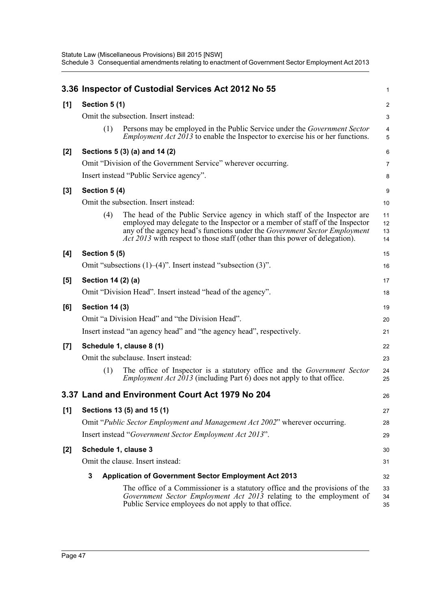|       |                       | 3.36 Inspector of Custodial Services Act 2012 No 55                                                                                                                                                                                                                                                                          | 1                    |
|-------|-----------------------|------------------------------------------------------------------------------------------------------------------------------------------------------------------------------------------------------------------------------------------------------------------------------------------------------------------------------|----------------------|
| [1]   | Section 5(1)          |                                                                                                                                                                                                                                                                                                                              | $\overline{c}$       |
|       |                       | Omit the subsection. Insert instead:                                                                                                                                                                                                                                                                                         | 3                    |
|       | (1)                   | Persons may be employed in the Public Service under the <i>Government Sector</i><br><i>Employment Act 2013</i> to enable the Inspector to exercise his or her functions.                                                                                                                                                     | 4<br>5               |
| $[2]$ |                       | Sections 5 (3) (a) and 14 (2)                                                                                                                                                                                                                                                                                                | 6                    |
|       |                       | Omit "Division of the Government Service" wherever occurring.                                                                                                                                                                                                                                                                | 7                    |
|       |                       | Insert instead "Public Service agency".                                                                                                                                                                                                                                                                                      | 8                    |
| $[3]$ | Section 5 (4)         |                                                                                                                                                                                                                                                                                                                              | 9                    |
|       |                       | Omit the subsection. Insert instead:                                                                                                                                                                                                                                                                                         | 10                   |
|       | (4)                   | The head of the Public Service agency in which staff of the Inspector are<br>employed may delegate to the Inspector or a member of staff of the Inspector<br>any of the agency head's functions under the Government Sector Employment<br><i>Act 2013</i> with respect to those staff (other than this power of delegation). | 11<br>12<br>13<br>14 |
| [4]   | Section 5 (5)         |                                                                                                                                                                                                                                                                                                                              | 15                   |
|       |                       | Omit "subsections $(1)$ – $(4)$ ". Insert instead "subsection $(3)$ ".                                                                                                                                                                                                                                                       | 16                   |
| [5]   | Section 14 (2) (a)    |                                                                                                                                                                                                                                                                                                                              | 17                   |
|       |                       | Omit "Division Head". Insert instead "head of the agency".                                                                                                                                                                                                                                                                   | 18                   |
| [6]   | <b>Section 14 (3)</b> |                                                                                                                                                                                                                                                                                                                              | 19                   |
|       |                       | Omit "a Division Head" and "the Division Head".                                                                                                                                                                                                                                                                              | 20                   |
|       |                       | Insert instead "an agency head" and "the agency head", respectively.                                                                                                                                                                                                                                                         | 21                   |
| [7]   |                       | Schedule 1, clause 8 (1)                                                                                                                                                                                                                                                                                                     | 22                   |
|       |                       | Omit the subclause. Insert instead:                                                                                                                                                                                                                                                                                          | 23                   |
|       | (1)                   | The office of Inspector is a statutory office and the <i>Government Sector</i><br><i>Employment Act 2013</i> (including Part $\vec{6}$ ) does not apply to that office.                                                                                                                                                      | 24<br>25             |
|       |                       | 3.37 Land and Environment Court Act 1979 No 204                                                                                                                                                                                                                                                                              | 26                   |
| [1]   |                       | Sections 13 (5) and 15 (1)                                                                                                                                                                                                                                                                                                   | 27                   |
|       |                       | Omit "Public Sector Employment and Management Act 2002" wherever occurring.                                                                                                                                                                                                                                                  | 28                   |
|       |                       | Insert instead "Government Sector Employment Act 2013".                                                                                                                                                                                                                                                                      | 29                   |
| $[2]$ | Schedule 1, clause 3  |                                                                                                                                                                                                                                                                                                                              | 30                   |
|       |                       | Omit the clause. Insert instead:                                                                                                                                                                                                                                                                                             | 31                   |
|       | 3                     | <b>Application of Government Sector Employment Act 2013</b>                                                                                                                                                                                                                                                                  | 32                   |
|       |                       | The office of a Commissioner is a statutory office and the provisions of the<br>Government Sector Employment Act 2013 relating to the employment of<br>Public Service employees do not apply to that office.                                                                                                                 | 33<br>34<br>35       |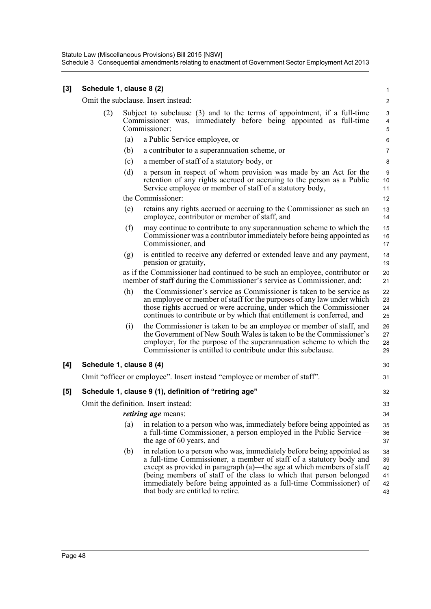| [3] | Schedule 1, clause 8 (2) |     |                                                                                                                                                                                                                                                                                                                                                                                                         | $\mathbf{1}$                      |
|-----|--------------------------|-----|---------------------------------------------------------------------------------------------------------------------------------------------------------------------------------------------------------------------------------------------------------------------------------------------------------------------------------------------------------------------------------------------------------|-----------------------------------|
|     |                          |     | Omit the subclause. Insert instead:                                                                                                                                                                                                                                                                                                                                                                     | $\overline{c}$                    |
|     | (2)                      |     | Subject to subclause (3) and to the terms of appointment, if a full-time<br>Commissioner was, immediately before being appointed as full-time<br>Commissioner:                                                                                                                                                                                                                                          | 3<br>$\overline{\mathbf{4}}$<br>5 |
|     |                          | (a) | a Public Service employee, or                                                                                                                                                                                                                                                                                                                                                                           | 6                                 |
|     |                          | (b) | a contributor to a superannuation scheme, or                                                                                                                                                                                                                                                                                                                                                            | $\overline{7}$                    |
|     |                          | (c) | a member of staff of a statutory body, or                                                                                                                                                                                                                                                                                                                                                               | 8                                 |
|     |                          | (d) | a person in respect of whom provision was made by an Act for the<br>retention of any rights accrued or accruing to the person as a Public<br>Service employee or member of staff of a statutory body,                                                                                                                                                                                                   | 9<br>10<br>11                     |
|     |                          |     | the Commissioner:                                                                                                                                                                                                                                                                                                                                                                                       | 12                                |
|     |                          | (e) | retains any rights accrued or accruing to the Commissioner as such an<br>employee, contributor or member of staff, and                                                                                                                                                                                                                                                                                  | 13<br>14                          |
|     |                          | (f) | may continue to contribute to any superannuation scheme to which the<br>Commissioner was a contributor immediately before being appointed as<br>Commissioner, and                                                                                                                                                                                                                                       | 15<br>16<br>17                    |
|     |                          | (g) | is entitled to receive any deferred or extended leave and any payment,<br>pension or gratuity,                                                                                                                                                                                                                                                                                                          | 18<br>19                          |
|     |                          |     | as if the Commissioner had continued to be such an employee, contributor or<br>member of staff during the Commissioner's service as Commissioner, and:                                                                                                                                                                                                                                                  | 20<br>21                          |
|     |                          | (h) | the Commissioner's service as Commissioner is taken to be service as<br>an employee or member of staff for the purposes of any law under which<br>those rights accrued or were accruing, under which the Commissioner<br>continues to contribute or by which that entitlement is conferred, and                                                                                                         | 22<br>23<br>24<br>25              |
|     |                          | (i) | the Commissioner is taken to be an employee or member of staff, and<br>the Government of New South Wales is taken to be the Commissioner's<br>employer, for the purpose of the superannuation scheme to which the<br>Commissioner is entitled to contribute under this subclause.                                                                                                                       | 26<br>27<br>28<br>29              |
| [4] | Schedule 1, clause 8 (4) |     |                                                                                                                                                                                                                                                                                                                                                                                                         | 30                                |
|     |                          |     | Omit "officer or employee". Insert instead "employee or member of staff".                                                                                                                                                                                                                                                                                                                               | 31                                |
| [5] |                          |     | Schedule 1, clause 9 (1), definition of "retiring age"                                                                                                                                                                                                                                                                                                                                                  | 32                                |
|     |                          |     | Omit the definition. Insert instead:                                                                                                                                                                                                                                                                                                                                                                    | 33                                |
|     |                          |     | <i>retiring age</i> means:                                                                                                                                                                                                                                                                                                                                                                              | 34                                |
|     |                          | (a) | in relation to a person who was, immediately before being appointed as<br>a full-time Commissioner, a person employed in the Public Service—<br>the age of 60 years, and                                                                                                                                                                                                                                | 35<br>36<br>37                    |
|     |                          | (b) | in relation to a person who was, immediately before being appointed as<br>a full-time Commissioner, a member of staff of a statutory body and<br>except as provided in paragraph (a)—the age at which members of staff<br>(being members of staff of the class to which that person belonged<br>immediately before being appointed as a full-time Commissioner) of<br>that body are entitled to retire. | 38<br>39<br>40<br>41<br>42<br>43  |
|     |                          |     |                                                                                                                                                                                                                                                                                                                                                                                                         |                                   |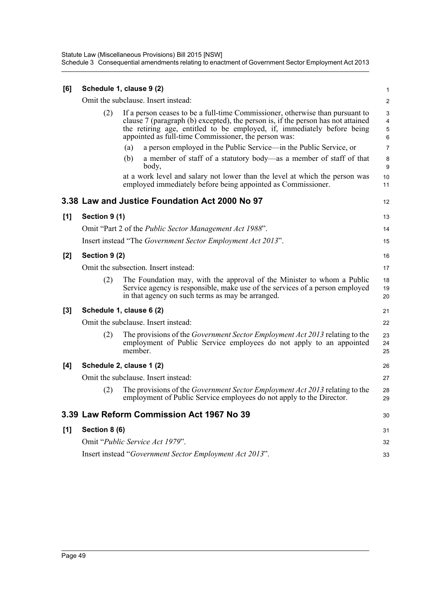| [6] |                                      | Schedule 1, clause 9 (2)                                                                                                                                                                                                                                                                                                                                                                                                                                                                                                                              | 1                                                                        |  |  |  |
|-----|--------------------------------------|-------------------------------------------------------------------------------------------------------------------------------------------------------------------------------------------------------------------------------------------------------------------------------------------------------------------------------------------------------------------------------------------------------------------------------------------------------------------------------------------------------------------------------------------------------|--------------------------------------------------------------------------|--|--|--|
|     |                                      | Omit the subclause. Insert instead:                                                                                                                                                                                                                                                                                                                                                                                                                                                                                                                   | $\overline{2}$                                                           |  |  |  |
|     | (2)                                  | If a person ceases to be a full-time Commissioner, otherwise than pursuant to<br>clause 7 (paragraph (b) excepted), the person is, if the person has not attained<br>the retiring age, entitled to be employed, if, immediately before being<br>appointed as full-time Commissioner, the person was:<br>a person employed in the Public Service—in the Public Service, or<br>(a)<br>(b)<br>a member of staff of a statutory body—as a member of staff of that<br>body,<br>at a work level and salary not lower than the level at which the person was | 3<br>$\overline{\mathbf{4}}$<br>5<br>6<br>$\overline{7}$<br>8<br>9<br>10 |  |  |  |
|     |                                      | employed immediately before being appointed as Commissioner.                                                                                                                                                                                                                                                                                                                                                                                                                                                                                          | 11                                                                       |  |  |  |
|     |                                      | 3.38 Law and Justice Foundation Act 2000 No 97                                                                                                                                                                                                                                                                                                                                                                                                                                                                                                        | 12                                                                       |  |  |  |
| [1] | Section 9 (1)                        |                                                                                                                                                                                                                                                                                                                                                                                                                                                                                                                                                       | 13                                                                       |  |  |  |
|     |                                      | Omit "Part 2 of the <i>Public Sector Management Act 1988"</i> .                                                                                                                                                                                                                                                                                                                                                                                                                                                                                       | 14                                                                       |  |  |  |
|     |                                      | Insert instead "The Government Sector Employment Act 2013".                                                                                                                                                                                                                                                                                                                                                                                                                                                                                           | 15                                                                       |  |  |  |
| [2] | Section 9 (2)                        |                                                                                                                                                                                                                                                                                                                                                                                                                                                                                                                                                       |                                                                          |  |  |  |
|     | Omit the subsection. Insert instead: |                                                                                                                                                                                                                                                                                                                                                                                                                                                                                                                                                       |                                                                          |  |  |  |
|     | (2)                                  | The Foundation may, with the approval of the Minister to whom a Public<br>Service agency is responsible, make use of the services of a person employed<br>in that agency on such terms as may be arranged.                                                                                                                                                                                                                                                                                                                                            | 18<br>19<br>20                                                           |  |  |  |
| [3] |                                      | Schedule 1, clause 6 (2)                                                                                                                                                                                                                                                                                                                                                                                                                                                                                                                              | 21                                                                       |  |  |  |
|     |                                      | Omit the subclause. Insert instead:                                                                                                                                                                                                                                                                                                                                                                                                                                                                                                                   | 22                                                                       |  |  |  |
|     | (2)                                  | The provisions of the Government Sector Employment Act 2013 relating to the<br>employment of Public Service employees do not apply to an appointed<br>member                                                                                                                                                                                                                                                                                                                                                                                          | 23<br>24<br>25                                                           |  |  |  |
| [4] | Schedule 2, clause 1 (2)             |                                                                                                                                                                                                                                                                                                                                                                                                                                                                                                                                                       |                                                                          |  |  |  |
|     |                                      | Omit the subclause. Insert instead:                                                                                                                                                                                                                                                                                                                                                                                                                                                                                                                   | 27                                                                       |  |  |  |
|     | (2)                                  | The provisions of the <i>Government Sector Employment Act 2013</i> relating to the<br>employment of Public Service employees do not apply to the Director.                                                                                                                                                                                                                                                                                                                                                                                            | 28<br>29                                                                 |  |  |  |
|     |                                      | 3.39 Law Reform Commission Act 1967 No 39                                                                                                                                                                                                                                                                                                                                                                                                                                                                                                             | 30                                                                       |  |  |  |
| [1] | Section 8 (6)                        |                                                                                                                                                                                                                                                                                                                                                                                                                                                                                                                                                       | 31                                                                       |  |  |  |
|     |                                      | Omit "Public Service Act 1979".                                                                                                                                                                                                                                                                                                                                                                                                                                                                                                                       | 32                                                                       |  |  |  |
|     |                                      | Insert instead "Government Sector Employment Act 2013".                                                                                                                                                                                                                                                                                                                                                                                                                                                                                               | 33                                                                       |  |  |  |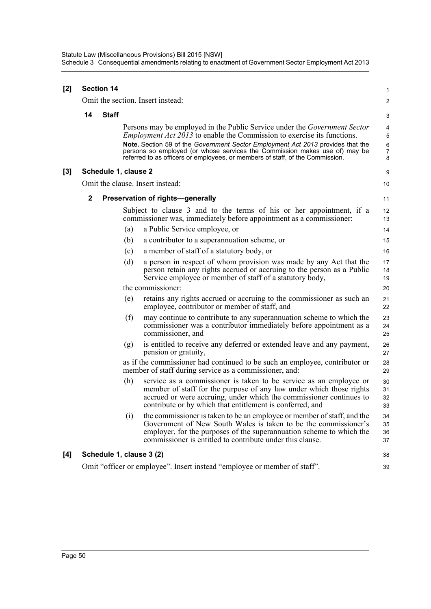| [2] |             | <b>Section 14</b>    |     |                                                                                                                                                                                                                                                                                                                                                                                                                      |                                    |  |  |  |
|-----|-------------|----------------------|-----|----------------------------------------------------------------------------------------------------------------------------------------------------------------------------------------------------------------------------------------------------------------------------------------------------------------------------------------------------------------------------------------------------------------------|------------------------------------|--|--|--|
|     |             |                      |     | Omit the section. Insert instead:                                                                                                                                                                                                                                                                                                                                                                                    | 2                                  |  |  |  |
|     | 14          | <b>Staff</b>         |     |                                                                                                                                                                                                                                                                                                                                                                                                                      | 3                                  |  |  |  |
|     |             |                      |     | Persons may be employed in the Public Service under the <i>Government Sector</i><br><i>Employment Act 2013</i> to enable the Commission to exercise its functions.<br>Note. Section 59 of the Government Sector Employment Act 2013 provides that the<br>persons so employed (or whose services the Commission makes use of) may be<br>referred to as officers or employees, or members of staff, of the Commission. | 4<br>5<br>6<br>$\overline{7}$<br>8 |  |  |  |
| [3] |             | Schedule 1, clause 2 |     |                                                                                                                                                                                                                                                                                                                                                                                                                      | 9                                  |  |  |  |
|     |             |                      |     | Omit the clause. Insert instead:                                                                                                                                                                                                                                                                                                                                                                                     | 10                                 |  |  |  |
|     | $\mathbf 2$ |                      |     | Preservation of rights-generally                                                                                                                                                                                                                                                                                                                                                                                     | 11                                 |  |  |  |
|     |             |                      |     | Subject to clause 3 and to the terms of his or her appointment, if a<br>commissioner was, immediately before appointment as a commissioner:                                                                                                                                                                                                                                                                          | 12<br>13                           |  |  |  |
|     |             |                      | (a) | a Public Service employee, or                                                                                                                                                                                                                                                                                                                                                                                        | 14                                 |  |  |  |
|     |             |                      | (b) | a contributor to a superannuation scheme, or                                                                                                                                                                                                                                                                                                                                                                         | 15                                 |  |  |  |
|     |             |                      | (c) | a member of staff of a statutory body, or                                                                                                                                                                                                                                                                                                                                                                            | 16                                 |  |  |  |
|     |             |                      | (d) | a person in respect of whom provision was made by any Act that the<br>person retain any rights accrued or accruing to the person as a Public<br>Service employee or member of staff of a statutory body,                                                                                                                                                                                                             | 17<br>18<br>19                     |  |  |  |
|     |             |                      |     | the commissioner:                                                                                                                                                                                                                                                                                                                                                                                                    | 20                                 |  |  |  |
|     |             |                      | (e) | retains any rights accrued or accruing to the commissioner as such an<br>employee, contributor or member of staff, and                                                                                                                                                                                                                                                                                               | 21<br>22                           |  |  |  |
|     |             |                      | (f) | may continue to contribute to any superannuation scheme to which the<br>commissioner was a contributor immediately before appointment as a<br>commissioner, and                                                                                                                                                                                                                                                      | 23<br>24<br>25                     |  |  |  |
|     |             |                      | (g) | is entitled to receive any deferred or extended leave and any payment,<br>pension or gratuity,                                                                                                                                                                                                                                                                                                                       | 26<br>27                           |  |  |  |
|     |             |                      |     | as if the commissioner had continued to be such an employee, contributor or<br>member of staff during service as a commissioner, and:                                                                                                                                                                                                                                                                                | 28<br>29                           |  |  |  |
|     |             |                      | (h) | service as a commissioner is taken to be service as an employee or<br>member of staff for the purpose of any law under which those rights<br>accrued or were accruing, under which the commissioner continues to<br>contribute or by which that entitlement is conferred, and                                                                                                                                        | 30<br>31<br>32<br>33               |  |  |  |
|     |             |                      | (i) | the commissioner is taken to be an employee or member of staff, and the<br>Government of New South Wales is taken to be the commissioner's<br>employer, for the purposes of the superannuation scheme to which the<br>commissioner is entitled to contribute under this clause.                                                                                                                                      | 34<br>35<br>36<br>37               |  |  |  |
| [4] |             |                      |     | Schedule 1, clause 3 (2)                                                                                                                                                                                                                                                                                                                                                                                             | 38                                 |  |  |  |
|     |             |                      |     | Omit "officer or employee". Insert instead "employee or member of staff".                                                                                                                                                                                                                                                                                                                                            | 39                                 |  |  |  |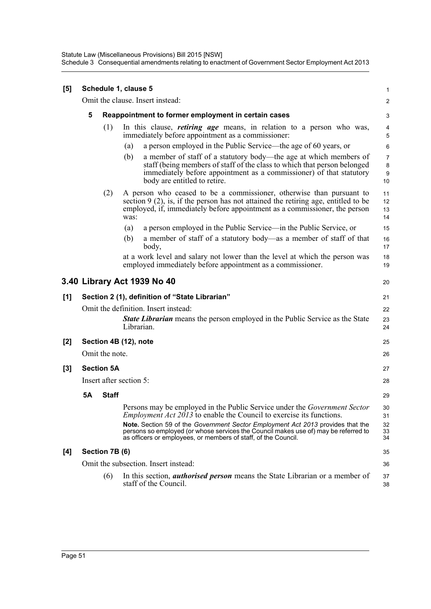| [5] |                                                |                | Schedule 1, clause 5                                                                                                                                                                                                                                        | 1                       |  |  |  |
|-----|------------------------------------------------|----------------|-------------------------------------------------------------------------------------------------------------------------------------------------------------------------------------------------------------------------------------------------------------|-------------------------|--|--|--|
|     |                                                |                | Omit the clause. Insert instead:                                                                                                                                                                                                                            | $\overline{\mathbf{c}}$ |  |  |  |
|     | 5                                              |                | Reappointment to former employment in certain cases                                                                                                                                                                                                         | 3                       |  |  |  |
|     |                                                | (1)            | In this clause, <i>retiring age</i> means, in relation to a person who was,<br>immediately before appointment as a commissioner:                                                                                                                            | 4<br>5                  |  |  |  |
|     |                                                |                | a person employed in the Public Service—the age of 60 years, or<br>(a)                                                                                                                                                                                      | 6                       |  |  |  |
|     |                                                |                | (b)<br>a member of staff of a statutory body—the age at which members of<br>staff (being members of staff of the class to which that person belonged<br>immediately before appointment as a commissioner) of that statutory<br>body are entitled to retire. | 7<br>8<br>9<br>10       |  |  |  |
|     |                                                | (2)            | A person who ceased to be a commissioner, otherwise than pursuant to<br>section $9(2)$ , is, if the person has not attained the retiring age, entitled to be<br>employed, if, immediately before appointment as a commissioner, the person<br>was:          | 11<br>12<br>13<br>14    |  |  |  |
|     |                                                |                | (a)<br>a person employed in the Public Service—in the Public Service, or                                                                                                                                                                                    | 15                      |  |  |  |
|     |                                                |                | (b)<br>a member of staff of a statutory body—as a member of staff of that<br>body,                                                                                                                                                                          | 16<br>17                |  |  |  |
|     |                                                |                | at a work level and salary not lower than the level at which the person was<br>employed immediately before appointment as a commissioner.                                                                                                                   | 18<br>19                |  |  |  |
|     |                                                |                | 3.40 Library Act 1939 No 40                                                                                                                                                                                                                                 | 20                      |  |  |  |
| [1] | Section 2 (1), definition of "State Librarian" |                |                                                                                                                                                                                                                                                             |                         |  |  |  |
|     |                                                |                | Omit the definition. Insert instead:<br><b>State Librarian</b> means the person employed in the Public Service as the State<br>Librarian.                                                                                                                   | 22<br>23<br>24          |  |  |  |
| [2] | Section 4B (12), note                          |                |                                                                                                                                                                                                                                                             |                         |  |  |  |
|     |                                                | Omit the note. |                                                                                                                                                                                                                                                             | 26                      |  |  |  |
| [3] | <b>Section 5A</b>                              |                |                                                                                                                                                                                                                                                             |                         |  |  |  |
|     | Insert after section 5:<br>28                  |                |                                                                                                                                                                                                                                                             |                         |  |  |  |
|     | <b>5A</b>                                      | <b>Staff</b>   |                                                                                                                                                                                                                                                             | 29                      |  |  |  |
|     |                                                |                | Persons may be employed in the Public Service under the Government Sector<br><i>Employment Act 2013</i> to enable the Council to exercise its functions.                                                                                                    | 30<br>31                |  |  |  |
|     |                                                |                | Note. Section 59 of the Government Sector Employment Act 2013 provides that the<br>persons so employed (or whose services the Council makes use of) may be referred to<br>as officers or employees, or members of staff, of the Council.                    | 32<br>33<br>34          |  |  |  |
| [4] |                                                | Section 7B (6) |                                                                                                                                                                                                                                                             | 35                      |  |  |  |
|     |                                                |                | Omit the subsection. Insert instead:                                                                                                                                                                                                                        | 36                      |  |  |  |
|     |                                                | (6)            | In this section, <i>authorised person</i> means the State Librarian or a member of<br>staff of the Council.                                                                                                                                                 | 37<br>38                |  |  |  |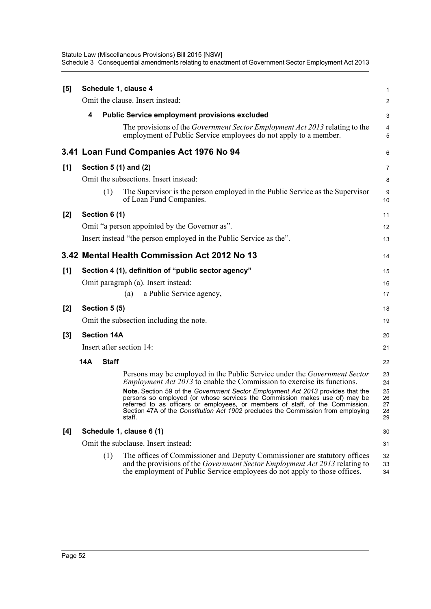| [5] |            |                    | Schedule 1, clause 4                                                                                                                                                                                                                                                                                                                                                                                                                                                                                              | 1                                      |
|-----|------------|--------------------|-------------------------------------------------------------------------------------------------------------------------------------------------------------------------------------------------------------------------------------------------------------------------------------------------------------------------------------------------------------------------------------------------------------------------------------------------------------------------------------------------------------------|----------------------------------------|
|     |            |                    | Omit the clause. Insert instead:                                                                                                                                                                                                                                                                                                                                                                                                                                                                                  | 2                                      |
|     | 4          |                    | <b>Public Service employment provisions excluded</b>                                                                                                                                                                                                                                                                                                                                                                                                                                                              | 3                                      |
|     |            |                    | The provisions of the <i>Government Sector Employment Act 2013</i> relating to the<br>employment of Public Service employees do not apply to a member.                                                                                                                                                                                                                                                                                                                                                            | 4<br>5                                 |
|     |            |                    | 3.41 Loan Fund Companies Act 1976 No 94                                                                                                                                                                                                                                                                                                                                                                                                                                                                           | 6                                      |
| [1] |            |                    | Section 5 (1) and (2)                                                                                                                                                                                                                                                                                                                                                                                                                                                                                             | 7                                      |
|     |            |                    | Omit the subsections. Insert instead:                                                                                                                                                                                                                                                                                                                                                                                                                                                                             | 8                                      |
|     |            | (1)                | The Supervisor is the person employed in the Public Service as the Supervisor<br>of Loan Fund Companies.                                                                                                                                                                                                                                                                                                                                                                                                          | 9<br>10                                |
| [2] |            | Section 6 (1)      |                                                                                                                                                                                                                                                                                                                                                                                                                                                                                                                   | 11                                     |
|     |            |                    | Omit "a person appointed by the Governor as".                                                                                                                                                                                                                                                                                                                                                                                                                                                                     | 12                                     |
|     |            |                    | Insert instead "the person employed in the Public Service as the".                                                                                                                                                                                                                                                                                                                                                                                                                                                | 13                                     |
|     |            |                    | 3.42 Mental Health Commission Act 2012 No 13                                                                                                                                                                                                                                                                                                                                                                                                                                                                      | 14                                     |
| [1] |            |                    | Section 4 (1), definition of "public sector agency"                                                                                                                                                                                                                                                                                                                                                                                                                                                               | 15                                     |
|     |            |                    | Omit paragraph (a). Insert instead:                                                                                                                                                                                                                                                                                                                                                                                                                                                                               | 16                                     |
|     |            |                    | a Public Service agency,<br>(a)                                                                                                                                                                                                                                                                                                                                                                                                                                                                                   | 17                                     |
| [2] |            | Section 5 (5)      |                                                                                                                                                                                                                                                                                                                                                                                                                                                                                                                   | 18                                     |
|     |            |                    | Omit the subsection including the note.                                                                                                                                                                                                                                                                                                                                                                                                                                                                           | 19                                     |
| [3] |            | <b>Section 14A</b> |                                                                                                                                                                                                                                                                                                                                                                                                                                                                                                                   | 20                                     |
|     |            |                    | Insert after section 14:                                                                                                                                                                                                                                                                                                                                                                                                                                                                                          | 21                                     |
|     | <b>14A</b> | <b>Staff</b>       |                                                                                                                                                                                                                                                                                                                                                                                                                                                                                                                   | 22                                     |
|     |            |                    | Persons may be employed in the Public Service under the <i>Government Sector</i><br><i>Employment Act 2013</i> to enable the Commission to exercise its functions.<br>Note. Section 59 of the Government Sector Employment Act 2013 provides that the<br>persons so employed (or whose services the Commission makes use of) may be<br>referred to as officers or employees, or members of staff, of the Commission<br>Section 47A of the Constitution Act 1902 precludes the Commission from employing<br>staff. | 23<br>24<br>25<br>26<br>27<br>28<br>29 |
| [4] |            |                    | Schedule 1, clause 6 (1)                                                                                                                                                                                                                                                                                                                                                                                                                                                                                          | 30                                     |
|     |            |                    | Omit the subclause. Insert instead:                                                                                                                                                                                                                                                                                                                                                                                                                                                                               | 31                                     |
|     |            | (1)                | The offices of Commissioner and Deputy Commissioner are statutory offices<br>and the provisions of the <i>Government Sector Employment Act 2013</i> relating to<br>the employment of Public Service employees do not apply to those offices.                                                                                                                                                                                                                                                                      | 32<br>33<br>34                         |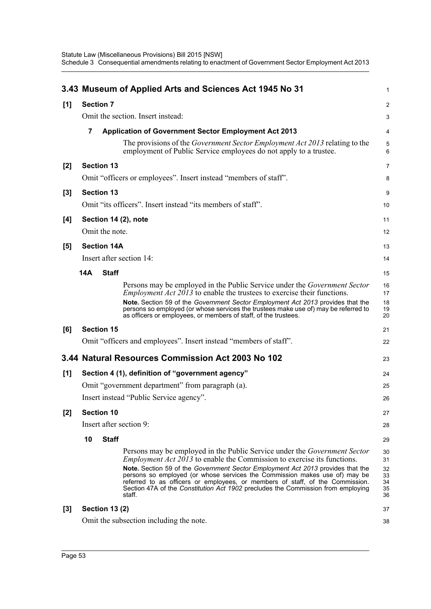|       |                                                  |                       | 3.43 Museum of Applied Arts and Sciences Act 1945 No 31                                                                                                                                                                                                                                                                                                                                                         | $\mathbf 1$                |  |  |
|-------|--------------------------------------------------|-----------------------|-----------------------------------------------------------------------------------------------------------------------------------------------------------------------------------------------------------------------------------------------------------------------------------------------------------------------------------------------------------------------------------------------------------------|----------------------------|--|--|
| [1]   | <b>Section 7</b>                                 |                       |                                                                                                                                                                                                                                                                                                                                                                                                                 | 2                          |  |  |
|       |                                                  |                       | Omit the section. Insert instead:                                                                                                                                                                                                                                                                                                                                                                               | 3                          |  |  |
|       | 7                                                |                       | <b>Application of Government Sector Employment Act 2013</b>                                                                                                                                                                                                                                                                                                                                                     | 4                          |  |  |
|       |                                                  |                       | The provisions of the <i>Government Sector Employment Act 2013</i> relating to the<br>employment of Public Service employees do not apply to a trustee.                                                                                                                                                                                                                                                         | 5<br>6                     |  |  |
| $[2]$ |                                                  | <b>Section 13</b>     |                                                                                                                                                                                                                                                                                                                                                                                                                 | 7                          |  |  |
|       |                                                  |                       | Omit "officers or employees". Insert instead "members of staff".                                                                                                                                                                                                                                                                                                                                                | 8                          |  |  |
| $[3]$ |                                                  | <b>Section 13</b>     |                                                                                                                                                                                                                                                                                                                                                                                                                 | 9                          |  |  |
|       |                                                  |                       | Omit "its officers". Insert instead "its members of staff".                                                                                                                                                                                                                                                                                                                                                     | 10                         |  |  |
| [4]   |                                                  |                       | Section 14 (2), note                                                                                                                                                                                                                                                                                                                                                                                            | 11                         |  |  |
|       |                                                  | Omit the note.        |                                                                                                                                                                                                                                                                                                                                                                                                                 | 12                         |  |  |
| [5]   |                                                  | <b>Section 14A</b>    |                                                                                                                                                                                                                                                                                                                                                                                                                 | 13                         |  |  |
|       |                                                  |                       | Insert after section 14:                                                                                                                                                                                                                                                                                                                                                                                        | 14                         |  |  |
|       | 14A                                              | <b>Staff</b>          |                                                                                                                                                                                                                                                                                                                                                                                                                 | 15                         |  |  |
|       |                                                  |                       | Persons may be employed in the Public Service under the <i>Government Sector</i><br><i>Employment Act 2013</i> to enable the trustees to exercise their functions.<br>Note. Section 59 of the Government Sector Employment Act 2013 provides that the<br>persons so employed (or whose services the trustees make use of) may be referred to<br>as officers or employees, or members of staff, of the trustees. | 16<br>17<br>18<br>19<br>20 |  |  |
| [6]   |                                                  | <b>Section 15</b>     |                                                                                                                                                                                                                                                                                                                                                                                                                 | 21                         |  |  |
|       |                                                  |                       | Omit "officers and employees". Insert instead "members of staff".                                                                                                                                                                                                                                                                                                                                               | 22                         |  |  |
|       |                                                  |                       | 3.44 Natural Resources Commission Act 2003 No 102                                                                                                                                                                                                                                                                                                                                                               | 23                         |  |  |
| [1]   |                                                  |                       | Section 4 (1), definition of "government agency"                                                                                                                                                                                                                                                                                                                                                                | 24                         |  |  |
|       | Omit "government department" from paragraph (a). |                       |                                                                                                                                                                                                                                                                                                                                                                                                                 |                            |  |  |
|       |                                                  |                       | Insert instead "Public Service agency".                                                                                                                                                                                                                                                                                                                                                                         | 26                         |  |  |
| [2]   | <b>Section 10</b>                                |                       |                                                                                                                                                                                                                                                                                                                                                                                                                 |                            |  |  |
|       |                                                  |                       | Insert after section 9:                                                                                                                                                                                                                                                                                                                                                                                         | 28                         |  |  |
|       | 10                                               | <b>Staff</b>          |                                                                                                                                                                                                                                                                                                                                                                                                                 | 29                         |  |  |
|       |                                                  |                       | Persons may be employed in the Public Service under the <i>Government Sector</i><br><i>Employment Act 2013</i> to enable the Commission to exercise its functions.                                                                                                                                                                                                                                              | 30<br>31                   |  |  |
|       |                                                  |                       | Note. Section 59 of the Government Sector Employment Act 2013 provides that the<br>persons so employed (or whose services the Commission makes use of) may be<br>referred to as officers or employees, or members of staff, of the Commission.<br>Section 47A of the Constitution Act 1902 precludes the Commission from employing<br>staff.                                                                    | 32<br>33<br>34<br>35<br>36 |  |  |
| $[3]$ |                                                  | <b>Section 13 (2)</b> |                                                                                                                                                                                                                                                                                                                                                                                                                 | 37                         |  |  |
|       |                                                  |                       | Omit the subsection including the note.                                                                                                                                                                                                                                                                                                                                                                         | 38                         |  |  |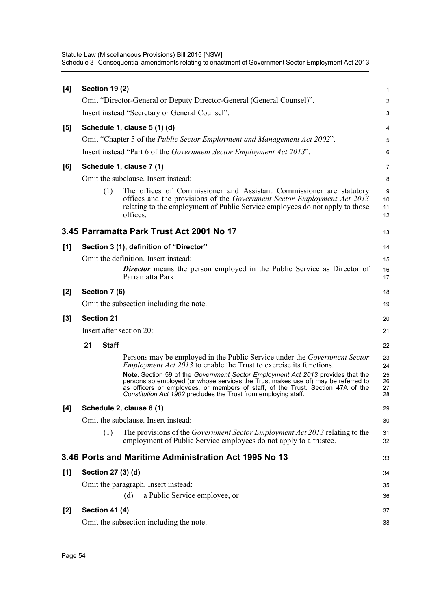| [4]   | <b>Section 19 (2)</b> |                                                                                                                                                                                                                                                                                                                                                                                                                                                                                             | 1                                |
|-------|-----------------------|---------------------------------------------------------------------------------------------------------------------------------------------------------------------------------------------------------------------------------------------------------------------------------------------------------------------------------------------------------------------------------------------------------------------------------------------------------------------------------------------|----------------------------------|
|       |                       | Omit "Director-General or Deputy Director-General (General Counsel)".                                                                                                                                                                                                                                                                                                                                                                                                                       | 2                                |
|       |                       | Insert instead "Secretary or General Counsel".                                                                                                                                                                                                                                                                                                                                                                                                                                              | 3                                |
| [5]   |                       | Schedule 1, clause 5 (1) (d)                                                                                                                                                                                                                                                                                                                                                                                                                                                                | 4                                |
|       |                       | Omit "Chapter 5 of the <i>Public Sector Employment and Management Act 2002"</i> .                                                                                                                                                                                                                                                                                                                                                                                                           | 5                                |
|       |                       | Insert instead "Part 6 of the <i>Government Sector Employment Act 2013</i> ".                                                                                                                                                                                                                                                                                                                                                                                                               | 6                                |
| [6]   |                       | Schedule 1, clause 7 (1)                                                                                                                                                                                                                                                                                                                                                                                                                                                                    | 7                                |
|       |                       | Omit the subclause. Insert instead:                                                                                                                                                                                                                                                                                                                                                                                                                                                         | 8                                |
|       | (1)                   | The offices of Commissioner and Assistant Commissioner are statutory<br>offices and the provisions of the Government Sector Employment Act 2013<br>relating to the employment of Public Service employees do not apply to those<br>offices.                                                                                                                                                                                                                                                 | 9<br>10<br>11<br>12              |
|       |                       | 3.45 Parramatta Park Trust Act 2001 No 17                                                                                                                                                                                                                                                                                                                                                                                                                                                   | 13                               |
| [1]   |                       | Section 3 (1), definition of "Director"                                                                                                                                                                                                                                                                                                                                                                                                                                                     | 14                               |
|       |                       | Omit the definition. Insert instead:                                                                                                                                                                                                                                                                                                                                                                                                                                                        | 15                               |
|       |                       | <b>Director</b> means the person employed in the Public Service as Director of<br>Parramatta Park.                                                                                                                                                                                                                                                                                                                                                                                          | 16<br>17                         |
| [2]   | Section 7 (6)         |                                                                                                                                                                                                                                                                                                                                                                                                                                                                                             | 18                               |
|       |                       | Omit the subsection including the note.                                                                                                                                                                                                                                                                                                                                                                                                                                                     | 19                               |
| $[3]$ | <b>Section 21</b>     |                                                                                                                                                                                                                                                                                                                                                                                                                                                                                             | 20                               |
|       |                       | Insert after section 20:                                                                                                                                                                                                                                                                                                                                                                                                                                                                    | 21                               |
|       | 21<br><b>Staff</b>    |                                                                                                                                                                                                                                                                                                                                                                                                                                                                                             | 22                               |
|       |                       | Persons may be employed in the Public Service under the <i>Government Sector</i><br><i>Employment Act 2013</i> to enable the Trust to exercise its functions.<br>Note. Section 59 of the Government Sector Employment Act 2013 provides that the<br>persons so employed (or whose services the Trust makes use of) may be referred to<br>as officers or employees, or members of staff, of the Trust. Section 47A of the<br>Constitution Act 1902 precludes the Trust from employing staff. | 23<br>24<br>25<br>26<br>27<br>28 |
| [4]   |                       | Schedule 2, clause 8 (1)                                                                                                                                                                                                                                                                                                                                                                                                                                                                    | 29                               |
|       |                       | Omit the subclause. Insert instead:                                                                                                                                                                                                                                                                                                                                                                                                                                                         | 30                               |
|       | (1)                   | The provisions of the Government Sector Employment Act 2013 relating to the<br>employment of Public Service employees do not apply to a trustee.                                                                                                                                                                                                                                                                                                                                            | 31<br>32                         |
|       |                       | 3.46 Ports and Maritime Administration Act 1995 No 13                                                                                                                                                                                                                                                                                                                                                                                                                                       | 33                               |
| [1]   | Section 27 (3) (d)    |                                                                                                                                                                                                                                                                                                                                                                                                                                                                                             | 34                               |
|       |                       | Omit the paragraph. Insert instead:                                                                                                                                                                                                                                                                                                                                                                                                                                                         | 35                               |
|       |                       | a Public Service employee, or<br>(d)                                                                                                                                                                                                                                                                                                                                                                                                                                                        | 36                               |
| $[2]$ | <b>Section 41 (4)</b> |                                                                                                                                                                                                                                                                                                                                                                                                                                                                                             | 37                               |
|       |                       | Omit the subsection including the note.                                                                                                                                                                                                                                                                                                                                                                                                                                                     | 38                               |
|       |                       |                                                                                                                                                                                                                                                                                                                                                                                                                                                                                             |                                  |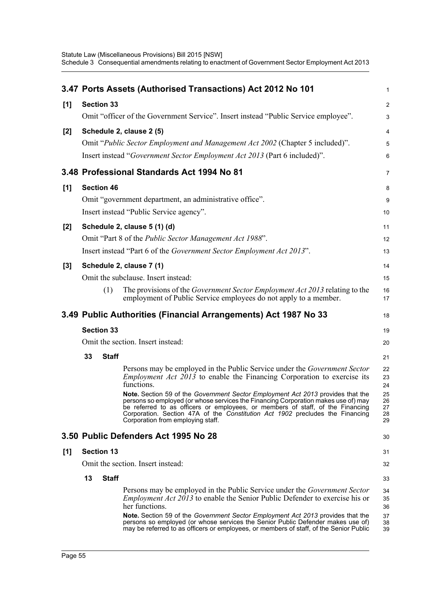|     |    |                   | 3.47 Ports Assets (Authorised Transactions) Act 2012 No 101                                                                                                                                                                                                                                                                                                                   | 1                          |
|-----|----|-------------------|-------------------------------------------------------------------------------------------------------------------------------------------------------------------------------------------------------------------------------------------------------------------------------------------------------------------------------------------------------------------------------|----------------------------|
| [1] |    | <b>Section 33</b> |                                                                                                                                                                                                                                                                                                                                                                               | $\overline{\mathbf{c}}$    |
|     |    |                   | Omit "officer of the Government Service". Insert instead "Public Service employee".                                                                                                                                                                                                                                                                                           | 3                          |
| [2] |    |                   | Schedule 2, clause 2 (5)                                                                                                                                                                                                                                                                                                                                                      | 4                          |
|     |    |                   | Omit "Public Sector Employment and Management Act 2002 (Chapter 5 included)".                                                                                                                                                                                                                                                                                                 | 5                          |
|     |    |                   | Insert instead "Government Sector Employment Act 2013 (Part 6 included)".                                                                                                                                                                                                                                                                                                     | 6                          |
|     |    |                   | 3.48 Professional Standards Act 1994 No 81                                                                                                                                                                                                                                                                                                                                    | 7                          |
| [1] |    | <b>Section 46</b> |                                                                                                                                                                                                                                                                                                                                                                               | 8                          |
|     |    |                   | Omit "government department, an administrative office".                                                                                                                                                                                                                                                                                                                       | 9                          |
|     |    |                   | Insert instead "Public Service agency".                                                                                                                                                                                                                                                                                                                                       | 10                         |
| [2] |    |                   | Schedule 2, clause 5 (1) (d)                                                                                                                                                                                                                                                                                                                                                  | 11                         |
|     |    |                   | Omit "Part 8 of the <i>Public Sector Management Act 1988"</i> .                                                                                                                                                                                                                                                                                                               | 12                         |
|     |    |                   | Insert instead "Part 6 of the Government Sector Employment Act 2013".                                                                                                                                                                                                                                                                                                         | 13                         |
| [3] |    |                   | Schedule 2, clause 7 (1)                                                                                                                                                                                                                                                                                                                                                      | 14                         |
|     |    |                   | Omit the subclause. Insert instead:                                                                                                                                                                                                                                                                                                                                           | 15                         |
|     |    | (1)               | The provisions of the Government Sector Employment Act 2013 relating to the<br>employment of Public Service employees do not apply to a member.                                                                                                                                                                                                                               | 16<br>17                   |
|     |    |                   | 3.49 Public Authorities (Financial Arrangements) Act 1987 No 33                                                                                                                                                                                                                                                                                                               | 18                         |
|     |    | <b>Section 33</b> |                                                                                                                                                                                                                                                                                                                                                                               | 19                         |
|     |    |                   | Omit the section. Insert instead:                                                                                                                                                                                                                                                                                                                                             | 20                         |
|     | 33 | <b>Staff</b>      |                                                                                                                                                                                                                                                                                                                                                                               | 21                         |
|     |    |                   | Persons may be employed in the Public Service under the Government Sector<br><i>Employment Act <math>2013</math> to enable the Financing Corporation to exercise its</i><br>functions.                                                                                                                                                                                        | 22<br>23<br>24             |
|     |    |                   | Note. Section 59 of the Government Sector Employment Act 2013 provides that the<br>persons so employed (or whose services the Financing Corporation makes use of) may<br>be referred to as officers or employees, or members of staff, of the Financing<br>Corporation. Section 47A of the Constitution Act 1902 precludes the Financing<br>Corporation from employing staff. | 25<br>26<br>27<br>28<br>29 |
|     |    |                   | 3.50 Public Defenders Act 1995 No 28                                                                                                                                                                                                                                                                                                                                          | 30                         |
| [1] |    | <b>Section 13</b> |                                                                                                                                                                                                                                                                                                                                                                               | 31                         |
|     |    |                   | Omit the section. Insert instead:                                                                                                                                                                                                                                                                                                                                             | 32                         |
|     | 13 | <b>Staff</b>      |                                                                                                                                                                                                                                                                                                                                                                               | 33                         |
|     |    |                   | Persons may be employed in the Public Service under the <i>Government Sector</i><br><i>Employment Act 2013</i> to enable the Senior Public Defender to exercise his or<br>her functions.<br>Note. Section 59 of the Government Sector Employment Act 2013 provides that the                                                                                                   | 34<br>35<br>36<br>37       |
|     |    |                   | persons so employed (or whose services the Senior Public Defender makes use of)<br>may be referred to as officers or employees, or members of staff, of the Senior Public                                                                                                                                                                                                     | 38<br>39                   |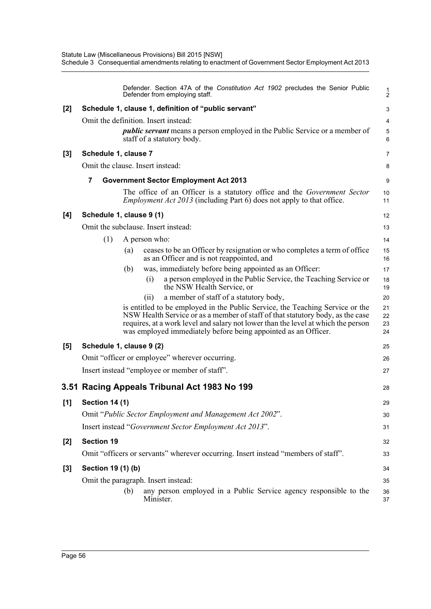|       |                          |     | Defender. Section 47A of the Constitution Act 1902 precludes the Senior Public<br>Defender from employing staff.                                                                                                                                                                                                       | $\frac{1}{2}$        |
|-------|--------------------------|-----|------------------------------------------------------------------------------------------------------------------------------------------------------------------------------------------------------------------------------------------------------------------------------------------------------------------------|----------------------|
| [2]   |                          |     | Schedule 1, clause 1, definition of "public servant"                                                                                                                                                                                                                                                                   | 3                    |
|       |                          |     | Omit the definition. Insert instead:                                                                                                                                                                                                                                                                                   | 4                    |
|       |                          |     | <i>public servant</i> means a person employed in the Public Service or a member of<br>staff of a statutory body.                                                                                                                                                                                                       | 5<br>6               |
| [3]   | Schedule 1, clause 7     |     |                                                                                                                                                                                                                                                                                                                        | 7                    |
|       |                          |     | Omit the clause. Insert instead:                                                                                                                                                                                                                                                                                       | 8                    |
|       | 7                        |     | <b>Government Sector Employment Act 2013</b>                                                                                                                                                                                                                                                                           | 9                    |
|       |                          |     | The office of an Officer is a statutory office and the <i>Government Sector</i><br><i>Employment Act 2013</i> (including Part 6) does not apply to that office.                                                                                                                                                        | 10<br>11             |
| [4]   | Schedule 1, clause 9 (1) |     |                                                                                                                                                                                                                                                                                                                        | 12                   |
|       |                          |     | Omit the subclause. Insert instead:                                                                                                                                                                                                                                                                                    | 13                   |
|       | (1)                      |     | A person who:                                                                                                                                                                                                                                                                                                          | 14                   |
|       |                          | (a) | ceases to be an Officer by resignation or who completes a term of office<br>as an Officer and is not reappointed, and                                                                                                                                                                                                  | 15<br>16             |
|       |                          | (b) | was, immediately before being appointed as an Officer:                                                                                                                                                                                                                                                                 | 17                   |
|       |                          |     | a person employed in the Public Service, the Teaching Service or<br>(i)<br>the NSW Health Service, or                                                                                                                                                                                                                  | 18<br>19             |
|       |                          |     | a member of staff of a statutory body,<br>(i)                                                                                                                                                                                                                                                                          | 20                   |
|       |                          |     | is entitled to be employed in the Public Service, the Teaching Service or the<br>NSW Health Service or as a member of staff of that statutory body, as the case<br>requires, at a work level and salary not lower than the level at which the person<br>was employed immediately before being appointed as an Officer. | 21<br>22<br>23<br>24 |
| [5]   | Schedule 1, clause 9 (2) |     |                                                                                                                                                                                                                                                                                                                        | 25                   |
|       |                          |     | Omit "officer or employee" wherever occurring.                                                                                                                                                                                                                                                                         | 26                   |
|       |                          |     | Insert instead "employee or member of staff".                                                                                                                                                                                                                                                                          | 27                   |
|       |                          |     | 3.51 Racing Appeals Tribunal Act 1983 No 199                                                                                                                                                                                                                                                                           | 28                   |
| [1]   | <b>Section 14 (1)</b>    |     |                                                                                                                                                                                                                                                                                                                        | 29                   |
|       |                          |     | Omit "Public Sector Employment and Management Act 2002".                                                                                                                                                                                                                                                               | 30                   |
|       |                          |     | Insert instead "Government Sector Employment Act 2013".                                                                                                                                                                                                                                                                | 31                   |
| $[2]$ | <b>Section 19</b>        |     |                                                                                                                                                                                                                                                                                                                        | 32                   |
|       |                          |     | Omit "officers or servants" wherever occurring. Insert instead "members of staff".                                                                                                                                                                                                                                     | 33                   |
| $[3]$ | Section 19 (1) (b)       |     |                                                                                                                                                                                                                                                                                                                        | 34                   |
|       |                          |     | Omit the paragraph. Insert instead:                                                                                                                                                                                                                                                                                    | 35                   |
|       |                          | (b) | any person employed in a Public Service agency responsible to the<br>Minister.                                                                                                                                                                                                                                         | 36<br>37             |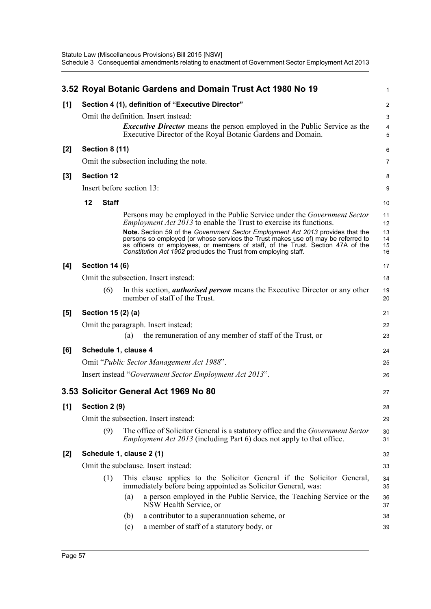|       |    |                       | 3.52 Royal Botanic Gardens and Domain Trust Act 1980 No 19                                                                                                                                                                                                                                                                 | 1                    |
|-------|----|-----------------------|----------------------------------------------------------------------------------------------------------------------------------------------------------------------------------------------------------------------------------------------------------------------------------------------------------------------------|----------------------|
| [1]   |    |                       | Section 4 (1), definition of "Executive Director"                                                                                                                                                                                                                                                                          | $\overline{c}$       |
|       |    |                       | Omit the definition. Insert instead:                                                                                                                                                                                                                                                                                       | 3                    |
|       |    |                       | <i>Executive Director</i> means the person employed in the Public Service as the<br>Executive Director of the Royal Botanic Gardens and Domain.                                                                                                                                                                            | 4<br>5               |
| $[2]$ |    | <b>Section 8 (11)</b> |                                                                                                                                                                                                                                                                                                                            | 6                    |
|       |    |                       | Omit the subsection including the note.                                                                                                                                                                                                                                                                                    | 7                    |
| $[3]$ |    | <b>Section 12</b>     |                                                                                                                                                                                                                                                                                                                            | 8                    |
|       |    |                       | Insert before section 13:                                                                                                                                                                                                                                                                                                  | 9                    |
|       | 12 | <b>Staff</b>          |                                                                                                                                                                                                                                                                                                                            | 10                   |
|       |    |                       | Persons may be employed in the Public Service under the <i>Government Sector</i><br><i>Employment Act 2013</i> to enable the Trust to exercise its functions.                                                                                                                                                              | 11<br>12             |
|       |    |                       | Note. Section 59 of the Government Sector Employment Act 2013 provides that the<br>persons so employed (or whose services the Trust makes use of) may be referred to<br>as officers or employees, or members of staff, of the Trust. Section 47A of the<br>Constitution Act 1902 precludes the Trust from employing staff. | 13<br>14<br>15<br>16 |
| [4]   |    | <b>Section 14 (6)</b> |                                                                                                                                                                                                                                                                                                                            | 17                   |
|       |    |                       | Omit the subsection. Insert instead:                                                                                                                                                                                                                                                                                       | 18                   |
|       |    | (6)                   | In this section, <i>authorised person</i> means the Executive Director or any other<br>member of staff of the Trust.                                                                                                                                                                                                       | 19<br>20             |
| [5]   |    | Section 15 (2) (a)    |                                                                                                                                                                                                                                                                                                                            | 21                   |
|       |    |                       | Omit the paragraph. Insert instead:                                                                                                                                                                                                                                                                                        | 22                   |
|       |    |                       | the remuneration of any member of staff of the Trust, or<br>(a)                                                                                                                                                                                                                                                            | 23                   |
| [6]   |    |                       | Schedule 1, clause 4                                                                                                                                                                                                                                                                                                       | 24                   |
|       |    |                       | Omit "Public Sector Management Act 1988".                                                                                                                                                                                                                                                                                  | 25                   |
|       |    |                       | Insert instead "Government Sector Employment Act 2013".                                                                                                                                                                                                                                                                    | 26                   |
|       |    |                       | 3.53 Solicitor General Act 1969 No 80                                                                                                                                                                                                                                                                                      | 27                   |
| [1]   |    | Section 2 (9)         |                                                                                                                                                                                                                                                                                                                            | 28                   |
|       |    |                       | Omit the subsection. Insert instead:                                                                                                                                                                                                                                                                                       | 29                   |
|       |    | (9)                   | The office of Solicitor General is a statutory office and the Government Sector<br><i>Employment Act 2013</i> (including Part 6) does not apply to that office.                                                                                                                                                            | 30<br>31             |
| $[2]$ |    |                       | Schedule 1, clause 2 (1)                                                                                                                                                                                                                                                                                                   | 32                   |
|       |    |                       | Omit the subclause. Insert instead:                                                                                                                                                                                                                                                                                        | 33                   |
|       |    | (1)                   | This clause applies to the Solicitor General if the Solicitor General,<br>immediately before being appointed as Solicitor General, was:                                                                                                                                                                                    | 34<br>35             |
|       |    |                       | a person employed in the Public Service, the Teaching Service or the<br>(a)<br>NSW Health Service, or                                                                                                                                                                                                                      | 36<br>37             |
|       |    |                       | a contributor to a superannuation scheme, or<br>(b)                                                                                                                                                                                                                                                                        | 38                   |
|       |    |                       | a member of staff of a statutory body, or<br>(c)                                                                                                                                                                                                                                                                           | 39                   |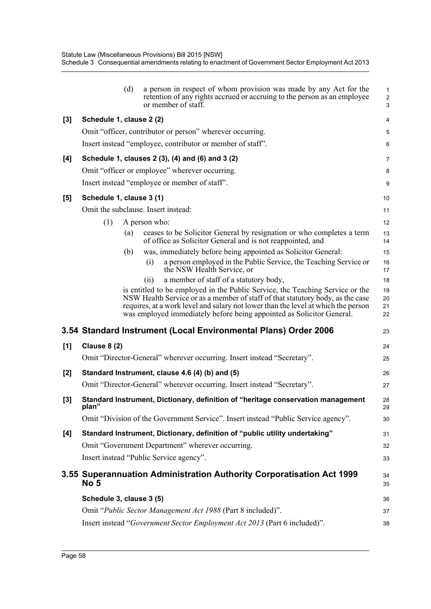|       |                          | (d) | a person in respect of whom provision was made by any Act for the<br>retention of any rights accrued or accruing to the person as an employee<br>or member of staff.                                                                                                                                                          | 1<br>$\overline{c}$<br>3 |
|-------|--------------------------|-----|-------------------------------------------------------------------------------------------------------------------------------------------------------------------------------------------------------------------------------------------------------------------------------------------------------------------------------|--------------------------|
| $[3]$ | Schedule 1, clause 2 (2) |     |                                                                                                                                                                                                                                                                                                                               | 4                        |
|       |                          |     | Omit "officer, contributor or person" wherever occurring.                                                                                                                                                                                                                                                                     | 5                        |
|       |                          |     | Insert instead "employee, contributor or member of staff".                                                                                                                                                                                                                                                                    | 6                        |
| [4]   |                          |     | Schedule 1, clauses 2 (3), (4) and (6) and 3 (2)                                                                                                                                                                                                                                                                              | $\overline{7}$           |
|       |                          |     | Omit "officer or employee" wherever occurring.                                                                                                                                                                                                                                                                                | 8                        |
|       |                          |     | Insert instead "employee or member of staff".                                                                                                                                                                                                                                                                                 | 9                        |
| [5]   | Schedule 1, clause 3 (1) |     |                                                                                                                                                                                                                                                                                                                               | 10                       |
|       |                          |     | Omit the subclause. Insert instead:                                                                                                                                                                                                                                                                                           | 11                       |
|       | (1)                      |     | A person who:                                                                                                                                                                                                                                                                                                                 | 12                       |
|       |                          | (a) | ceases to be Solicitor General by resignation or who completes a term<br>of office as Solicitor General and is not reappointed, and                                                                                                                                                                                           | 13<br>14                 |
|       |                          | (b) | was, immediately before being appointed as Solicitor General:                                                                                                                                                                                                                                                                 | 15                       |
|       |                          |     | a person employed in the Public Service, the Teaching Service or<br>(i)<br>the NSW Health Service, or                                                                                                                                                                                                                         | 16<br>17                 |
|       |                          |     | a member of staff of a statutory body,<br>(i)                                                                                                                                                                                                                                                                                 | 18                       |
|       |                          |     | is entitled to be employed in the Public Service, the Teaching Service or the<br>NSW Health Service or as a member of staff of that statutory body, as the case<br>requires, at a work level and salary not lower than the level at which the person<br>was employed immediately before being appointed as Solicitor General. | 19<br>20<br>21<br>22     |
|       |                          |     | 3.54 Standard Instrument (Local Environmental Plans) Order 2006                                                                                                                                                                                                                                                               | 23                       |
| [1]   | <b>Clause 8 (2)</b>      |     |                                                                                                                                                                                                                                                                                                                               | 24                       |
|       |                          |     | Omit "Director-General" wherever occurring. Insert instead "Secretary".                                                                                                                                                                                                                                                       | 25                       |
| [2]   |                          |     | Standard Instrument, clause 4.6 (4) (b) and (5)                                                                                                                                                                                                                                                                               | 26                       |
|       |                          |     | Omit "Director-General" wherever occurring. Insert instead "Secretary".                                                                                                                                                                                                                                                       | 27                       |
| [3]   | plan"                    |     | Standard Instrument, Dictionary, definition of "heritage conservation management                                                                                                                                                                                                                                              | 28<br>29                 |
|       |                          |     | Omit "Division of the Government Service". Insert instead "Public Service agency".                                                                                                                                                                                                                                            | 30                       |
| [4]   |                          |     | Standard Instrument, Dictionary, definition of "public utility undertaking"                                                                                                                                                                                                                                                   | 31                       |
|       |                          |     | Omit "Government Department" wherever occurring.                                                                                                                                                                                                                                                                              | 32                       |
|       |                          |     | Insert instead "Public Service agency".                                                                                                                                                                                                                                                                                       | 33                       |
|       | No 5                     |     | 3.55 Superannuation Administration Authority Corporatisation Act 1999                                                                                                                                                                                                                                                         | 34<br>35                 |
|       | Schedule 3, clause 3 (5) |     |                                                                                                                                                                                                                                                                                                                               | 36                       |
|       |                          |     | Omit "Public Sector Management Act 1988 (Part 8 included)".                                                                                                                                                                                                                                                                   | 37                       |
|       |                          |     | Insert instead "Government Sector Employment Act 2013 (Part 6 included)".                                                                                                                                                                                                                                                     | 38                       |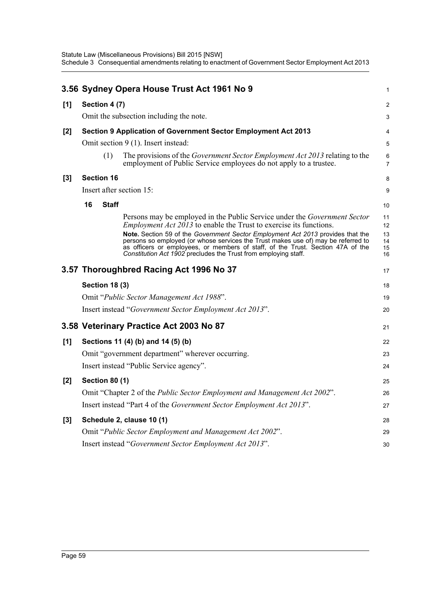|       |    |                       | 3.56 Sydney Opera House Trust Act 1961 No 9                                                                                                                                                                                                                                                                                                                                                                                                                                          | 1                                |
|-------|----|-----------------------|--------------------------------------------------------------------------------------------------------------------------------------------------------------------------------------------------------------------------------------------------------------------------------------------------------------------------------------------------------------------------------------------------------------------------------------------------------------------------------------|----------------------------------|
| [1]   |    | Section 4 (7)         |                                                                                                                                                                                                                                                                                                                                                                                                                                                                                      | $\overline{a}$                   |
|       |    |                       | Omit the subsection including the note.                                                                                                                                                                                                                                                                                                                                                                                                                                              | 3                                |
| [2]   |    |                       | Section 9 Application of Government Sector Employment Act 2013                                                                                                                                                                                                                                                                                                                                                                                                                       | 4                                |
|       |    |                       | Omit section 9 (1). Insert instead:                                                                                                                                                                                                                                                                                                                                                                                                                                                  | 5                                |
|       |    | (1)                   | The provisions of the <i>Government Sector Employment Act 2013</i> relating to the<br>employment of Public Service employees do not apply to a trustee.                                                                                                                                                                                                                                                                                                                              | 6<br>$\overline{7}$              |
| $[3]$ |    | <b>Section 16</b>     |                                                                                                                                                                                                                                                                                                                                                                                                                                                                                      | 8                                |
|       |    |                       | Insert after section 15:                                                                                                                                                                                                                                                                                                                                                                                                                                                             | 9                                |
|       | 16 | <b>Staff</b>          |                                                                                                                                                                                                                                                                                                                                                                                                                                                                                      | 10                               |
|       |    |                       | Persons may be employed in the Public Service under the Government Sector<br><i>Employment Act 2013</i> to enable the Trust to exercise its functions.<br>Note. Section 59 of the Government Sector Employment Act 2013 provides that the<br>persons so employed (or whose services the Trust makes use of) may be referred to<br>as officers or employees, or members of staff, of the Trust. Section 47A of the<br>Constitution Act 1902 precludes the Trust from employing staff. | 11<br>12<br>13<br>14<br>15<br>16 |
|       |    |                       | 3.57 Thoroughbred Racing Act 1996 No 37                                                                                                                                                                                                                                                                                                                                                                                                                                              | 17                               |
|       |    | <b>Section 18 (3)</b> |                                                                                                                                                                                                                                                                                                                                                                                                                                                                                      | 18                               |
|       |    |                       | Omit "Public Sector Management Act 1988".                                                                                                                                                                                                                                                                                                                                                                                                                                            | 19                               |
|       |    |                       | Insert instead "Government Sector Employment Act 2013".                                                                                                                                                                                                                                                                                                                                                                                                                              | 20                               |
|       |    |                       | 3.58 Veterinary Practice Act 2003 No 87                                                                                                                                                                                                                                                                                                                                                                                                                                              | 21                               |
| [1]   |    |                       | Sections 11 (4) (b) and 14 (5) (b)                                                                                                                                                                                                                                                                                                                                                                                                                                                   | 22                               |
|       |    |                       | Omit "government department" wherever occurring.                                                                                                                                                                                                                                                                                                                                                                                                                                     | 23                               |
|       |    |                       | Insert instead "Public Service agency".                                                                                                                                                                                                                                                                                                                                                                                                                                              | 24                               |
| [2]   |    | <b>Section 80 (1)</b> |                                                                                                                                                                                                                                                                                                                                                                                                                                                                                      | 25                               |
|       |    |                       | Omit "Chapter 2 of the Public Sector Employment and Management Act 2002".                                                                                                                                                                                                                                                                                                                                                                                                            | 26                               |
|       |    |                       | Insert instead "Part 4 of the <i>Government Sector Employment Act 2013</i> ".                                                                                                                                                                                                                                                                                                                                                                                                        | 27                               |
| $[3]$ |    |                       | Schedule 2, clause 10 (1)                                                                                                                                                                                                                                                                                                                                                                                                                                                            | 28                               |
|       |    |                       | Omit "Public Sector Employment and Management Act 2002".                                                                                                                                                                                                                                                                                                                                                                                                                             | 29                               |
|       |    |                       | Insert instead "Government Sector Employment Act 2013".                                                                                                                                                                                                                                                                                                                                                                                                                              | 30                               |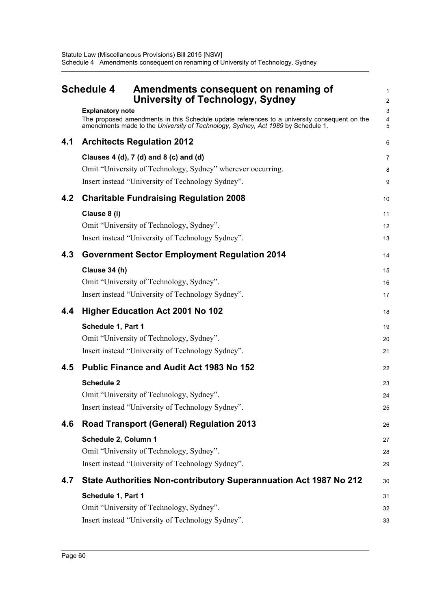|     | <b>Schedule 4</b><br>Amendments consequent on renaming of<br><b>University of Technology, Sydney</b>                                                                                                        | 1<br>2         |
|-----|-------------------------------------------------------------------------------------------------------------------------------------------------------------------------------------------------------------|----------------|
|     | <b>Explanatory note</b><br>The proposed amendments in this Schedule update references to a university consequent on the<br>amendments made to the University of Technology, Sydney, Act 1989 by Schedule 1. | 3<br>4<br>5    |
| 4.1 | <b>Architects Regulation 2012</b>                                                                                                                                                                           | 6              |
|     | Clauses 4 (d), 7 (d) and 8 (c) and (d)<br>Omit "University of Technology, Sydney" wherever occurring.<br>Insert instead "University of Technology Sydney".                                                  | 7<br>8<br>9    |
| 4.2 | <b>Charitable Fundraising Regulation 2008</b>                                                                                                                                                               | 10             |
|     | Clause 8 (i)<br>Omit "University of Technology, Sydney".<br>Insert instead "University of Technology Sydney".                                                                                               | 11<br>12<br>13 |
| 4.3 | <b>Government Sector Employment Regulation 2014</b>                                                                                                                                                         | 14             |
|     | Clause 34 (h)<br>Omit "University of Technology, Sydney".<br>Insert instead "University of Technology Sydney".                                                                                              | 15<br>16<br>17 |
| 4.4 | <b>Higher Education Act 2001 No 102</b>                                                                                                                                                                     | 18             |
|     | Schedule 1, Part 1<br>Omit "University of Technology, Sydney".<br>Insert instead "University of Technology Sydney".                                                                                         | 19<br>20<br>21 |
| 4.5 | <b>Public Finance and Audit Act 1983 No 152</b>                                                                                                                                                             | 22             |
|     | <b>Schedule 2</b><br>Omit "University of Technology, Sydney".<br>Insert instead "University of Technology Sydney".                                                                                          | 23<br>24<br>25 |
| 4.6 | <b>Road Transport (General) Regulation 2013</b>                                                                                                                                                             | 26             |
|     | Schedule 2, Column 1<br>Omit "University of Technology, Sydney".<br>Insert instead "University of Technology Sydney".                                                                                       | 27<br>28<br>29 |
| 4.7 | State Authorities Non-contributory Superannuation Act 1987 No 212                                                                                                                                           | 30             |
|     | Schedule 1, Part 1<br>Omit "University of Technology, Sydney".                                                                                                                                              | 31<br>32       |
|     | Insert instead "University of Technology Sydney".                                                                                                                                                           | 33             |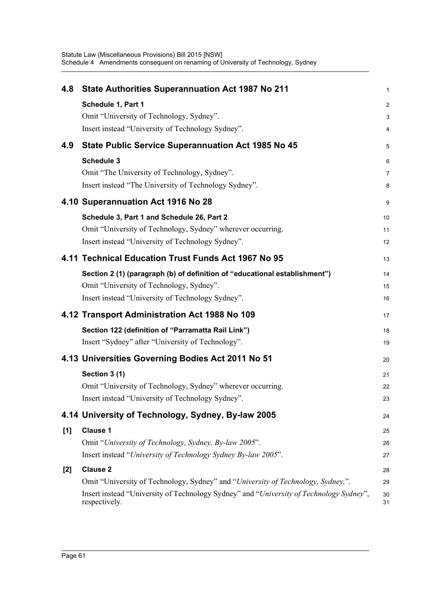| 4.8 | State Authorities Superannuation Act 1987 No 211                                                         | 1                   |
|-----|----------------------------------------------------------------------------------------------------------|---------------------|
|     |                                                                                                          |                     |
|     | Schedule 1, Part 1<br>Omit "University of Technology, Sydney".                                           | $\overline{c}$<br>3 |
|     | Insert instead "University of Technology Sydney".                                                        | 4                   |
|     |                                                                                                          |                     |
| 4.9 | <b>State Public Service Superannuation Act 1985 No 45</b>                                                | 5                   |
|     | Schedule 3                                                                                               | 6                   |
|     | Omit "The University of Technology, Sydney".                                                             | $\overline{7}$      |
|     | Insert instead "The University of Technology Sydney".                                                    | 8                   |
|     | 4.10 Superannuation Act 1916 No 28                                                                       | 9                   |
|     | Schedule 3, Part 1 and Schedule 26, Part 2                                                               | 10                  |
|     | Omit "University of Technology, Sydney" wherever occurring.                                              | 11                  |
|     | Insert instead "University of Technology Sydney".                                                        | 12                  |
|     | 4.11 Technical Education Trust Funds Act 1967 No 95                                                      | 13                  |
|     | Section 2 (1) (paragraph (b) of definition of "educational establishment")                               | 14                  |
|     | Omit "University of Technology, Sydney".                                                                 | 15                  |
|     | Insert instead "University of Technology Sydney".                                                        | 16                  |
|     | 4.12 Transport Administration Act 1988 No 109                                                            | 17                  |
|     | Section 122 (definition of "Parramatta Rail Link")                                                       | 18                  |
|     | Insert "Sydney" after "University of Technology".                                                        | 19                  |
|     | 4.13 Universities Governing Bodies Act 2011 No 51                                                        | 20                  |
|     | Section 3 (1)                                                                                            | 21                  |
|     | Omit "University of Technology, Sydney" wherever occurring.                                              | 22                  |
|     | Insert instead "University of Technology Sydney".                                                        | 23                  |
|     | 4.14 University of Technology, Sydney, By-law 2005                                                       | 24                  |
| [1] | <b>Clause 1</b>                                                                                          | 25                  |
|     | Omit "University of Technology, Sydney, By-law 2005".                                                    | 26                  |
|     | Insert instead "University of Technology Sydney By-law 2005".                                            | 27                  |
| [2] | <b>Clause 2</b>                                                                                          | 28                  |
|     | Omit "University of Technology, Sydney" and "University of Technology, Sydney,".                         | 29                  |
|     | Insert instead "University of Technology Sydney" and "University of Technology Sydney",<br>respectively. | 30<br>31            |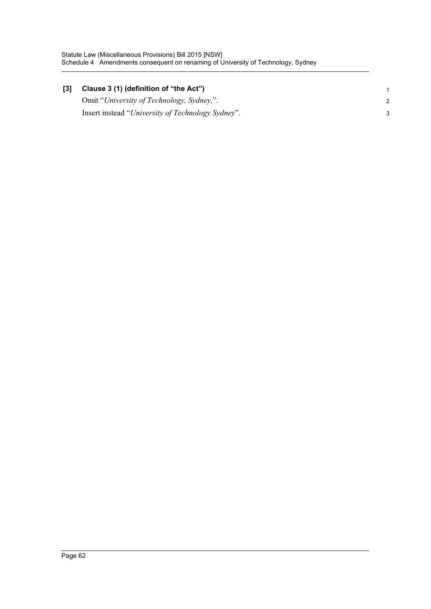| [3] | Clause 3 (1) (definition of "the Act")            |  |
|-----|---------------------------------------------------|--|
|     | Omit "University of Technology, Sydney,".         |  |
|     | Insert instead "University of Technology Sydney". |  |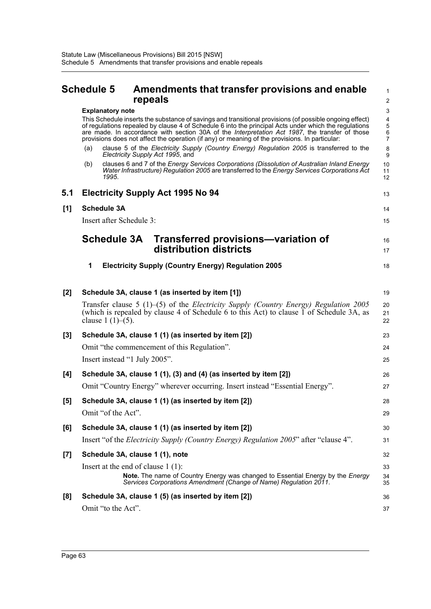Omit "to the Act".

# **Schedule 5 Amendments that transfer provisions and enable repeals**

|     |     | <u>i vpvuiv</u>                                                                                                                                                                                                                                                                                                                                                                                                      | ∼                                                   |
|-----|-----|----------------------------------------------------------------------------------------------------------------------------------------------------------------------------------------------------------------------------------------------------------------------------------------------------------------------------------------------------------------------------------------------------------------------|-----------------------------------------------------|
|     |     | <b>Explanatory note</b>                                                                                                                                                                                                                                                                                                                                                                                              | 3                                                   |
|     |     | This Schedule inserts the substance of savings and transitional provisions (of possible ongoing effect)<br>of regulations repealed by clause 4 of Schedule 6 into the principal Acts under which the regulations<br>are made. In accordance with section 30A of the Interpretation Act 1987, the transfer of those<br>provisions does not affect the operation (if any) or meaning of the provisions. In particular: | $\overline{\mathbf{4}}$<br>5<br>6<br>$\overline{7}$ |
|     | (a) | clause 5 of the Electricity Supply (Country Energy) Regulation 2005 is transferred to the<br>Electricity Supply Act 1995, and                                                                                                                                                                                                                                                                                        | 8<br>9                                              |
|     | (b) | clauses 6 and 7 of the Energy Services Corporations (Dissolution of Australian Inland Energy<br>Water Infrastructure) Regulation 2005 are transferred to the Energy Services Corporations Act<br>1995.                                                                                                                                                                                                               | 10<br>11<br>12                                      |
| 5.1 |     | <b>Electricity Supply Act 1995 No 94</b>                                                                                                                                                                                                                                                                                                                                                                             | 13                                                  |
| [1] |     | <b>Schedule 3A</b>                                                                                                                                                                                                                                                                                                                                                                                                   | 14                                                  |
|     |     | Insert after Schedule 3:                                                                                                                                                                                                                                                                                                                                                                                             | 15                                                  |
|     |     | Transferred provisions-variation of<br><b>Schedule 3A</b>                                                                                                                                                                                                                                                                                                                                                            | 16                                                  |
|     |     | distribution districts                                                                                                                                                                                                                                                                                                                                                                                               | 17                                                  |
|     | 1   | <b>Electricity Supply (Country Energy) Regulation 2005</b>                                                                                                                                                                                                                                                                                                                                                           | 18                                                  |
| [2] |     | Schedule 3A, clause 1 (as inserted by item [1])                                                                                                                                                                                                                                                                                                                                                                      | 19                                                  |
|     |     | Transfer clause 5 (1)–(5) of the <i>Electricity Supply (Country Energy) Regulation 2005</i><br>(which is repealed by clause 4 of Schedule 6 to this Act) to clause 1 of Schedule 3A, as<br>clause $1(1)–(5)$ .                                                                                                                                                                                                       | 20<br>21<br>22                                      |
| [3] |     | Schedule 3A, clause 1 (1) (as inserted by item [2])                                                                                                                                                                                                                                                                                                                                                                  | 23                                                  |
|     |     | Omit "the commencement of this Regulation".                                                                                                                                                                                                                                                                                                                                                                          | 24                                                  |
|     |     | Insert instead "1 July 2005".                                                                                                                                                                                                                                                                                                                                                                                        | 25                                                  |
| [4] |     | Schedule 3A, clause 1 (1), (3) and (4) (as inserted by item [2])                                                                                                                                                                                                                                                                                                                                                     | 26                                                  |
|     |     | Omit "Country Energy" wherever occurring. Insert instead "Essential Energy".                                                                                                                                                                                                                                                                                                                                         | 27                                                  |

37

#### Omit "the commencement of this Regulation". Insert instead "1 July 2005". [4] Schedule 3A, clause 1 (1), (3) and (4) (as Omit "Country Energy" wherever occurring. Insert instead "Essential Energy **[5] Schedule 3A, clause 1 (1) (as inserted by item [2])** Omit "of the Act". **[6] Schedule 3A, clause 1 (1) (as inserted by item [2])** Insert "of the *Electricity Supply (Country Energy) Regulation 2005*" after "clause 4". **[7] Schedule 3A, clause 1 (1), note** Insert at the end of clause 1 (1): **Note.** The name of Country Energy was changed to Essential Energy by the *Energy Services Corporations Amendment (Change of Name) Regulation 2011*. **[8] Schedule 3A, clause 1 (5) (as inserted by item [2])** 24 25 26 27 28 29 30 31 32 33 34 35 36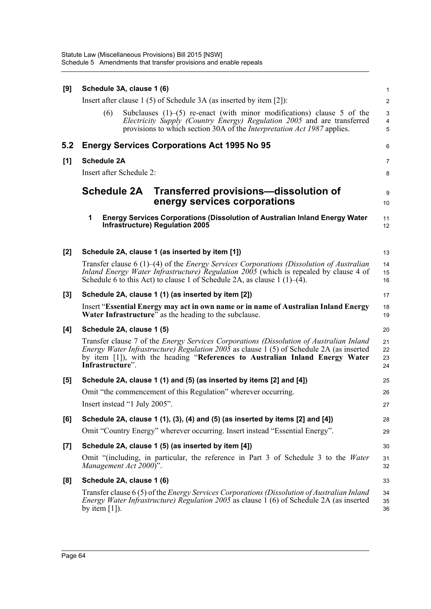| [9]   | Schedule 3A, clause 1 (6)                                                                                                                                                                                                                                                                             | 1                    |
|-------|-------------------------------------------------------------------------------------------------------------------------------------------------------------------------------------------------------------------------------------------------------------------------------------------------------|----------------------|
|       | Insert after clause $1(5)$ of Schedule 3A (as inserted by item [2]):                                                                                                                                                                                                                                  | $\overline{a}$       |
|       | (6)<br>Subclauses $(1)$ – $(5)$ re-enact (with minor modifications) clause 5 of the<br>Electricity Supply (Country Energy) Regulation 2005 and are transferred<br>provisions to which section 30A of the <i>Interpretation Act 1987</i> applies.                                                      | 3<br>4<br>5          |
| 5.2   | <b>Energy Services Corporations Act 1995 No 95</b>                                                                                                                                                                                                                                                    | 6                    |
| [1]   | <b>Schedule 2A</b>                                                                                                                                                                                                                                                                                    | 7                    |
|       | Insert after Schedule 2:                                                                                                                                                                                                                                                                              | 8                    |
|       | <b>Schedule 2A</b><br>Transferred provisions—dissolution of<br>energy services corporations                                                                                                                                                                                                           | 9<br>10              |
|       | 1<br><b>Energy Services Corporations (Dissolution of Australian Inland Energy Water</b><br>Infrastructure) Regulation 2005                                                                                                                                                                            | 11<br>12             |
| [2]   | Schedule 2A, clause 1 (as inserted by item [1])                                                                                                                                                                                                                                                       | 13                   |
|       | Transfer clause 6 $(1)$ – $(4)$ of the <i>Energy Services Corporations (Dissolution of Australian</i><br>Inland Energy Water Infrastructure) Regulation 2005 (which is repealed by clause 4 of<br>Schedule 6 to this Act) to clause 1 of Schedule 2A, as clause $1(1)$ – $(4)$ .                      | 14<br>15<br>16       |
| [3]   | Schedule 2A, clause 1 (1) (as inserted by item [2])                                                                                                                                                                                                                                                   | 17                   |
|       | Insert "Essential Energy may act in own name or in name of Australian Inland Energy<br><b>Water Infrastructure</b> " as the heading to the subclause.                                                                                                                                                 | 18<br>19             |
| [4]   | Schedule 2A, clause 1 (5)                                                                                                                                                                                                                                                                             | 20                   |
|       | Transfer clause 7 of the <i>Energy Services Corporations (Dissolution of Australian Inland</i><br><i>Energy Water Infrastructure) Regulation 2005</i> as clause 1 (5) of Schedule 2A (as inserted<br>by item [1]), with the heading "References to Australian Inland Energy Water<br>Infrastructure". | 21<br>22<br>23<br>24 |
| [5]   | Schedule 2A, clause 1 (1) and (5) (as inserted by items [2] and [4])                                                                                                                                                                                                                                  | 25                   |
|       | Omit "the commencement of this Regulation" wherever occurring.                                                                                                                                                                                                                                        | 26                   |
|       | Insert instead "1 July 2005".                                                                                                                                                                                                                                                                         | 27                   |
| [6]   | Schedule 2A, clause 1 (1), (3), (4) and (5) (as inserted by items [2] and [4])                                                                                                                                                                                                                        | 28                   |
|       | Omit "Country Energy" wherever occurring. Insert instead "Essential Energy".                                                                                                                                                                                                                          | 29                   |
| $[7]$ | Schedule 2A, clause 1 (5) (as inserted by item [4])                                                                                                                                                                                                                                                   | 30                   |
|       | Omit "(including, in particular, the reference in Part 3 of Schedule 3 to the Water<br>Management Act 2000)".                                                                                                                                                                                         | 31<br>32             |
| [8]   | Schedule 2A, clause 1 (6)                                                                                                                                                                                                                                                                             | 33                   |
|       | Transfer clause 6 (5) of the Energy Services Corporations (Dissolution of Australian Inland<br><i>Energy Water Infrastructure) Regulation 2005</i> as clause 1 (6) of Schedule 2A (as inserted<br>by item $[1]$ ).                                                                                    | 34<br>35<br>36       |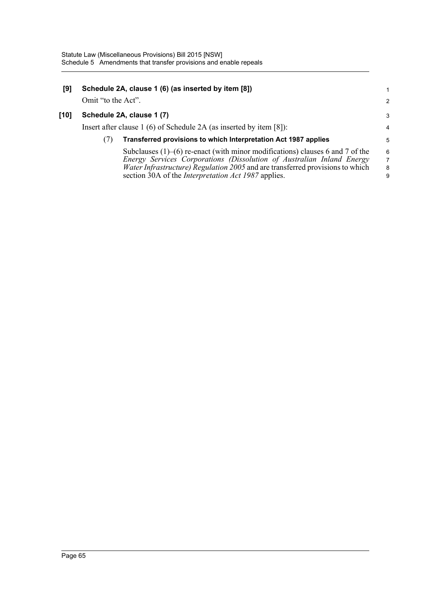| [9]  |                    | Schedule 2A, clause 1 (6) (as inserted by item [8])                                 |                |
|------|--------------------|-------------------------------------------------------------------------------------|----------------|
|      | Omit "to the Act". |                                                                                     | $\overline{2}$ |
| [10] |                    | Schedule 2A, clause 1 (7)                                                           | 3              |
|      |                    | Insert after clause 1 (6) of Schedule 2A (as inserted by item [8]):                 | $\overline{4}$ |
|      | (7)                | Transferred provisions to which Interpretation Act 1987 applies                     | 5              |
|      |                    | Subclauses $(1)$ – $(6)$ re-enact (with minor modifications) clauses 6 and 7 of the | 6              |
|      |                    | Energy Services Corporations (Dissolution of Australian Inland Energy               | $\overline{7}$ |
|      |                    | Water Infrastructure) Regulation 2005 and are transferred provisions to which       | 8              |
|      |                    | section 30A of the <i>Interpretation Act 1987</i> applies.                          | 9              |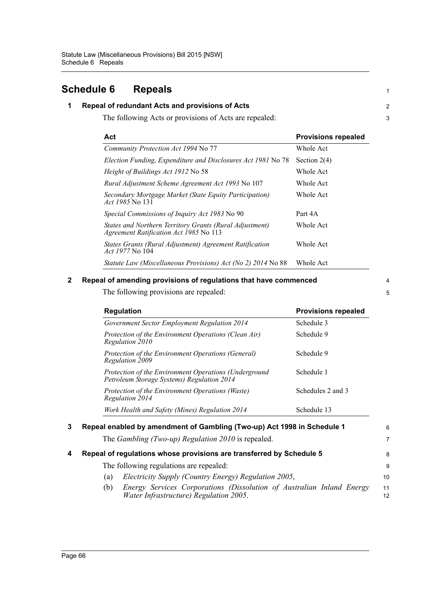# **Schedule 6 Repeals**

## **1 Repeal of redundant Acts and provisions of Acts**

The following Acts or provisions of Acts are repealed:

| Act                                                                                               | <b>Provisions repealed</b> |
|---------------------------------------------------------------------------------------------------|----------------------------|
| Community Protection Act 1994 No 77                                                               | Whole Act                  |
| Election Funding, Expenditure and Disclosures Act 1981 No 78                                      | Section $2(4)$             |
| <i>Height of Buildings Act 1912 No 58</i>                                                         | Whole Act                  |
| Rural Adjustment Scheme Agreement Act 1993 No 107                                                 | Whole Act                  |
| Secondary Mortgage Market (State Equity Participation)<br><i>Act 1985</i> No 131                  | Whole Act                  |
| Special Commissions of Inquiry Act 1983 No 90                                                     | Part 4A                    |
| States and Northern Territory Grants (Rural Adjustment)<br>Agreement Ratification Act 1985 No 113 | Whole Act                  |
| States Grants (Rural Adjustment) Agreement Ratification<br><i>Act 1977</i> No 104                 | Whole Act                  |
| Statute Law (Miscellaneous Provisions) Act (No 2) 2014 No 88                                      | Whole Act                  |

### **2 Repeal of amending provisions of regulations that have commenced**

The following provisions are repealed:

| <b>Regulation</b>                                                                                   | <b>Provisions repealed</b> |
|-----------------------------------------------------------------------------------------------------|----------------------------|
| Government Sector Employment Regulation 2014                                                        | Schedule 3                 |
| Protection of the Environment Operations (Clean Air)<br>Regulation 2010                             | Schedule 9                 |
| Protection of the Environment Operations (General)<br>Regulation 2009                               | Schedule 9                 |
| Protection of the Environment Operations (Underground<br>Petroleum Storage Systems) Regulation 2014 | Schedule 1                 |
| Protection of the Environment Operations (Waste)<br>Regulation 2014                                 | Schedules 2 and 3          |
| Work Health and Safety (Mines) Regulation 2014                                                      | Schedule 13                |

The *Gambling (Two-up) Regulation 2010* is repealed.

# **4 Repeal of regulations whose provisions are transferred by Schedule 5** The following regulations are repealed:

- (a) *Electricity Supply (Country Energy) Regulation 2005*,
- (b) *Energy Services Corporations (Dissolution of Australian Inland Energy Water Infrastructure) Regulation 2005*. 11 12

6 7

8 9 10

1

2 3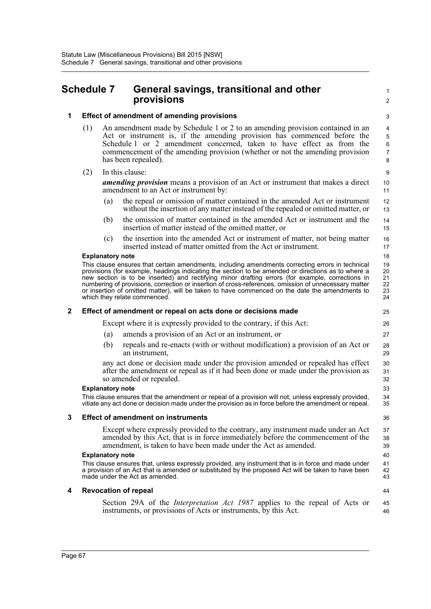# **Schedule 7 General savings, transitional and other provisions**

44

# **1 Effect of amendment of amending provisions**

- (1) An amendment made by Schedule 1 or 2 to an amending provision contained in an Act or instrument is, if the amending provision has commenced before the Schedule 1 or 2 amendment concerned, taken to have effect as from the commencement of the amending provision (whether or not the amending provision has been repealed).
- (2) In this clause:

*amending provision* means a provision of an Act or instrument that makes a direct amendment to an Act or instrument by:

- (a) the repeal or omission of matter contained in the amended Act or instrument without the insertion of any matter instead of the repealed or omitted matter, or
- (b) the omission of matter contained in the amended Act or instrument and the insertion of matter instead of the omitted matter, or
- (c) the insertion into the amended Act or instrument of matter, not being matter inserted instead of matter omitted from the Act or instrument.

### **Explanatory note**

This clause ensures that certain amendments, including amendments correcting errors in technical provisions (for example, headings indicating the section to be amended or directions as to where a new section is to be inserted) and rectifying minor drafting errors (for example, corrections in numbering of provisions, correction or insertion of cross-references, omission of unnecessary matter or insertion of omitted matter), will be taken to have commenced on the date the amendments to which they relate commenced.

### **2 Effect of amendment or repeal on acts done or decisions made**

Except where it is expressly provided to the contrary, if this Act:

- (a) amends a provision of an Act or an instrument, or
- (b) repeals and re-enacts (with or without modification) a provision of an Act or an instrument,

any act done or decision made under the provision amended or repealed has effect after the amendment or repeal as if it had been done or made under the provision as so amended or repealed.

#### **Explanatory note**

This clause ensures that the amendment or repeal of a provision will not, unless expressly provided, vitiate any act done or decision made under the provision as in force before the amendment or repeal.

### **3 Effect of amendment on instruments**

Except where expressly provided to the contrary, any instrument made under an Act amended by this Act, that is in force immediately before the commencement of the amendment, is taken to have been made under the Act as amended.

#### **Explanatory note**

This clause ensures that, unless expressly provided, any instrument that is in force and made under a provision of an Act that is amended or substituted by the proposed Act will be taken to have been made under the Act as amended.

### **4 Revocation of repeal**

Section 29A of the *Interpretation Act 1987* applies to the repeal of Acts or instruments, or provisions of Acts or instruments, by this Act. 45 46